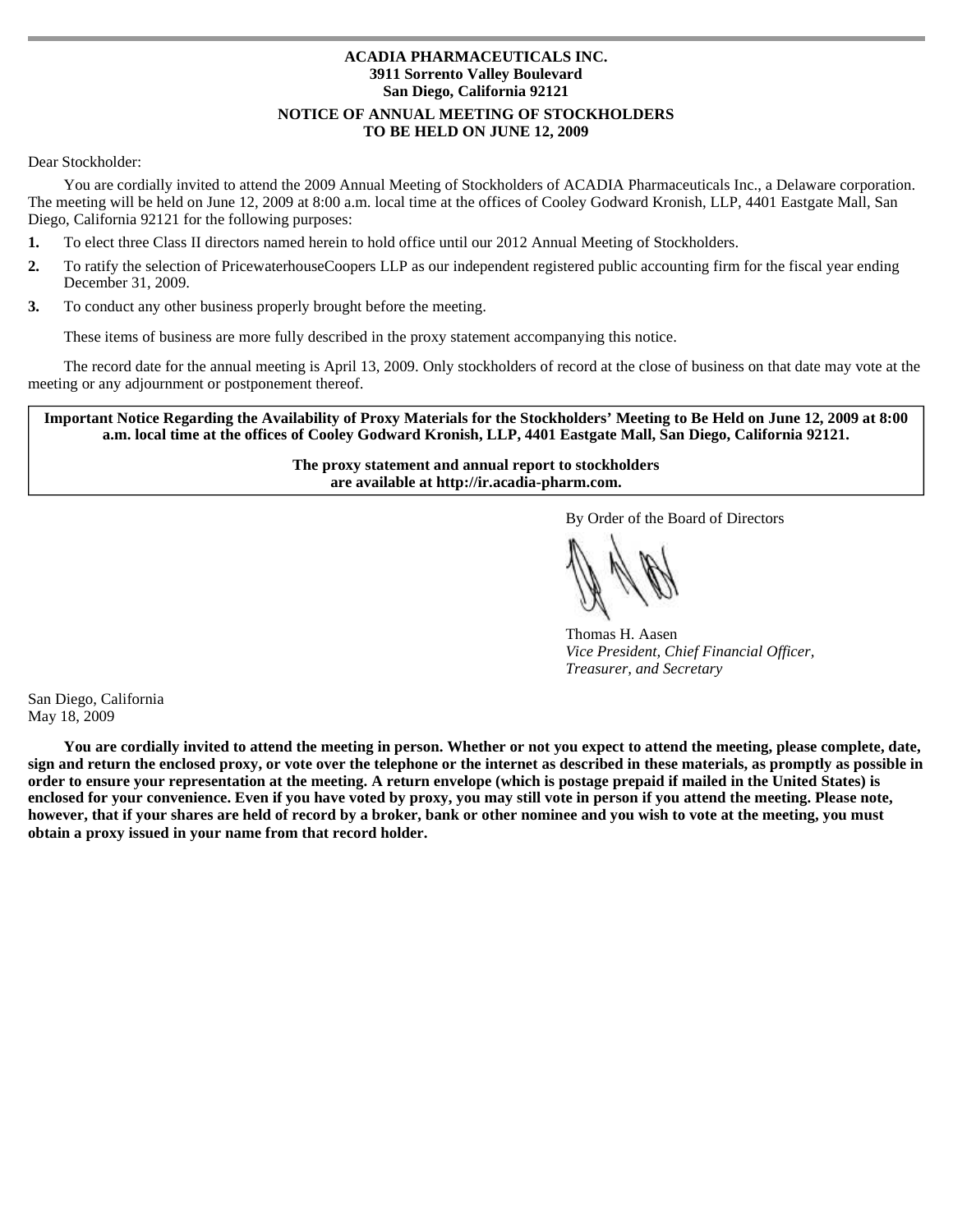# **ACADIA PHARMACEUTICALS INC. 3911 Sorrento Valley Boulevard San Diego, California 92121 NOTICE OF ANNUAL MEETING OF STOCKHOLDERS TO BE HELD ON JUNE 12, 2009**

# Dear Stockholder:

 You are cordially invited to attend the 2009 Annual Meeting of Stockholders of ACADIA Pharmaceuticals Inc., a Delaware corporation. The meeting will be held on June 12, 2009 at 8:00 a.m. local time at the offices of Cooley Godward Kronish, LLP, 4401 Eastgate Mall, San Diego, California 92121 for the following purposes:

- $1.$ **1.** To elect three Class II directors named herein to hold office until our 2012 Annual Meeting of Stockholders.
- $\overline{2}$ . **2.** To ratify the selection of PricewaterhouseCoopers LLP as our independent registered public accounting firm for the fiscal year ending December 31, 2009.
- $3.$ **3.** To conduct any other business properly brought before the meeting.

These items of business are more fully described in the proxy statement accompanying this notice.

The record date for the annual meeting is April 13, 2009. Only stockholders of record at the close of business on that date may vote at the meeting or any adjournment or postponement thereof.

**Important Notice Regarding the Availability of Proxy Materials for the Stockholders' Meeting to Be Held on June 12, 2009 at 8:00 a.m. local time at the offices of Cooley Godward Kronish, LLP, 4401 Eastgate Mall, San Diego, California 92121.** 

> **The proxy statement and annual report to stockholders are available at http://ir.acadia-pharm.com.**

> > By Order of the Board of Directors

Thomas H. Aasen *Vice President, Chief Financial Officer, Treasurer, and Secretary* 

San Diego, California May 18, 2009

**You are cordially invited to attend the meeting in person. Whether or not you expect to attend the meeting, please complete, date, sign and return the enclosed proxy, or vote over the telephone or the internet as described in these materials, as promptly as possible in order to ensure your representation at the meeting. A return envelope (which is postage prepaid if mailed in the United States) is enclosed for your convenience. Even if you have voted by proxy, you may still vote in person if you attend the meeting. Please note, however, that if your shares are held of record by a broker, bank or other nominee and you wish to vote at the meeting, you must obtain a proxy issued in your name from that record holder.**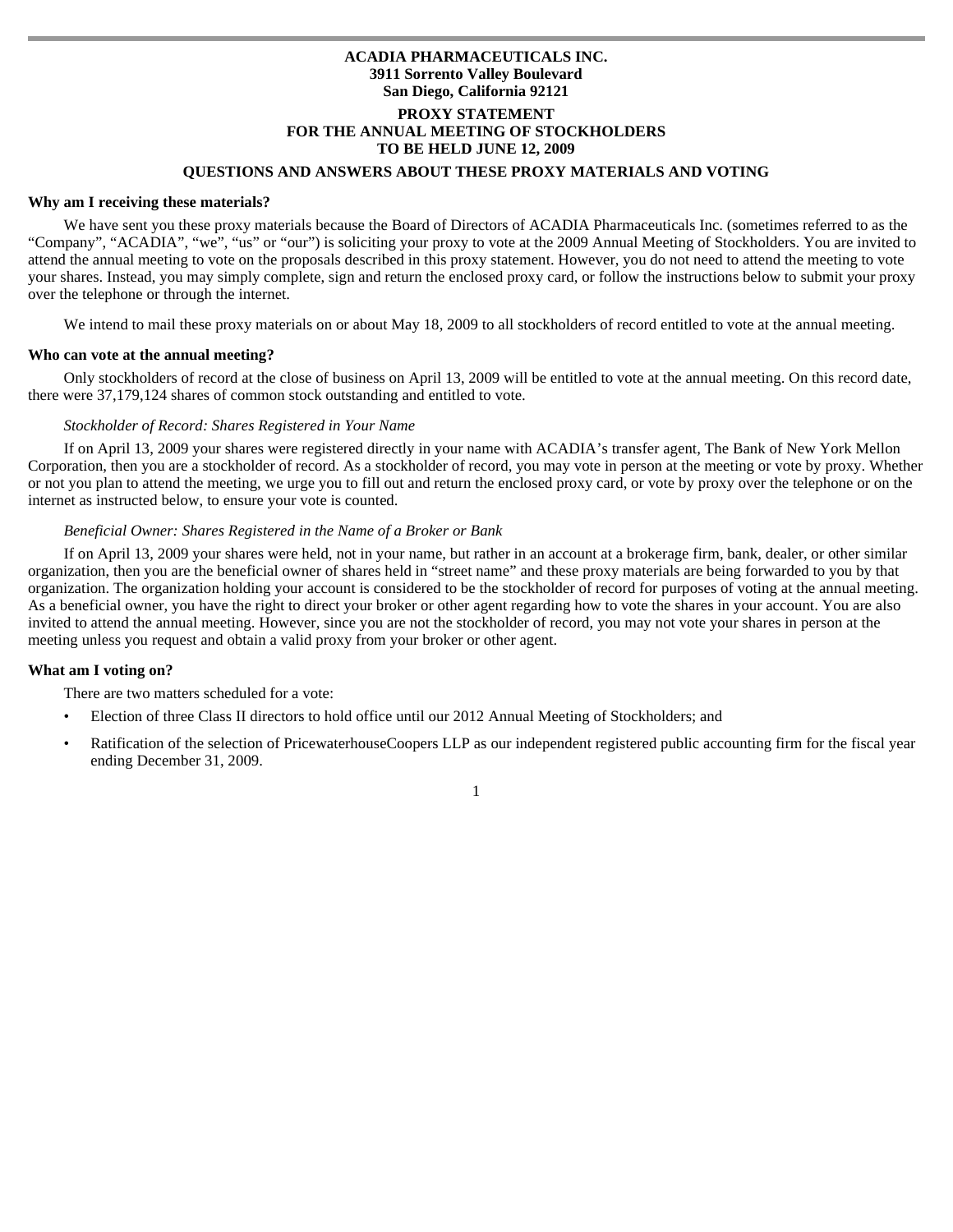# **ACADIA PHARMACEUTICALS INC. 3911 Sorrento Valley Boulevard San Diego, California 92121 PROXY STATEMENT FOR THE ANNUAL MEETING OF STOCKHOLDERS TO BE HELD JUNE 12, 2009**

# **QUESTIONS AND ANSWERS ABOUT THESE PROXY MATERIALS AND VOTING**

#### **Why am I receiving these materials?**

 We have sent you these proxy materials because the Board of Directors of ACADIA Pharmaceuticals Inc. (sometimes referred to as the "Company", "ACADIA", "we", "us" or "our") is soliciting your proxy to vote at the 2009 Annual Meeting of Stockholders. You are invited to attend the annual meeting to vote on the proposals described in this proxy statement. However, you do not need to attend the meeting to vote your shares. Instead, you may simply complete, sign and return the enclosed proxy card, or follow the instructions below to submit your proxy over the telephone or through the internet.

We intend to mail these proxy materials on or about May 18, 2009 to all stockholders of record entitled to vote at the annual meeting.

#### **Who can vote at the annual meeting?**

 Only stockholders of record at the close of business on April 13, 2009 will be entitled to vote at the annual meeting. On this record date, there were 37,179,124 shares of common stock outstanding and entitled to vote.

## *Stockholder of Record: Shares Registered in Your Name*

 If on April 13, 2009 your shares were registered directly in your name with ACADIA's transfer agent, The Bank of New York Mellon Corporation, then you are a stockholder of record. As a stockholder of record, you may vote in person at the meeting or vote by proxy. Whether or not you plan to attend the meeting, we urge you to fill out and return the enclosed proxy card, or vote by proxy over the telephone or on the internet as instructed below, to ensure your vote is counted.

### *Beneficial Owner: Shares Registered in the Name of a Broker or Bank*

 If on April 13, 2009 your shares were held, not in your name, but rather in an account at a brokerage firm, bank, dealer, or other similar organization, then you are the beneficial owner of shares held in "street name" and these proxy materials are being forwarded to you by that organization. The organization holding your account is considered to be the stockholder of record for purposes of voting at the annual meeting. As a beneficial owner, you have the right to direct your broker or other agent regarding how to vote the shares in your account. You are also invited to attend the annual meeting. However, since you are not the stockholder of record, you may not vote your shares in person at the meeting unless you request and obtain a valid proxy from your broker or other agent.

#### **What am I voting on?**

There are two matters scheduled for a vote:

- Election of three Class II directors to hold office until our 2012 Annual Meeting of Stockholders; and
- Ratification of the selection of PricewaterhouseCoopers LLP as our independent registered public accounting firm for the fiscal year ending December 31, 2009.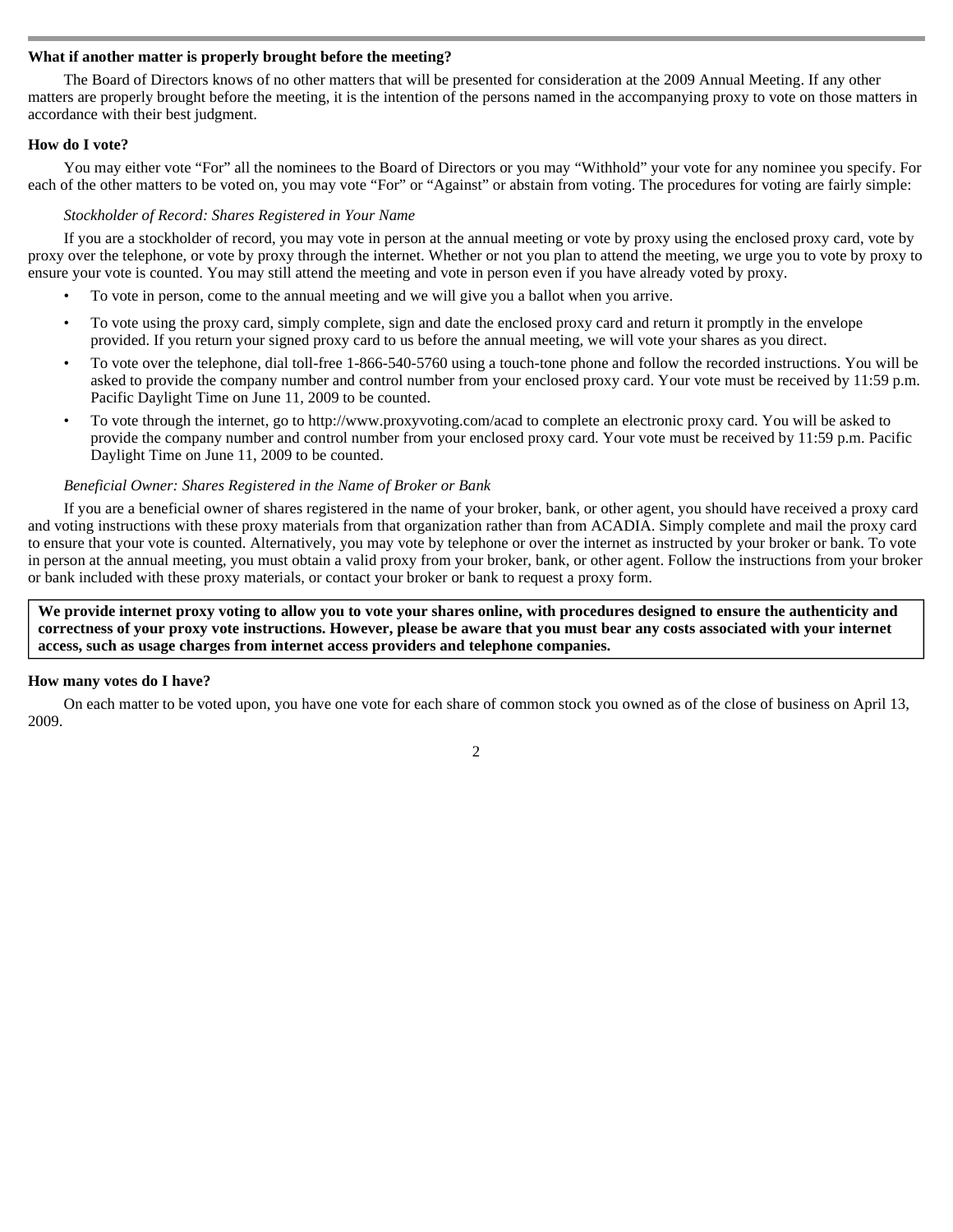# **What if another matter is properly brought before the meeting?**

 The Board of Directors knows of no other matters that will be presented for consideration at the 2009 Annual Meeting. If any other matters are properly brought before the meeting, it is the intention of the persons named in the accompanying proxy to vote on those matters in accordance with their best judgment.

# **How do I vote?**

 You may either vote "For" all the nominees to the Board of Directors or you may "Withhold" your vote for any nominee you specify. For each of the other matters to be voted on, you may vote "For" or "Against" or abstain from voting. The procedures for voting are fairly simple:

## *Stockholder of Record: Shares Registered in Your Name*

 If you are a stockholder of record, you may vote in person at the annual meeting or vote by proxy using the enclosed proxy card, vote by proxy over the telephone, or vote by proxy through the internet. Whether or not you plan to attend the meeting, we urge you to vote by proxy to ensure your vote is counted. You may still attend the meeting and vote in person even if you have already voted by proxy.

- To vote in person, come to the annual meeting and we will give you a ballot when you arrive.
- To vote using the proxy card, simply complete, sign and date the enclosed proxy card and return it promptly in the envelope provided. If you return your signed proxy card to us before the annual meeting, we will vote your shares as you direct.
- To vote over the telephone, dial toll-free 1-866-540-5760 using a touch-tone phone and follow the recorded instructions. You will be asked to provide the company number and control number from your enclosed proxy card. Your vote must be received by 11:59 p.m. Pacific Daylight Time on June 11, 2009 to be counted.
- To vote through the internet, go to http://www.proxyvoting.com/acad to complete an electronic proxy card. You will be asked to provide the company number and control number from your enclosed proxy card. Your vote must be received by 11:59 p.m. Pacific Daylight Time on June 11, 2009 to be counted.

# *Beneficial Owner: Shares Registered in the Name of Broker or Bank*

If you are a beneficial owner of shares registered in the name of your broker, bank, or other agent, you should have received a proxy card and voting instructions with these proxy materials from that organization rather than from ACADIA. Simply complete and mail the proxy card to ensure that your vote is counted. Alternatively, you may vote by telephone or over the internet as instructed by your broker or bank. To vote in person at the annual meeting, you must obtain a valid proxy from your broker, bank, or other agent. Follow the instructions from your broker or bank included with these proxy materials, or contact your broker or bank to request a proxy form.

**We provide internet proxy voting to allow you to vote your shares online, with procedures designed to ensure the authenticity and correctness of your proxy vote instructions. However, please be aware that you must bear any costs associated with your internet access, such as usage charges from internet access providers and telephone companies.** 

# **How many votes do I have?**

On each matter to be voted upon, you have one vote for each share of common stock you owned as of the close of business on April 13, 2009.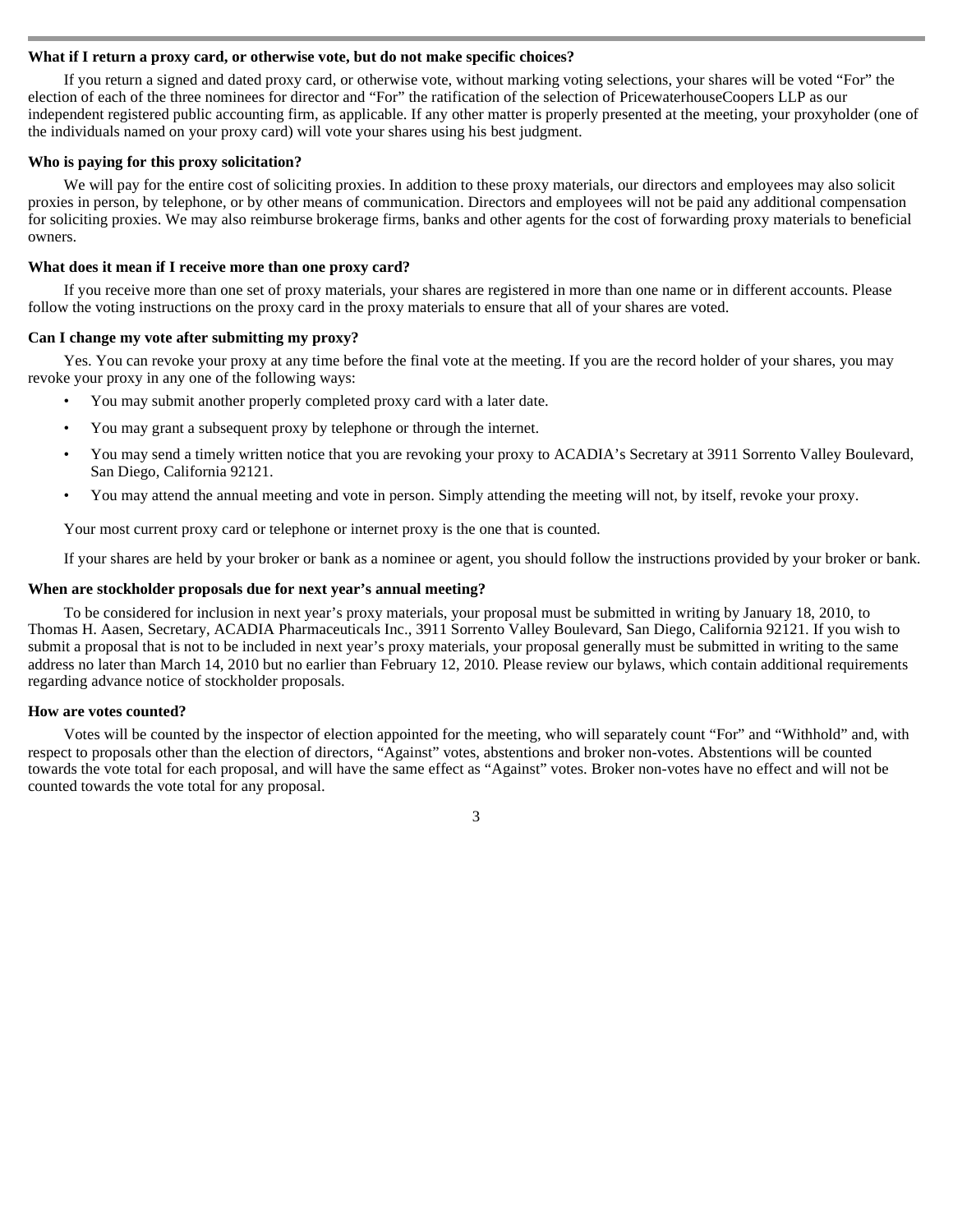## **What if I return a proxy card, or otherwise vote, but do not make specific choices?**

 If you return a signed and dated proxy card, or otherwise vote, without marking voting selections, your shares will be voted "For" the election of each of the three nominees for director and "For" the ratification of the selection of PricewaterhouseCoopers LLP as our independent registered public accounting firm, as applicable. If any other matter is properly presented at the meeting, your proxyholder (one of the individuals named on your proxy card) will vote your shares using his best judgment.

#### **Who is paying for this proxy solicitation?**

We will pay for the entire cost of soliciting proxies. In addition to these proxy materials, our directors and employees may also solicit proxies in person, by telephone, or by other means of communication. Directors and employees will not be paid any additional compensation for soliciting proxies. We may also reimburse brokerage firms, banks and other agents for the cost of forwarding proxy materials to beneficial owners.

## **What does it mean if I receive more than one proxy card?**

 If you receive more than one set of proxy materials, your shares are registered in more than one name or in different accounts. Please follow the voting instructions on the proxy card in the proxy materials to ensure that all of your shares are voted.

## **Can I change my vote after submitting my proxy?**

 Yes. You can revoke your proxy at any time before the final vote at the meeting. If you are the record holder of your shares, you may revoke your proxy in any one of the following ways:

- You may submit another properly completed proxy card with a later date.
- You may grant a subsequent proxy by telephone or through the internet.
- You may send a timely written notice that you are revoking your proxy to ACADIA's Secretary at 3911 Sorrento Valley Boulevard, San Diego, California 92121.
- You may attend the annual meeting and vote in person. Simply attending the meeting will not, by itself, revoke your proxy.

Your most current proxy card or telephone or internet proxy is the one that is counted.

If your shares are held by your broker or bank as a nominee or agent, you should follow the instructions provided by your broker or bank.

## **When are stockholder proposals due for next year's annual meeting?**

To be considered for inclusion in next year's proxy materials, your proposal must be submitted in writing by January 18, 2010, to Thomas H. Aasen, Secretary, ACADIA Pharmaceuticals Inc., 3911 Sorrento Valley Boulevard, San Diego, California 92121. If you wish to submit a proposal that is not to be included in next year's proxy materials, your proposal generally must be submitted in writing to the same address no later than March 14, 2010 but no earlier than February 12, 2010. Please review our bylaws, which contain additional requirements regarding advance notice of stockholder proposals.

#### **How are votes counted?**

 Votes will be counted by the inspector of election appointed for the meeting, who will separately count "For" and "Withhold" and, with respect to proposals other than the election of directors, "Against" votes, abstentions and broker non-votes. Abstentions will be counted towards the vote total for each proposal, and will have the same effect as "Against" votes. Broker non-votes have no effect and will not be counted towards the vote total for any proposal.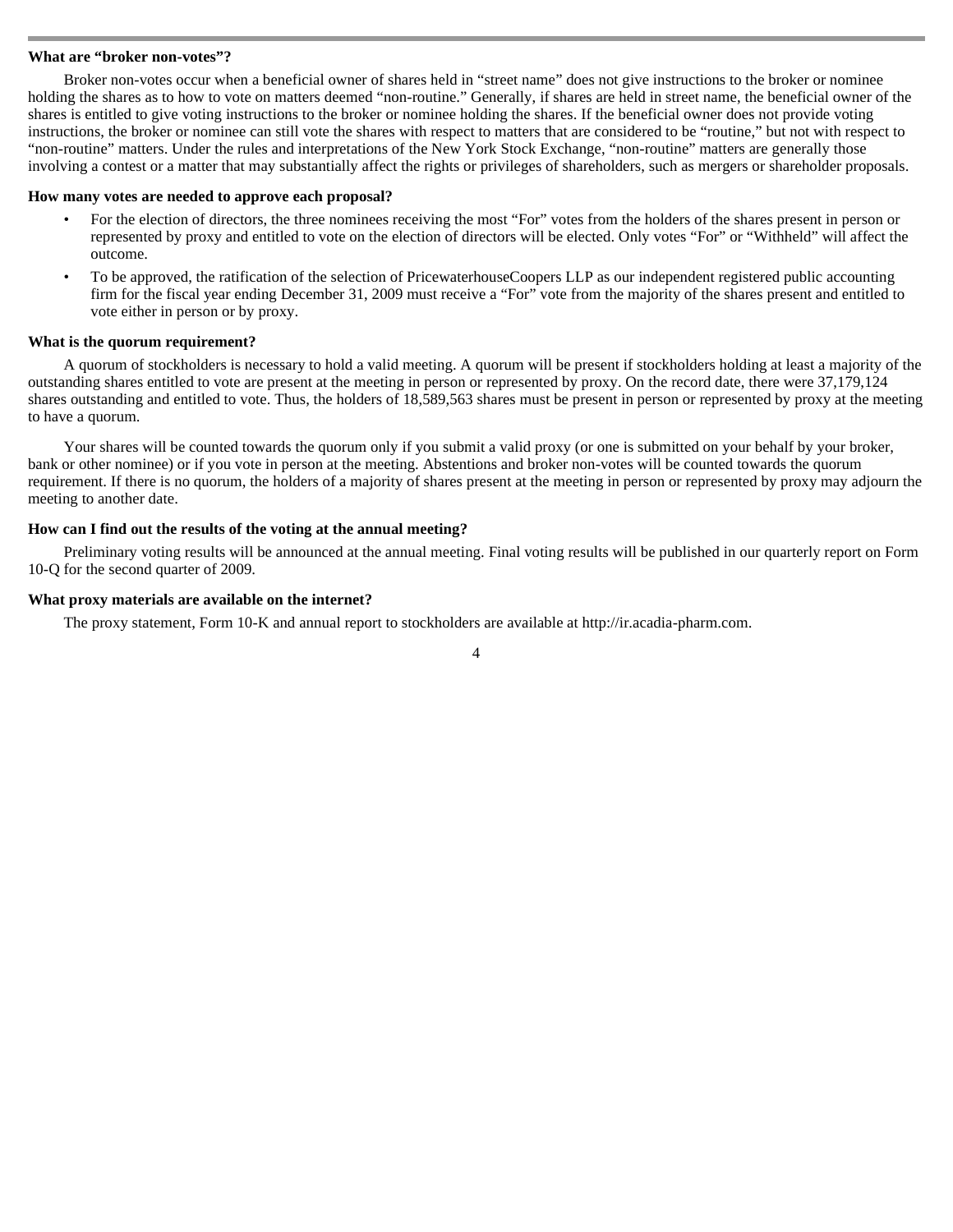### **What are "broker non-votes"?**

 Broker non-votes occur when a beneficial owner of shares held in "street name" does not give instructions to the broker or nominee holding the shares as to how to vote on matters deemed "non-routine." Generally, if shares are held in street name, the beneficial owner of the shares is entitled to give voting instructions to the broker or nominee holding the shares. If the beneficial owner does not provide voting instructions, the broker or nominee can still vote the shares with respect to matters that are considered to be "routine," but not with respect to "non-routine" matters. Under the rules and interpretations of the New York Stock Exchange, "non-routine" matters are generally those involving a contest or a matter that may substantially affect the rights or privileges of shareholders, such as mergers or shareholder proposals.

#### **How many votes are needed to approve each proposal?**

- For the election of directors, the three nominees receiving the most "For" votes from the holders of the shares present in person or represented by proxy and entitled to vote on the election of directors will be elected. Only votes "For" or "Withheld" will affect the outcome.
- To be approved, the ratification of the selection of PricewaterhouseCoopers LLP as our independent registered public accounting firm for the fiscal year ending December 31, 2009 must receive a "For" vote from the majority of the shares present and entitled to vote either in person or by proxy.

# **What is the quorum requirement?**

A quorum of stockholders is necessary to hold a valid meeting. A quorum will be present if stockholders holding at least a majority of the outstanding shares entitled to vote are present at the meeting in person or represented by proxy. On the record date, there were 37,179,124 shares outstanding and entitled to vote. Thus, the holders of 18,589,563 shares must be present in person or represented by proxy at the meeting to have a quorum.

Your shares will be counted towards the quorum only if you submit a valid proxy (or one is submitted on your behalf by your broker, bank or other nominee) or if you vote in person at the meeting. Abstentions and broker non-votes will be counted towards the quorum requirement. If there is no quorum, the holders of a majority of shares present at the meeting in person or represented by proxy may adjourn the meeting to another date.

## **How can I find out the results of the voting at the annual meeting?**

 Preliminary voting results will be announced at the annual meeting. Final voting results will be published in our quarterly report on Form 10-Q for the second quarter of 2009.

## **What proxy materials are available on the internet?**

The proxy statement, Form 10-K and annual report to stockholders are available at http://ir.acadia-pharm.com.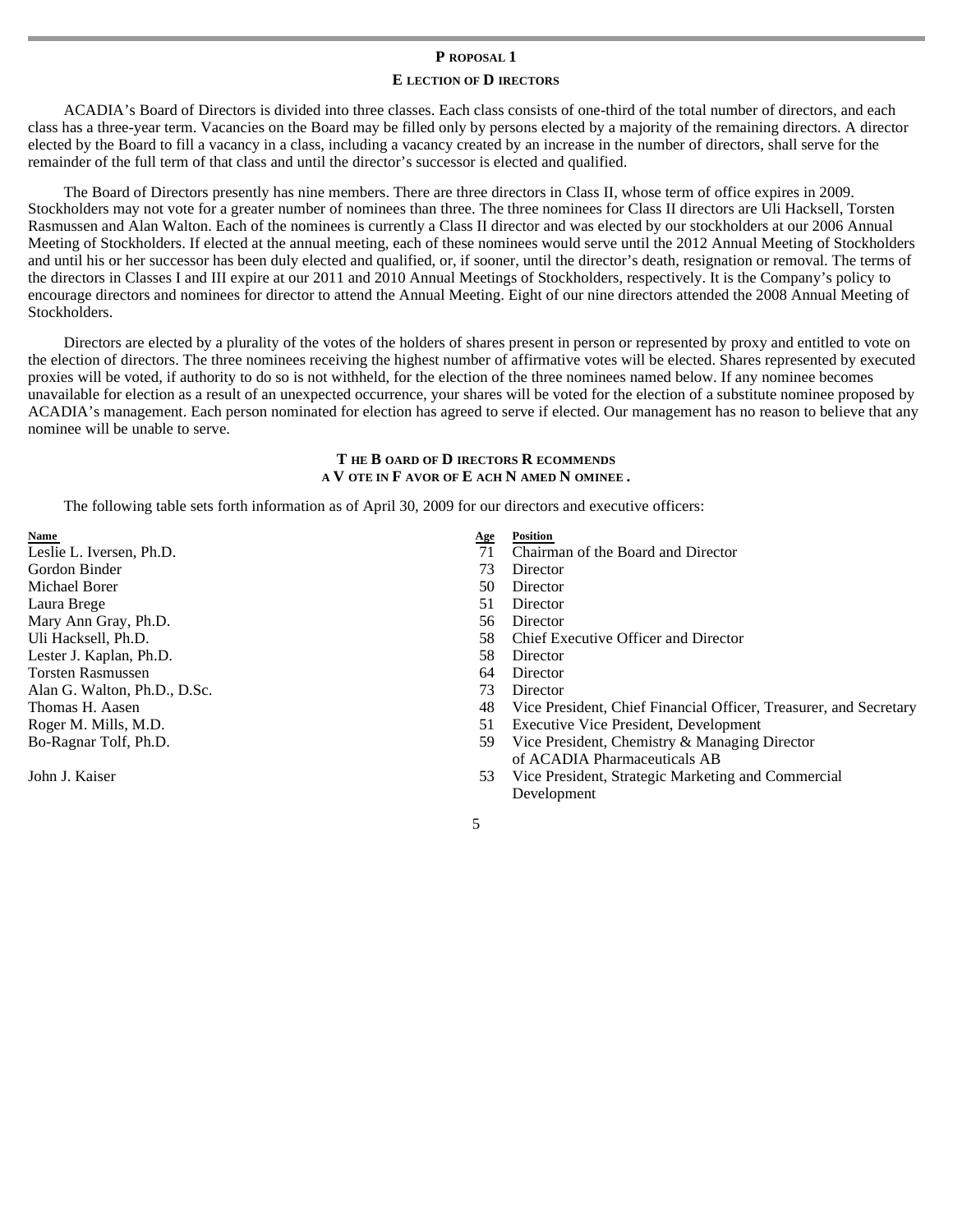# **P ROPOSAL 1**

# **E LECTION OF D IRECTORS**

ACADIA's Board of Directors is divided into three classes. Each class consists of one-third of the total number of directors, and each class has a three-year term. Vacancies on the Board may be filled only by persons elected by a majority of the remaining directors. A director elected by the Board to fill a vacancy in a class, including a vacancy created by an increase in the number of directors, shall serve for the remainder of the full term of that class and until the director's successor is elected and qualified.

The Board of Directors presently has nine members. There are three directors in Class II, whose term of office expires in 2009. Stockholders may not vote for a greater number of nominees than three. The three nominees for Class II directors are Uli Hacksell, Torsten Rasmussen and Alan Walton. Each of the nominees is currently a Class II director and was elected by our stockholders at our 2006 Annual Meeting of Stockholders. If elected at the annual meeting, each of these nominees would serve until the 2012 Annual Meeting of Stockholders and until his or her successor has been duly elected and qualified, or, if sooner, until the director's death, resignation or removal. The terms of the directors in Classes I and III expire at our 2011 and 2010 Annual Meetings of Stockholders, respectively. It is the Company's policy to encourage directors and nominees for director to attend the Annual Meeting. Eight of our nine directors attended the 2008 Annual Meeting of Stockholders.

Directors are elected by a plurality of the votes of the holders of shares present in person or represented by proxy and entitled to vote on the election of directors. The three nominees receiving the highest number of affirmative votes will be elected. Shares represented by executed proxies will be voted, if authority to do so is not withheld, for the election of the three nominees named below. If any nominee becomes unavailable for election as a result of an unexpected occurrence, your shares will be voted for the election of a substitute nominee proposed by ACADIA's management. Each person nominated for election has agreed to serve if elected. Our management has no reason to believe that any nominee will be unable to serve.

# **T HE B OARD OF D IRECTORS R ECOMMENDS A V OTE IN F AVOR OF E ACH N AMED N OMINEE .**

The following table sets forth information as of April 30, 2009 for our directors and executive officers:

Gordon Binder 73 Director Michael Borer 50 Director 50 Director Laura Brege 51 Director Mary Ann Gray, Ph.D. 56 Director Lester J. Kaplan, Ph.D. 58 Director Torsten Rasmussen 64 Director Alan G. Walton, Ph.D., D.Sc. 73 Director Bo-Ragnar Tolf, Ph.D.

John J. Kaiser

- **Name Age Position Age Position**  $\mathbf{A}$
- Leslie L. Iversen, Ph.D. 71 Chairman of the Board and Director
	-
	-
	-
	-
- Uli Hacksell, Ph.D. 58 Chief Executive Officer and Director
	-
	-
	-
- Thomas H. Aasen 48 Vice President, Chief Financial Officer, Treasurer, and Secretary
- Roger M. Mills, M.D. 51 Executive Vice President, Development
	- 59 Vice President, Chemistry & Managing Director of ACADIA Pharmaceuticals AB
	- 53 Vice President, Strategic Marketing and Commercial Development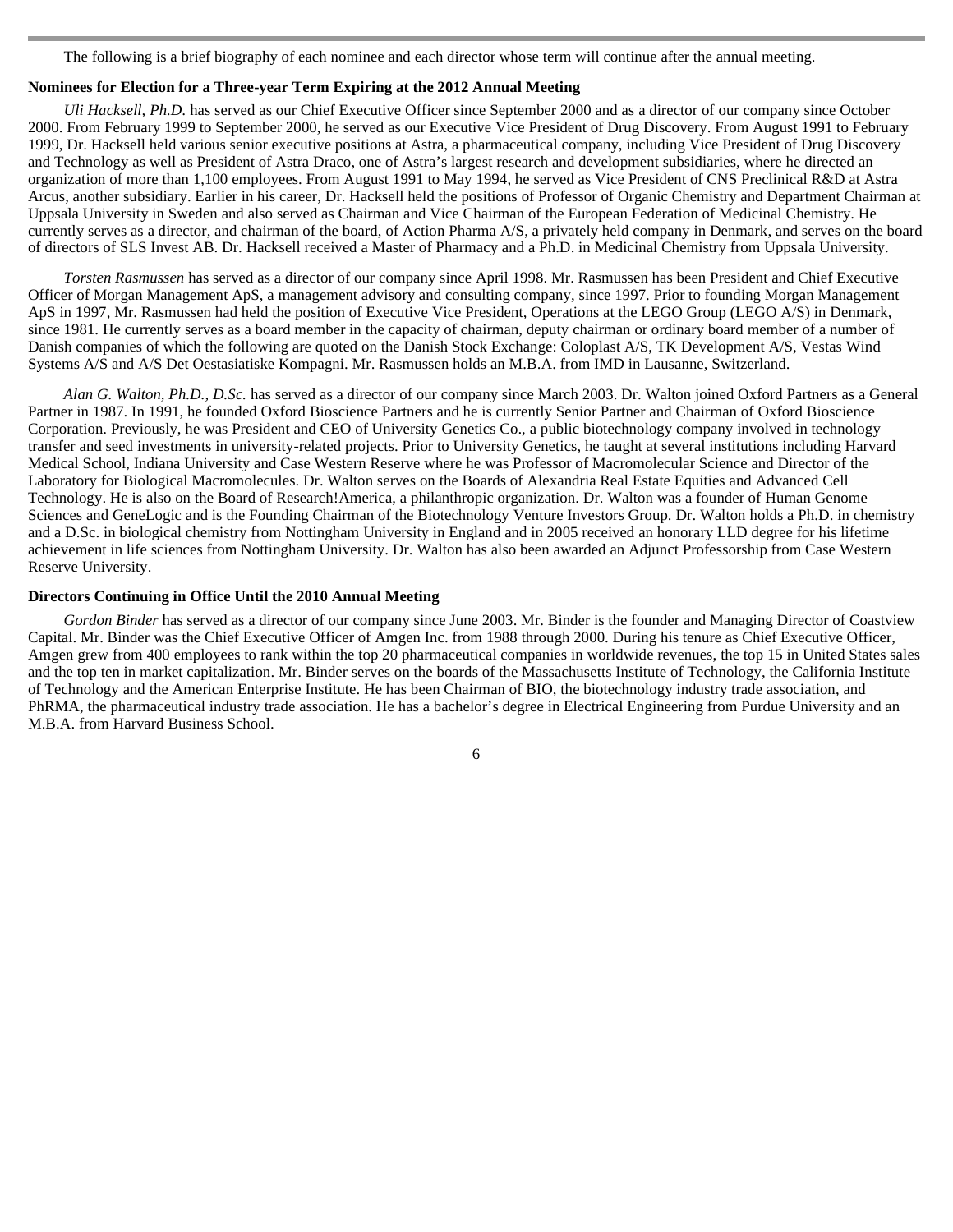The following is a brief biography of each nominee and each director whose term will continue after the annual meeting.

# **Nominees for Election for a Three-year Term Expiring at the 2012 Annual Meeting**

 *Uli Hacksell, Ph.D.* has served as our Chief Executive Officer since September 2000 and as a director of our company since October 2000. From February 1999 to September 2000, he served as our Executive Vice President of Drug Discovery. From August 1991 to February 1999, Dr. Hacksell held various senior executive positions at Astra, a pharmaceutical company, including Vice President of Drug Discovery and Technology as well as President of Astra Draco, one of Astra's largest research and development subsidiaries, where he directed an organization of more than 1,100 employees. From August 1991 to May 1994, he served as Vice President of CNS Preclinical R&D at Astra Arcus, another subsidiary. Earlier in his career, Dr. Hacksell held the positions of Professor of Organic Chemistry and Department Chairman at Uppsala University in Sweden and also served as Chairman and Vice Chairman of the European Federation of Medicinal Chemistry. He currently serves as a director, and chairman of the board, of Action Pharma A/S, a privately held company in Denmark, and serves on the board of directors of SLS Invest AB. Dr. Hacksell received a Master of Pharmacy and a Ph.D. in Medicinal Chemistry from Uppsala University.

*Torsten Rasmussen* has served as a director of our company since April 1998. Mr. Rasmussen has been President and Chief Executive Officer of Morgan Management ApS, a management advisory and consulting company, since 1997. Prior to founding Morgan Management ApS in 1997, Mr. Rasmussen had held the position of Executive Vice President, Operations at the LEGO Group (LEGO A/S) in Denmark, since 1981. He currently serves as a board member in the capacity of chairman, deputy chairman or ordinary board member of a number of Danish companies of which the following are quoted on the Danish Stock Exchange: Coloplast A/S, TK Development A/S, Vestas Wind Systems A/S and A/S Det Oestasiatiske Kompagni. Mr. Rasmussen holds an M.B.A. from IMD in Lausanne, Switzerland.

*Alan G. Walton, Ph.D., D.Sc.* has served as a director of our company since March 2003. Dr. Walton joined Oxford Partners as a General Partner in 1987. In 1991, he founded Oxford Bioscience Partners and he is currently Senior Partner and Chairman of Oxford Bioscience Corporation. Previously, he was President and CEO of University Genetics Co., a public biotechnology company involved in technology transfer and seed investments in university-related projects. Prior to University Genetics, he taught at several institutions including Harvard Medical School, Indiana University and Case Western Reserve where he was Professor of Macromolecular Science and Director of the Laboratory for Biological Macromolecules. Dr. Walton serves on the Boards of Alexandria Real Estate Equities and Advanced Cell Technology. He is also on the Board of Research!America, a philanthropic organization. Dr. Walton was a founder of Human Genome Sciences and GeneLogic and is the Founding Chairman of the Biotechnology Venture Investors Group. Dr. Walton holds a Ph.D. in chemistry and a D.Sc. in biological chemistry from Nottingham University in England and in 2005 received an honorary LLD degree for his lifetime achievement in life sciences from Nottingham University. Dr. Walton has also been awarded an Adjunct Professorship from Case Western Reserve University.

# **Directors Continuing in Office Until the 2010 Annual Meeting**

 *Gordon Binder* has served as a director of our company since June 2003. Mr. Binder is the founder and Managing Director of Coastview Capital. Mr. Binder was the Chief Executive Officer of Amgen Inc. from 1988 through 2000. During his tenure as Chief Executive Officer, Amgen grew from 400 employees to rank within the top 20 pharmaceutical companies in worldwide revenues, the top 15 in United States sales and the top ten in market capitalization. Mr. Binder serves on the boards of the Massachusetts Institute of Technology, the California Institute of Technology and the American Enterprise Institute. He has been Chairman of BIO, the biotechnology industry trade association, and PhRMA, the pharmaceutical industry trade association. He has a bachelor's degree in Electrical Engineering from Purdue University and an M.B.A. from Harvard Business School.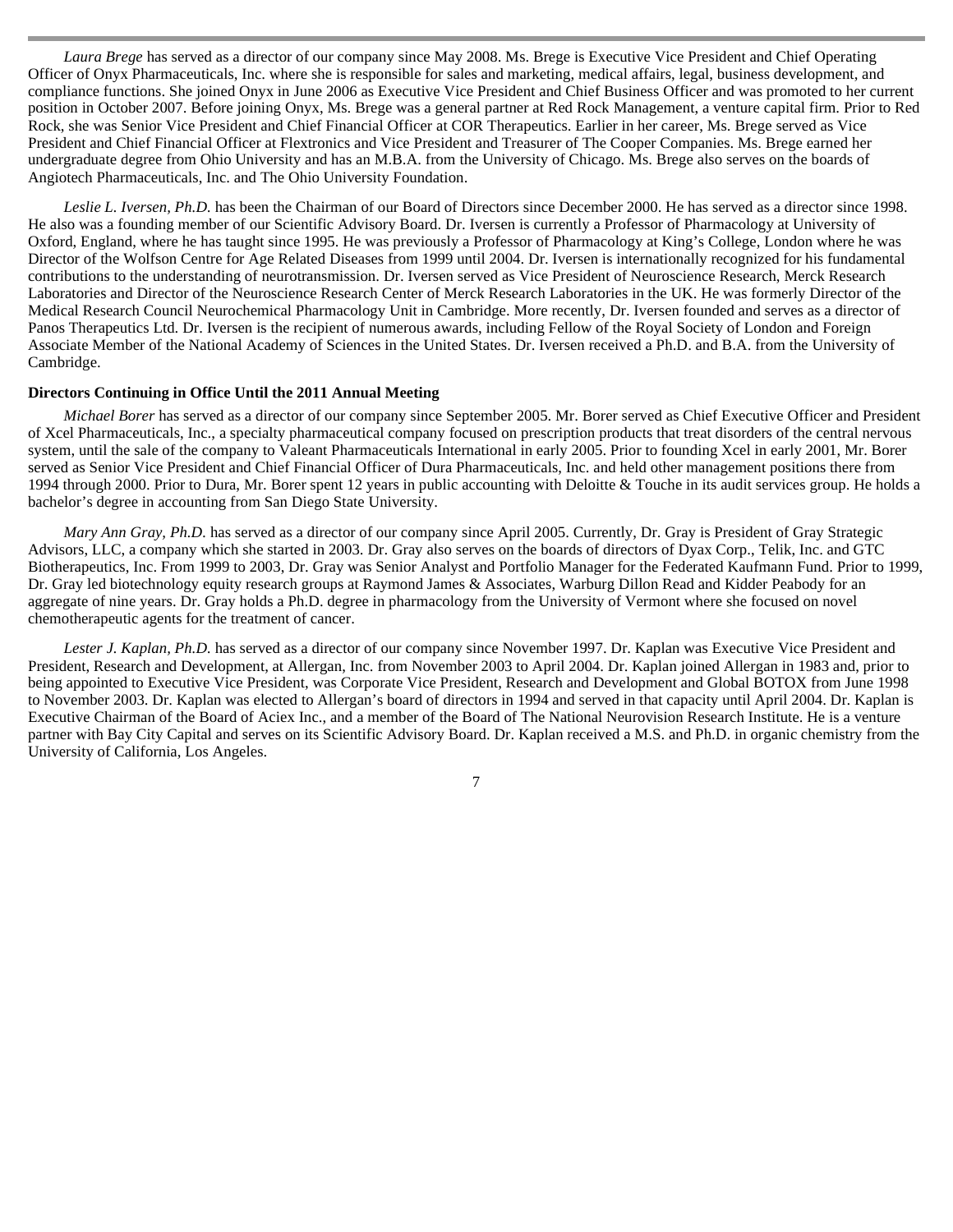*Laura Brege* has served as a director of our company since May 2008. Ms. Brege is Executive Vice President and Chief Operating Officer of Onyx Pharmaceuticals, Inc. where she is responsible for sales and marketing, medical affairs, legal, business development, and compliance functions. She joined Onyx in June 2006 as Executive Vice President and Chief Business Officer and was promoted to her current position in October 2007. Before joining Onyx, Ms. Brege was a general partner at Red Rock Management, a venture capital firm. Prior to Red Rock, she was Senior Vice President and Chief Financial Officer at COR Therapeutics. Earlier in her career, Ms. Brege served as Vice President and Chief Financial Officer at Flextronics and Vice President and Treasurer of The Cooper Companies. Ms. Brege earned her undergraduate degree from Ohio University and has an M.B.A. from the University of Chicago. Ms. Brege also serves on the boards of Angiotech Pharmaceuticals, Inc. and The Ohio University Foundation.

*Leslie L. Iversen, Ph.D.* has been the Chairman of our Board of Directors since December 2000. He has served as a director since 1998. He also was a founding member of our Scientific Advisory Board. Dr. Iversen is currently a Professor of Pharmacology at University of Oxford, England, where he has taught since 1995. He was previously a Professor of Pharmacology at King's College, London where he was Director of the Wolfson Centre for Age Related Diseases from 1999 until 2004. Dr. Iversen is internationally recognized for his fundamental contributions to the understanding of neurotransmission. Dr. Iversen served as Vice President of Neuroscience Research, Merck Research Laboratories and Director of the Neuroscience Research Center of Merck Research Laboratories in the UK. He was formerly Director of the Medical Research Council Neurochemical Pharmacology Unit in Cambridge. More recently, Dr. Iversen founded and serves as a director of Panos Therapeutics Ltd. Dr. Iversen is the recipient of numerous awards, including Fellow of the Royal Society of London and Foreign Associate Member of the National Academy of Sciences in the United States. Dr. Iversen received a Ph.D. and B.A. from the University of Cambridge.

# **Directors Continuing in Office Until the 2011 Annual Meeting**

 *Michael Borer* has served as a director of our company since September 2005. Mr. Borer served as Chief Executive Officer and President of Xcel Pharmaceuticals, Inc., a specialty pharmaceutical company focused on prescription products that treat disorders of the central nervous system, until the sale of the company to Valeant Pharmaceuticals International in early 2005. Prior to founding Xcel in early 2001, Mr. Borer served as Senior Vice President and Chief Financial Officer of Dura Pharmaceuticals, Inc. and held other management positions there from 1994 through 2000. Prior to Dura, Mr. Borer spent 12 years in public accounting with Deloitte & Touche in its audit services group. He holds a bachelor's degree in accounting from San Diego State University.

*Mary Ann Gray, Ph.D.* has served as a director of our company since April 2005. Currently, Dr. Gray is President of Gray Strategic Advisors, LLC, a company which she started in 2003. Dr. Gray also serves on the boards of directors of Dyax Corp., Telik, Inc. and GTC Biotherapeutics, Inc. From 1999 to 2003, Dr. Gray was Senior Analyst and Portfolio Manager for the Federated Kaufmann Fund. Prior to 1999, Dr. Gray led biotechnology equity research groups at Raymond James & Associates, Warburg Dillon Read and Kidder Peabody for an aggregate of nine years. Dr. Gray holds a Ph.D. degree in pharmacology from the University of Vermont where she focused on novel chemotherapeutic agents for the treatment of cancer.

*Lester J. Kaplan, Ph.D.* has served as a director of our company since November 1997. Dr. Kaplan was Executive Vice President and President, Research and Development, at Allergan, Inc. from November 2003 to April 2004. Dr. Kaplan joined Allergan in 1983 and, prior to being appointed to Executive Vice President, was Corporate Vice President, Research and Development and Global BOTOX from June 1998 to November 2003. Dr. Kaplan was elected to Allergan's board of directors in 1994 and served in that capacity until April 2004. Dr. Kaplan is Executive Chairman of the Board of Aciex Inc., and a member of the Board of The National Neurovision Research Institute. He is a venture partner with Bay City Capital and serves on its Scientific Advisory Board. Dr. Kaplan received a M.S. and Ph.D. in organic chemistry from the University of California, Los Angeles.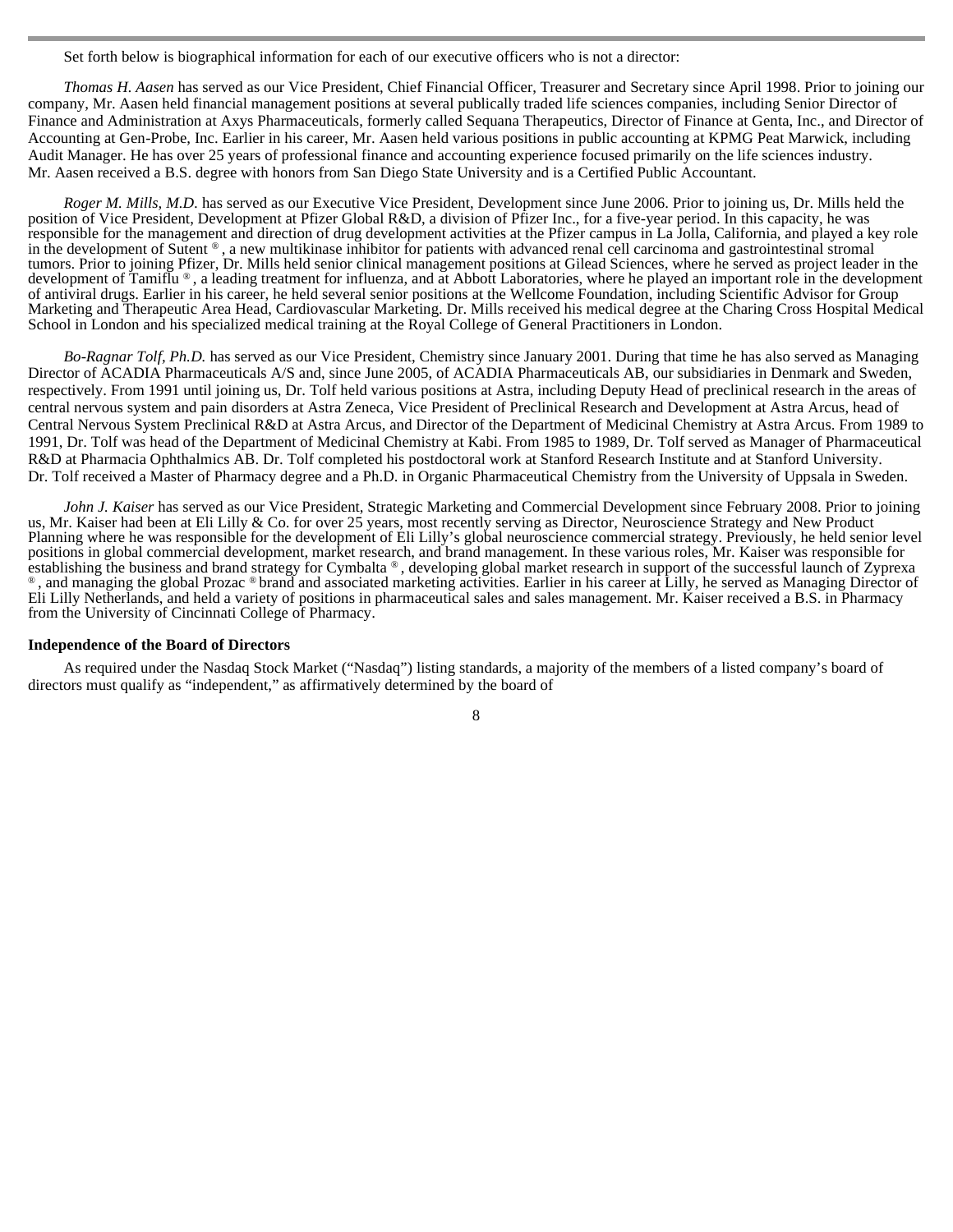Set forth below is biographical information for each of our executive officers who is not a director:

*Thomas H. Aasen* has served as our Vice President, Chief Financial Officer, Treasurer and Secretary since April 1998. Prior to joining our company, Mr. Aasen held financial management positions at several publically traded life sciences companies, including Senior Director of Finance and Administration at Axys Pharmaceuticals, formerly called Sequana Therapeutics, Director of Finance at Genta, Inc., and Director of Accounting at Gen-Probe, Inc. Earlier in his career, Mr. Aasen held various positions in public accounting at KPMG Peat Marwick, including Audit Manager. He has over 25 years of professional finance and accounting experience focused primarily on the life sciences industry. Mr. Aasen received a B.S. degree with honors from San Diego State University and is a Certified Public Accountant.

*Roger M. Mills, M.D.* has served as our Executive Vice President, Development since June 2006. Prior to joining us, Dr. Mills held the position of Vice President, Development at Pfizer Global R&D, a division of Pfizer Inc., for a five-year period. In this capacity, he was responsible for the management and direction of drug development activities at the Pfizer campus in La Jolla, California, and played a key role in the development of Sutent ® , a new multikinase inhibitor for patients with advanced renal cell carcinoma and gastrointestinal stromal tumors. Prior to joining Pfizer, Dr. Mills held senior clinical management positions at Gilead Sciences, where he served as project leader in the development of Tamiflu ®, a leading treatment for influenza, and at Abbott Laboratories, where he played an important role in the development of antiviral drugs. Earlier in his career, he held several senior positions at the Wellcome Foundation, including Scientific Advisor for Group Marketing and Therapeutic Area Head, Cardiovascular Marketing. Dr. Mills received his medical degree at the Charing Cross Hospital Medical School in London and his specialized medical training at the Royal College of General Practitioners in London.

*Bo-Ragnar Tolf, Ph.D.* has served as our Vice President, Chemistry since January 2001. During that time he has also served as Managing Director of ACADIA Pharmaceuticals A/S and, since June 2005, of ACADIA Pharmaceuticals AB, our subsidiaries in Denmark and Sweden, respectively. From 1991 until joining us, Dr. Tolf held various positions at Astra, including Deputy Head of preclinical research in the areas of central nervous system and pain disorders at Astra Zeneca, Vice President of Preclinical Research and Development at Astra Arcus, head of Central Nervous System Preclinical R&D at Astra Arcus, and Director of the Department of Medicinal Chemistry at Astra Arcus. From 1989 to 1991, Dr. Tolf was head of the Department of Medicinal Chemistry at Kabi. From 1985 to 1989, Dr. Tolf served as Manager of Pharmaceutical R&D at Pharmacia Ophthalmics AB. Dr. Tolf completed his postdoctoral work at Stanford Research Institute and at Stanford University. Dr. Tolf received a Master of Pharmacy degree and a Ph.D. in Organic Pharmaceutical Chemistry from the University of Uppsala in Sweden.

*John J. Kaiser* has served as our Vice President, Strategic Marketing and Commercial Development since February 2008. Prior to joining us, Mr. Kaiser had been at Eli Lilly & Co. for over 25 years, most recently serving as Director, Neuroscience Strategy and New Product Planning where he was responsible for the development of Eli Lilly's global neuroscience commercial strategy. Previously, he held senior level positions in global commercial development, market research, and brand management. In these various roles, Mr. Kaiser was responsible for establishing the business and brand strategy for Cymbalta ® , developing global market research in support of the successful launch of Zyprexa ® , and managing the global Prozac ® brand and associated marketing activities. Earlier in his career at Lilly, he served as Managing Director of Eli Lilly Netherlands, and held a variety of positions in pharmaceutical sales and sales management. Mr. Kaiser received a B.S. in Pharmacy from the University of Cincinnati College of Pharmacy.

#### **Independence of the Board of Directors**

 As required under the Nasdaq Stock Market ("Nasdaq") listing standards, a majority of the members of a listed company's board of directors must qualify as "independent," as affirmatively determined by the board of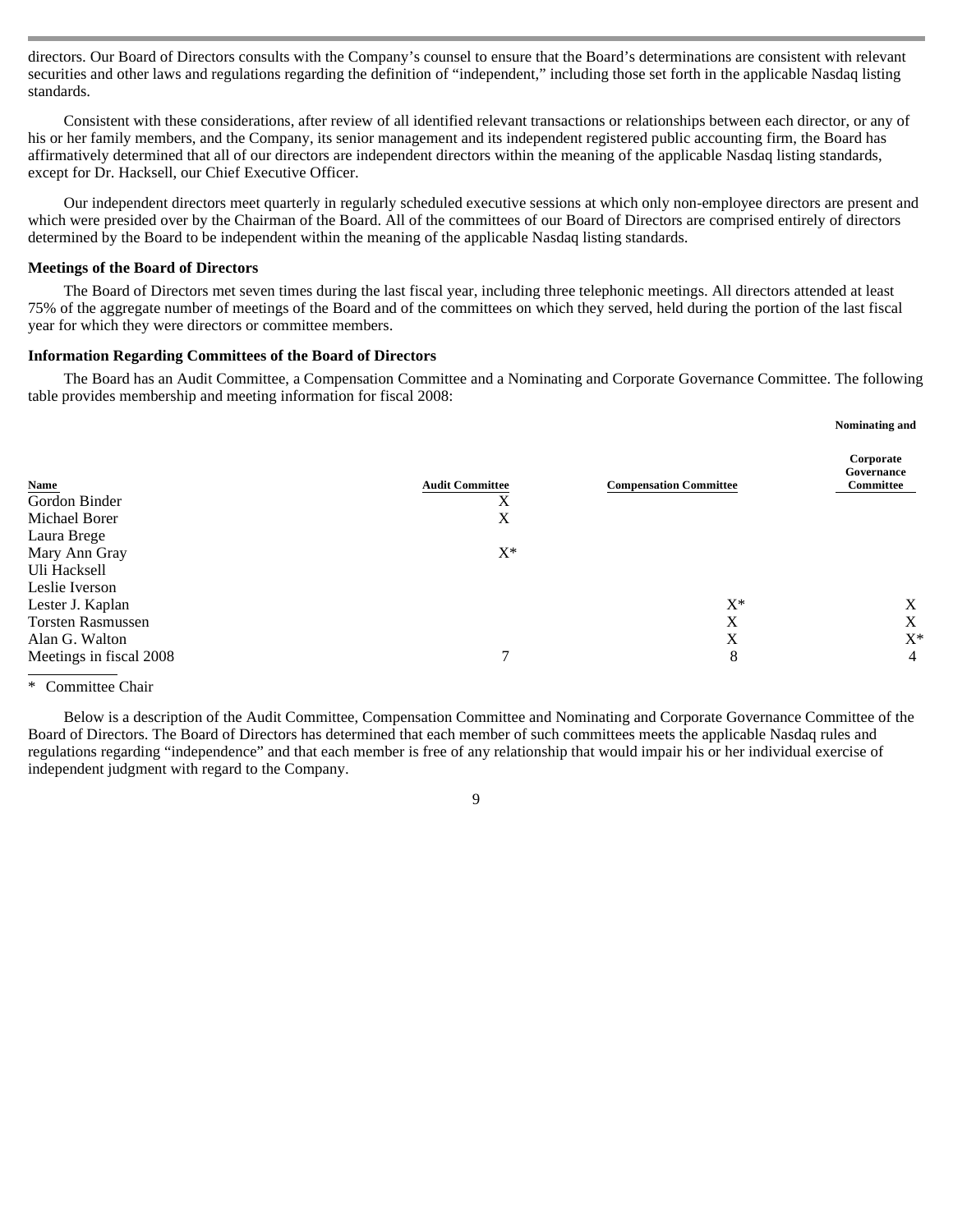directors. Our Board of Directors consults with the Company's counsel to ensure that the Board's determinations are consistent with relevant securities and other laws and regulations regarding the definition of "independent," including those set forth in the applicable Nasdaq listing standards.

Consistent with these considerations, after review of all identified relevant transactions or relationships between each director, or any of his or her family members, and the Company, its senior management and its independent registered public accounting firm, the Board has affirmatively determined that all of our directors are independent directors within the meaning of the applicable Nasdaq listing standards, except for Dr. Hacksell, our Chief Executive Officer.

Our independent directors meet quarterly in regularly scheduled executive sessions at which only non-employee directors are present and which were presided over by the Chairman of the Board. All of the committees of our Board of Directors are comprised entirely of directors determined by the Board to be independent within the meaning of the applicable Nasdaq listing standards.

#### **Meetings of the Board of Directors**

 The Board of Directors met seven times during the last fiscal year, including three telephonic meetings. All directors attended at least 75% of the aggregate number of meetings of the Board and of the committees on which they served, held during the portion of the last fiscal year for which they were directors or committee members.

#### **Information Regarding Committees of the Board of Directors**

 The Board has an Audit Committee, a Compensation Committee and a Nominating and Corporate Governance Committee. The following table provides membership and meeting information for fiscal 2008:

| Name<br><b>Audit Committee</b><br><b>Compensation Committee</b> | Corporate<br>Governance<br>Committee |
|-----------------------------------------------------------------|--------------------------------------|
| Gordon Binder<br>Х                                              |                                      |
| Michael Borer<br>X                                              |                                      |
| Laura Brege                                                     |                                      |
| $X^*$<br>Mary Ann Gray                                          |                                      |
| Uli Hacksell                                                    |                                      |
| Leslie Iverson                                                  |                                      |
| $X^*$<br>Lester J. Kaplan                                       | X                                    |
| X<br><b>Torsten Rasmussen</b>                                   | X                                    |
| X<br>Alan G. Walton                                             | $X^*$                                |
| $\mathcal{I}$<br>8<br>Meetings in fiscal 2008                   | $\overline{4}$                       |

<sup>\*</sup> Committee Chair

Below is a description of the Audit Committee, Compensation Committee and Nominating and Corporate Governance Committee of the Board of Directors. The Board of Directors has determined that each member of such committees meets the applicable Nasdaq rules and regulations regarding "independence" and that each member is free of any relationship that would impair his or her individual exercise of independent judgment with regard to the Company.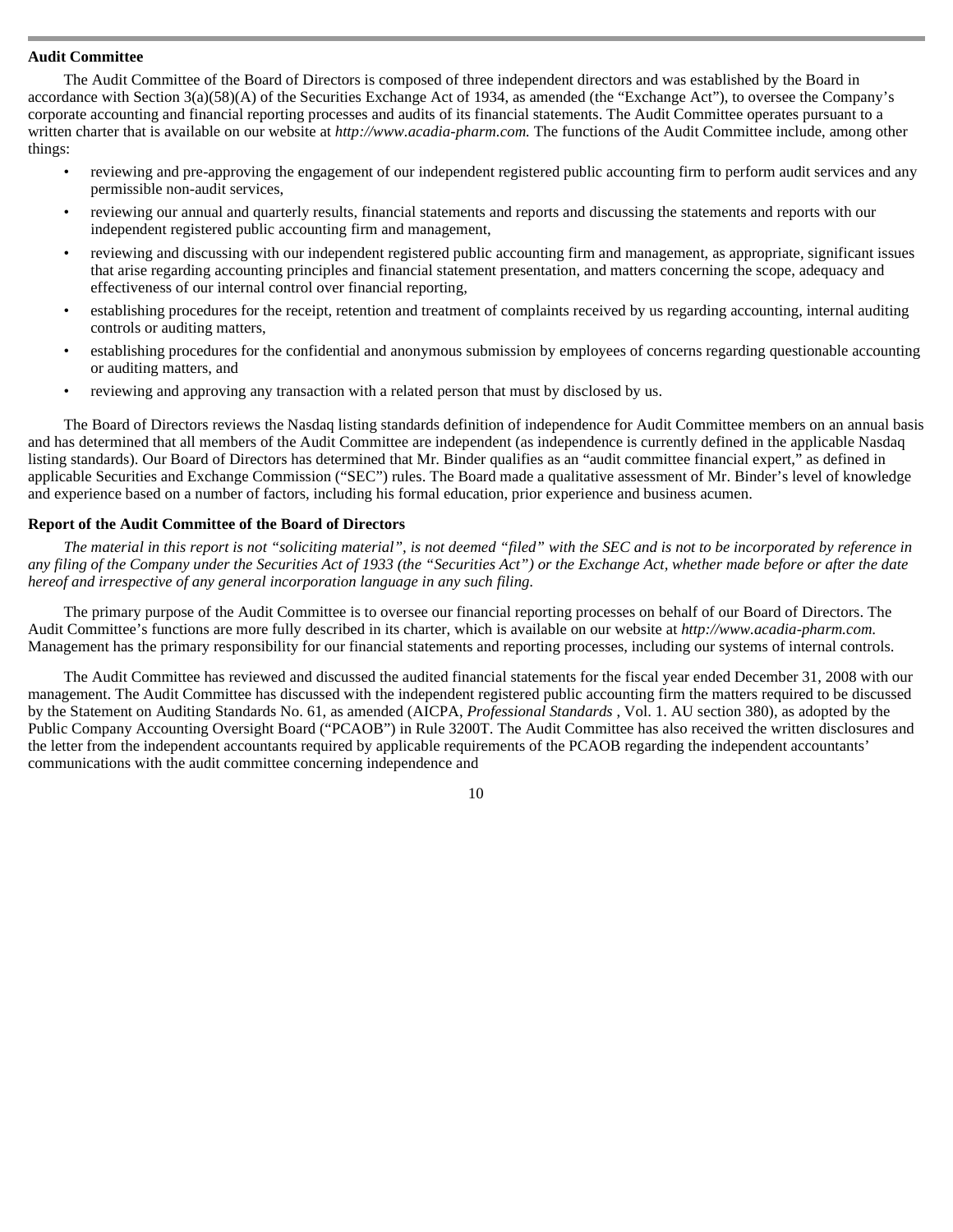## **Audit Committee**

 The Audit Committee of the Board of Directors is composed of three independent directors and was established by the Board in accordance with Section 3(a)(58)(A) of the Securities Exchange Act of 1934, as amended (the "Exchange Act"), to oversee the Company's corporate accounting and financial reporting processes and audits of its financial statements. The Audit Committee operates pursuant to a written charter that is available on our website at *http://www.acadia-pharm.com.* The functions of the Audit Committee include, among other things:

- reviewing and pre-approving the engagement of our independent registered public accounting firm to perform audit services and any permissible non-audit services,
- reviewing our annual and quarterly results, financial statements and reports and discussing the statements and reports with our independent registered public accounting firm and management,
- reviewing and discussing with our independent registered public accounting firm and management, as appropriate, significant issues that arise regarding accounting principles and financial statement presentation, and matters concerning the scope, adequacy and effectiveness of our internal control over financial reporting,
- establishing procedures for the receipt, retention and treatment of complaints received by us regarding accounting, internal auditing controls or auditing matters,
- establishing procedures for the confidential and anonymous submission by employees of concerns regarding questionable accounting or auditing matters, and
- reviewing and approving any transaction with a related person that must by disclosed by us.

The Board of Directors reviews the Nasdaq listing standards definition of independence for Audit Committee members on an annual basis and has determined that all members of the Audit Committee are independent (as independence is currently defined in the applicable Nasdaq listing standards). Our Board of Directors has determined that Mr. Binder qualifies as an "audit committee financial expert," as defined in applicable Securities and Exchange Commission ("SEC") rules. The Board made a qualitative assessment of Mr. Binder's level of knowledge and experience based on a number of factors, including his formal education, prior experience and business acumen.

# **Report of the Audit Committee of the Board of Directors**

*The material in this report is not "soliciting material", is not deemed "filed" with the SEC and is not to be incorporated by reference in any filing of the Company under the Securities Act of 1933 (the "Securities Act") or the Exchange Act, whether made before or after the date hereof and irrespective of any general incorporation language in any such filing.* 

The primary purpose of the Audit Committee is to oversee our financial reporting processes on behalf of our Board of Directors. The Audit Committee's functions are more fully described in its charter, which is available on our website at *http://www.acadia-pharm.com.*  Management has the primary responsibility for our financial statements and reporting processes, including our systems of internal controls.

The Audit Committee has reviewed and discussed the audited financial statements for the fiscal year ended December 31, 2008 with our management. The Audit Committee has discussed with the independent registered public accounting firm the matters required to be discussed by the Statement on Auditing Standards No. 61, as amended (AICPA, *Professional Standards* , Vol. 1. AU section 380), as adopted by the Public Company Accounting Oversight Board ("PCAOB") in Rule 3200T. The Audit Committee has also received the written disclosures and the letter from the independent accountants required by applicable requirements of the PCAOB regarding the independent accountants' communications with the audit committee concerning independence and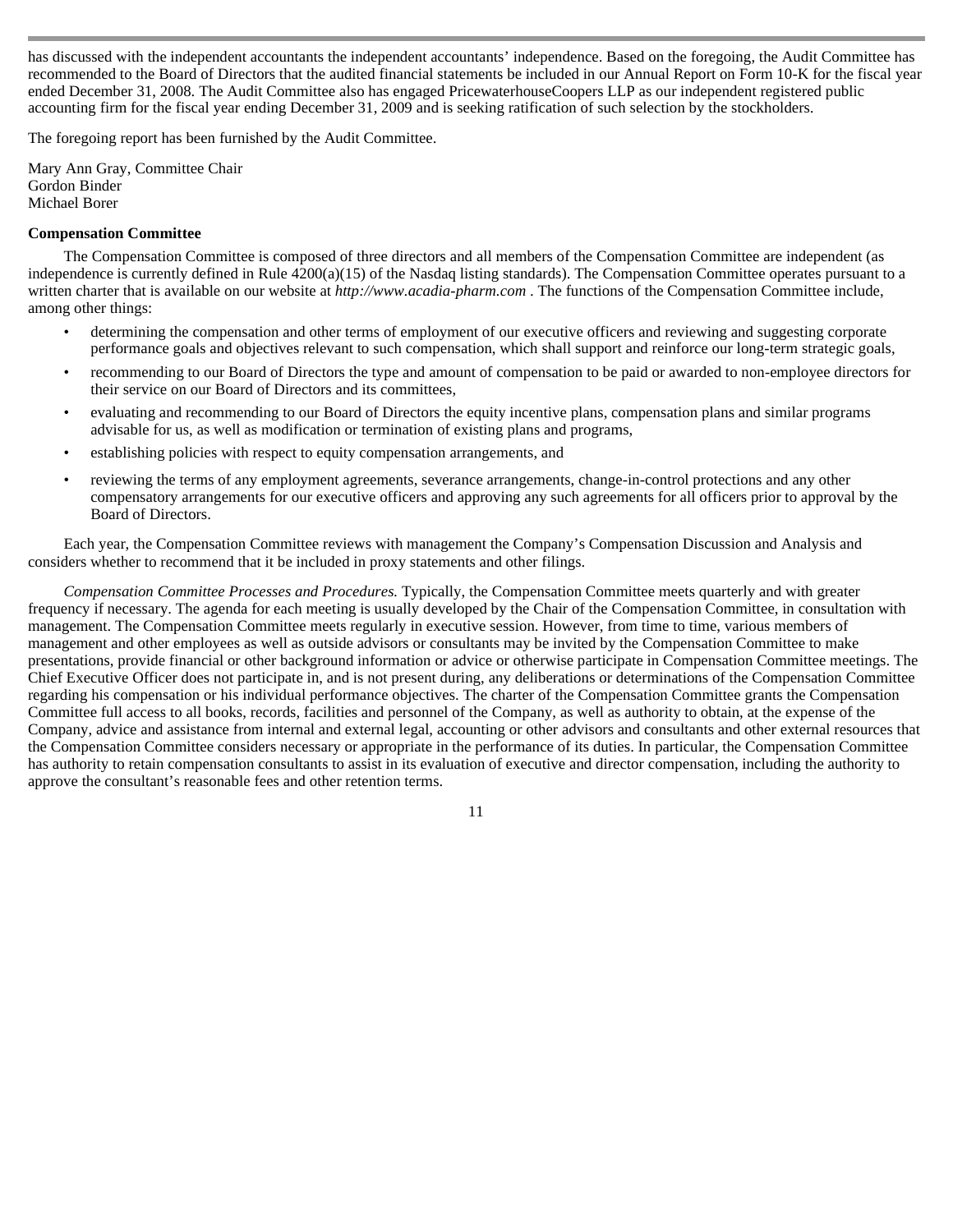has discussed with the independent accountants the independent accountants' independence. Based on the foregoing, the Audit Committee has recommended to the Board of Directors that the audited financial statements be included in our Annual Report on Form 10-K for the fiscal year ended December 31, 2008. The Audit Committee also has engaged PricewaterhouseCoopers LLP as our independent registered public accounting firm for the fiscal year ending December 31, 2009 and is seeking ratification of such selection by the stockholders.

The foregoing report has been furnished by the Audit Committee.

Mary Ann Gray, Committee Chair Gordon Binder Michael Borer

# **Compensation Committee**

 The Compensation Committee is composed of three directors and all members of the Compensation Committee are independent (as independence is currently defined in Rule 4200(a)(15) of the Nasdaq listing standards). The Compensation Committee operates pursuant to a written charter that is available on our website at *http://www.acadia-pharm.com* . The functions of the Compensation Committee include, among other things:

- determining the compensation and other terms of employment of our executive officers and reviewing and suggesting corporate performance goals and objectives relevant to such compensation, which shall support and reinforce our long-term strategic goals,
- recommending to our Board of Directors the type and amount of compensation to be paid or awarded to non-employee directors for their service on our Board of Directors and its committees,
- evaluating and recommending to our Board of Directors the equity incentive plans, compensation plans and similar programs advisable for us, as well as modification or termination of existing plans and programs,
- establishing policies with respect to equity compensation arrangements, and
- reviewing the terms of any employment agreements, severance arrangements, change-in-control protections and any other compensatory arrangements for our executive officers and approving any such agreements for all officers prior to approval by the Board of Directors.

Each year, the Compensation Committee reviews with management the Company's Compensation Discussion and Analysis and considers whether to recommend that it be included in proxy statements and other filings.

*Compensation Committee Processes and Procedures.* Typically, the Compensation Committee meets quarterly and with greater frequency if necessary. The agenda for each meeting is usually developed by the Chair of the Compensation Committee, in consultation with management. The Compensation Committee meets regularly in executive session. However, from time to time, various members of management and other employees as well as outside advisors or consultants may be invited by the Compensation Committee to make presentations, provide financial or other background information or advice or otherwise participate in Compensation Committee meetings. The Chief Executive Officer does not participate in, and is not present during, any deliberations or determinations of the Compensation Committee regarding his compensation or his individual performance objectives. The charter of the Compensation Committee grants the Compensation Committee full access to all books, records, facilities and personnel of the Company, as well as authority to obtain, at the expense of the Company, advice and assistance from internal and external legal, accounting or other advisors and consultants and other external resources that the Compensation Committee considers necessary or appropriate in the performance of its duties. In particular, the Compensation Committee has authority to retain compensation consultants to assist in its evaluation of executive and director compensation, including the authority to approve the consultant's reasonable fees and other retention terms.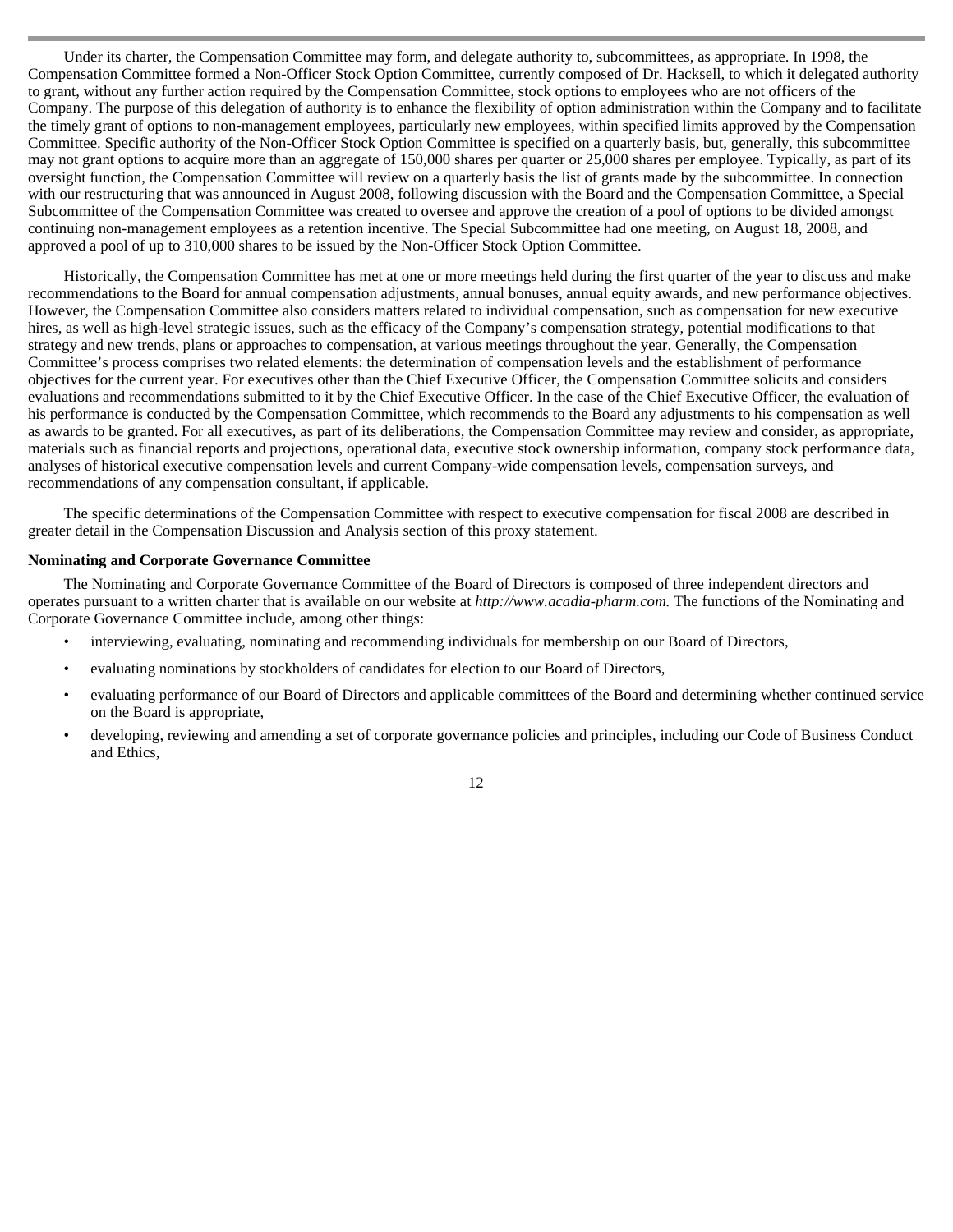Under its charter, the Compensation Committee may form, and delegate authority to, subcommittees, as appropriate. In 1998, the Compensation Committee formed a Non-Officer Stock Option Committee, currently composed of Dr. Hacksell, to which it delegated authority to grant, without any further action required by the Compensation Committee, stock options to employees who are not officers of the Company. The purpose of this delegation of authority is to enhance the flexibility of option administration within the Company and to facilitate the timely grant of options to non-management employees, particularly new employees, within specified limits approved by the Compensation Committee. Specific authority of the Non-Officer Stock Option Committee is specified on a quarterly basis, but, generally, this subcommittee may not grant options to acquire more than an aggregate of 150,000 shares per quarter or 25,000 shares per employee. Typically, as part of its oversight function, the Compensation Committee will review on a quarterly basis the list of grants made by the subcommittee. In connection with our restructuring that was announced in August 2008, following discussion with the Board and the Compensation Committee, a Special Subcommittee of the Compensation Committee was created to oversee and approve the creation of a pool of options to be divided amongst continuing non-management employees as a retention incentive. The Special Subcommittee had one meeting, on August 18, 2008, and approved a pool of up to 310,000 shares to be issued by the Non-Officer Stock Option Committee.

Historically, the Compensation Committee has met at one or more meetings held during the first quarter of the year to discuss and make recommendations to the Board for annual compensation adjustments, annual bonuses, annual equity awards, and new performance objectives. However, the Compensation Committee also considers matters related to individual compensation, such as compensation for new executive hires, as well as high-level strategic issues, such as the efficacy of the Company's compensation strategy, potential modifications to that strategy and new trends, plans or approaches to compensation, at various meetings throughout the year. Generally, the Compensation Committee's process comprises two related elements: the determination of compensation levels and the establishment of performance objectives for the current year. For executives other than the Chief Executive Officer, the Compensation Committee solicits and considers evaluations and recommendations submitted to it by the Chief Executive Officer. In the case of the Chief Executive Officer, the evaluation of his performance is conducted by the Compensation Committee, which recommends to the Board any adjustments to his compensation as well as awards to be granted. For all executives, as part of its deliberations, the Compensation Committee may review and consider, as appropriate, materials such as financial reports and projections, operational data, executive stock ownership information, company stock performance data, analyses of historical executive compensation levels and current Company-wide compensation levels, compensation surveys, and recommendations of any compensation consultant, if applicable.

The specific determinations of the Compensation Committee with respect to executive compensation for fiscal 2008 are described in greater detail in the Compensation Discussion and Analysis section of this proxy statement.

#### **Nominating and Corporate Governance Committee**

 The Nominating and Corporate Governance Committee of the Board of Directors is composed of three independent directors and operates pursuant to a written charter that is available on our website at *http://www.acadia-pharm.com.* The functions of the Nominating and Corporate Governance Committee include, among other things:

- interviewing, evaluating, nominating and recommending individuals for membership on our Board of Directors,
- evaluating nominations by stockholders of candidates for election to our Board of Directors,
- evaluating performance of our Board of Directors and applicable committees of the Board and determining whether continued service on the Board is appropriate,
- developing, reviewing and amending a set of corporate governance policies and principles, including our Code of Business Conduct and Ethics,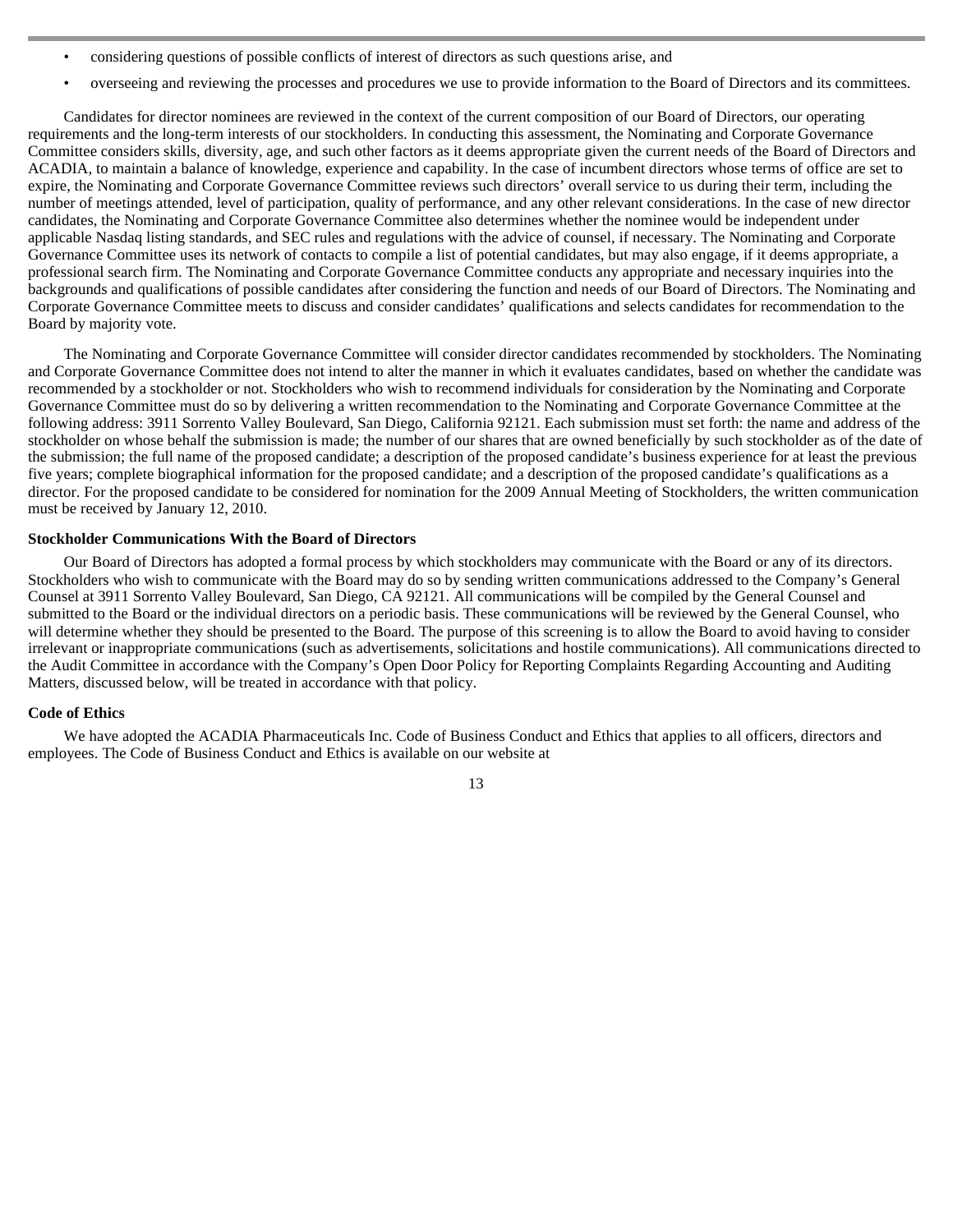- considering questions of possible conflicts of interest of directors as such questions arise, and
- overseeing and reviewing the processes and procedures we use to provide information to the Board of Directors and its committees.

Candidates for director nominees are reviewed in the context of the current composition of our Board of Directors, our operating requirements and the long-term interests of our stockholders. In conducting this assessment, the Nominating and Corporate Governance Committee considers skills, diversity, age, and such other factors as it deems appropriate given the current needs of the Board of Directors and ACADIA, to maintain a balance of knowledge, experience and capability. In the case of incumbent directors whose terms of office are set to expire, the Nominating and Corporate Governance Committee reviews such directors' overall service to us during their term, including the number of meetings attended, level of participation, quality of performance, and any other relevant considerations. In the case of new director candidates, the Nominating and Corporate Governance Committee also determines whether the nominee would be independent under applicable Nasdaq listing standards, and SEC rules and regulations with the advice of counsel, if necessary. The Nominating and Corporate Governance Committee uses its network of contacts to compile a list of potential candidates, but may also engage, if it deems appropriate, a professional search firm. The Nominating and Corporate Governance Committee conducts any appropriate and necessary inquiries into the backgrounds and qualifications of possible candidates after considering the function and needs of our Board of Directors. The Nominating and Corporate Governance Committee meets to discuss and consider candidates' qualifications and selects candidates for recommendation to the Board by majority vote.

The Nominating and Corporate Governance Committee will consider director candidates recommended by stockholders. The Nominating and Corporate Governance Committee does not intend to alter the manner in which it evaluates candidates, based on whether the candidate was recommended by a stockholder or not. Stockholders who wish to recommend individuals for consideration by the Nominating and Corporate Governance Committee must do so by delivering a written recommendation to the Nominating and Corporate Governance Committee at the following address: 3911 Sorrento Valley Boulevard, San Diego, California 92121. Each submission must set forth: the name and address of the stockholder on whose behalf the submission is made; the number of our shares that are owned beneficially by such stockholder as of the date of the submission; the full name of the proposed candidate; a description of the proposed candidate's business experience for at least the previous five years; complete biographical information for the proposed candidate; and a description of the proposed candidate's qualifications as a director. For the proposed candidate to be considered for nomination for the 2009 Annual Meeting of Stockholders, the written communication must be received by January 12, 2010.

# **Stockholder Communications With the Board of Directors**

Our Board of Directors has adopted a formal process by which stockholders may communicate with the Board or any of its directors. Stockholders who wish to communicate with the Board may do so by sending written communications addressed to the Company's General Counsel at 3911 Sorrento Valley Boulevard, San Diego, CA 92121. All communications will be compiled by the General Counsel and submitted to the Board or the individual directors on a periodic basis. These communications will be reviewed by the General Counsel, who will determine whether they should be presented to the Board. The purpose of this screening is to allow the Board to avoid having to consider irrelevant or inappropriate communications (such as advertisements, solicitations and hostile communications). All communications directed to the Audit Committee in accordance with the Company's Open Door Policy for Reporting Complaints Regarding Accounting and Auditing Matters, discussed below, will be treated in accordance with that policy.

#### **Code of Ethics**

 We have adopted the ACADIA Pharmaceuticals Inc. Code of Business Conduct and Ethics that applies to all officers, directors and employees. The Code of Business Conduct and Ethics is available on our website at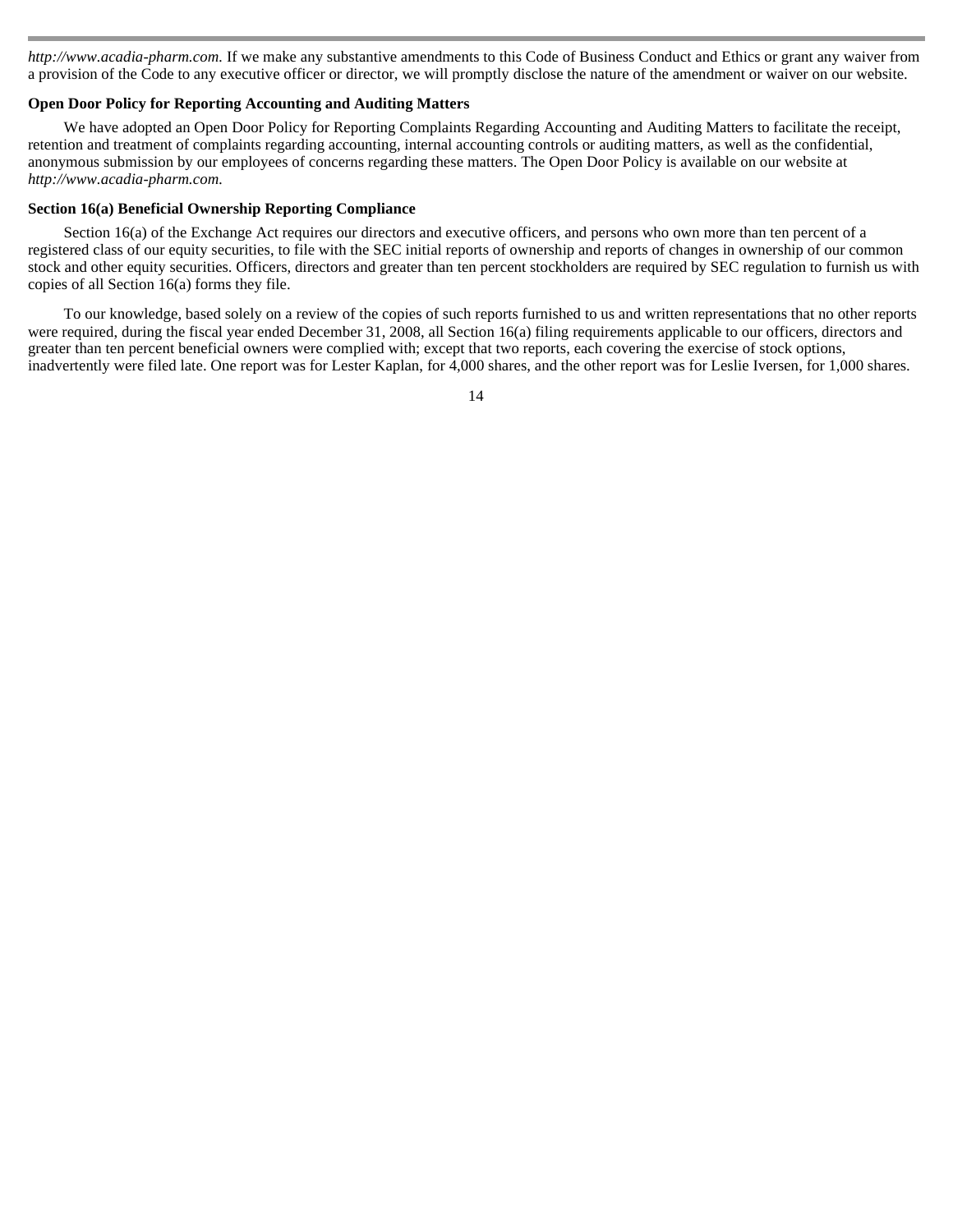*http://www.acadia-pharm.com.* If we make any substantive amendments to this Code of Business Conduct and Ethics or grant any waiver from a provision of the Code to any executive officer or director, we will promptly disclose the nature of the amendment or waiver on our website.

#### **Open Door Policy for Reporting Accounting and Auditing Matters**

We have adopted an Open Door Policy for Reporting Complaints Regarding Accounting and Auditing Matters to facilitate the receipt, retention and treatment of complaints regarding accounting, internal accounting controls or auditing matters, as well as the confidential, anonymous submission by our employees of concerns regarding these matters. The Open Door Policy is available on our website at *http://www.acadia-pharm.com.* 

#### **Section 16(a) Beneficial Ownership Reporting Compliance**

 Section 16(a) of the Exchange Act requires our directors and executive officers, and persons who own more than ten percent of a registered class of our equity securities, to file with the SEC initial reports of ownership and reports of changes in ownership of our common stock and other equity securities. Officers, directors and greater than ten percent stockholders are required by SEC regulation to furnish us with copies of all Section 16(a) forms they file.

To our knowledge, based solely on a review of the copies of such reports furnished to us and written representations that no other reports were required, during the fiscal year ended December 31, 2008, all Section 16(a) filing requirements applicable to our officers, directors and greater than ten percent beneficial owners were complied with; except that two reports, each covering the exercise of stock options, inadvertently were filed late. One report was for Lester Kaplan, for 4,000 shares, and the other report was for Leslie Iversen, for 1,000 shares.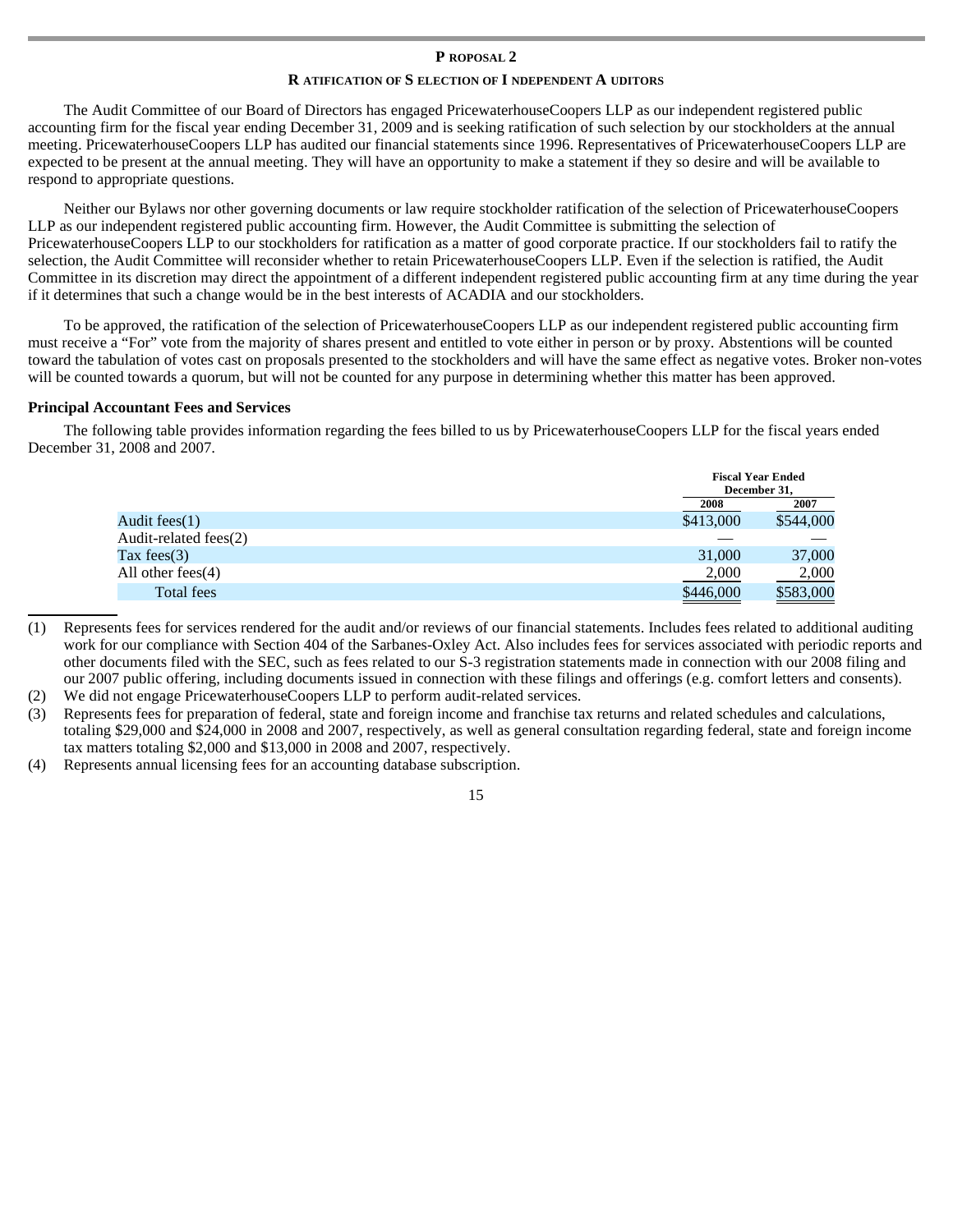#### **P ROPOSAL 2**

## **R ATIFICATION OF S ELECTION OF I NDEPENDENT A UDITORS**

The Audit Committee of our Board of Directors has engaged PricewaterhouseCoopers LLP as our independent registered public accounting firm for the fiscal year ending December 31, 2009 and is seeking ratification of such selection by our stockholders at the annual meeting. PricewaterhouseCoopers LLP has audited our financial statements since 1996. Representatives of PricewaterhouseCoopers LLP are expected to be present at the annual meeting. They will have an opportunity to make a statement if they so desire and will be available to respond to appropriate questions.

Neither our Bylaws nor other governing documents or law require stockholder ratification of the selection of PricewaterhouseCoopers LLP as our independent registered public accounting firm. However, the Audit Committee is submitting the selection of PricewaterhouseCoopers LLP to our stockholders for ratification as a matter of good corporate practice. If our stockholders fail to ratify the selection, the Audit Committee will reconsider whether to retain PricewaterhouseCoopers LLP. Even if the selection is ratified, the Audit Committee in its discretion may direct the appointment of a different independent registered public accounting firm at any time during the year if it determines that such a change would be in the best interests of ACADIA and our stockholders.

To be approved, the ratification of the selection of PricewaterhouseCoopers LLP as our independent registered public accounting firm must receive a "For" vote from the majority of shares present and entitled to vote either in person or by proxy. Abstentions will be counted toward the tabulation of votes cast on proposals presented to the stockholders and will have the same effect as negative votes. Broker non-votes will be counted towards a quorum, but will not be counted for any purpose in determining whether this matter has been approved.

# **Principal Accountant Fees and Services**

 The following table provides information regarding the fees billed to us by PricewaterhouseCoopers LLP for the fiscal years ended December 31, 2008 and 2007.

|                       |           | <b>Fiscal Year Ended</b><br>December 31. |
|-----------------------|-----------|------------------------------------------|
|                       | 2008      | 2007                                     |
| Audit fees(1)         | \$413,000 | \$544,000                                |
| Audit-related fees(2) |           |                                          |
| Tax fees $(3)$        | 31,000    | 37,000                                   |
| All other fees(4)     | 2,000     | 2,000                                    |
| Total fees            | \$446,000 | \$583,000                                |
|                       |           |                                          |

 $\overline{a}$ (1) Represents fees for services rendered for the audit and/or reviews of our financial statements. Includes fees related to additional auditing work for our compliance with Section 404 of the Sarbanes-Oxley Act. Also includes fees for services associated with periodic reports and other documents filed with the SEC, such as fees related to our S-3 registration statements made in connection with our 2008 filing and our 2007 public offering, including documents issued in connection with these filings and offerings (e.g. comfort letters and consents).

(2) We did not engage PricewaterhouseCoopers LLP to perform audit-related services.

(3) Represents fees for preparation of federal, state and foreign income and franchise tax returns and related schedules and calculations, totaling \$29,000 and \$24,000 in 2008 and 2007, respectively, as well as general consultation regarding federal, state and foreign income tax matters totaling \$2,000 and \$13,000 in 2008 and 2007, respectively.

(4) Represents annual licensing fees for an accounting database subscription.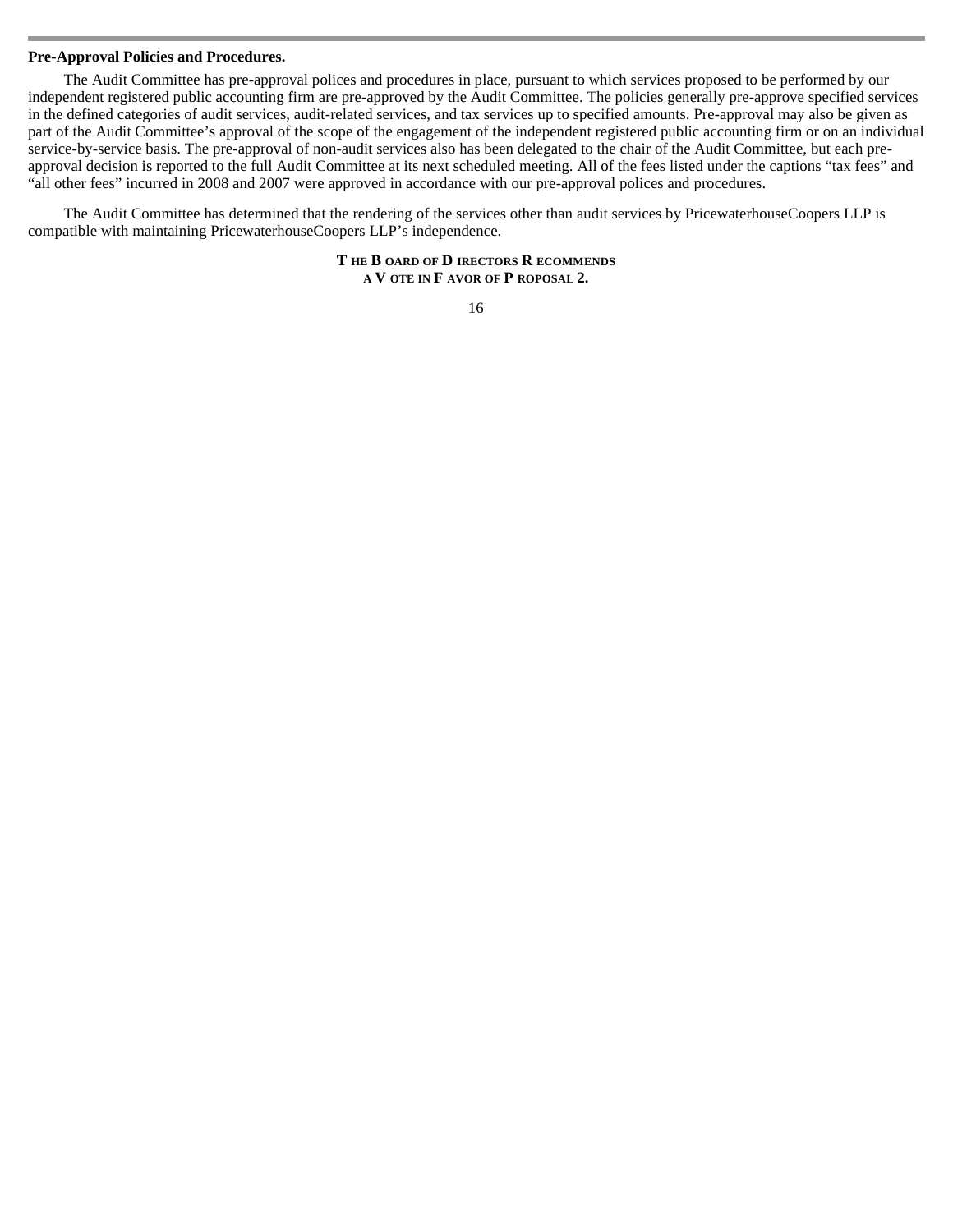#### **Pre-Approval Policies and Procedures.**

 The Audit Committee has pre-approval polices and procedures in place, pursuant to which services proposed to be performed by our independent registered public accounting firm are pre-approved by the Audit Committee. The policies generally pre-approve specified services in the defined categories of audit services, audit-related services, and tax services up to specified amounts. Pre-approval may also be given as part of the Audit Committee's approval of the scope of the engagement of the independent registered public accounting firm or on an individual service-by-service basis. The pre-approval of non-audit services also has been delegated to the chair of the Audit Committee, but each preapproval decision is reported to the full Audit Committee at its next scheduled meeting. All of the fees listed under the captions "tax fees" and "all other fees" incurred in 2008 and 2007 were approved in accordance with our pre-approval polices and procedures.

The Audit Committee has determined that the rendering of the services other than audit services by PricewaterhouseCoopers LLP is compatible with maintaining PricewaterhouseCoopers LLP's independence.

> **T HE B OARD OF D IRECTORS R ECOMMENDS A V OTE IN F AVOR OF P ROPOSAL 2.**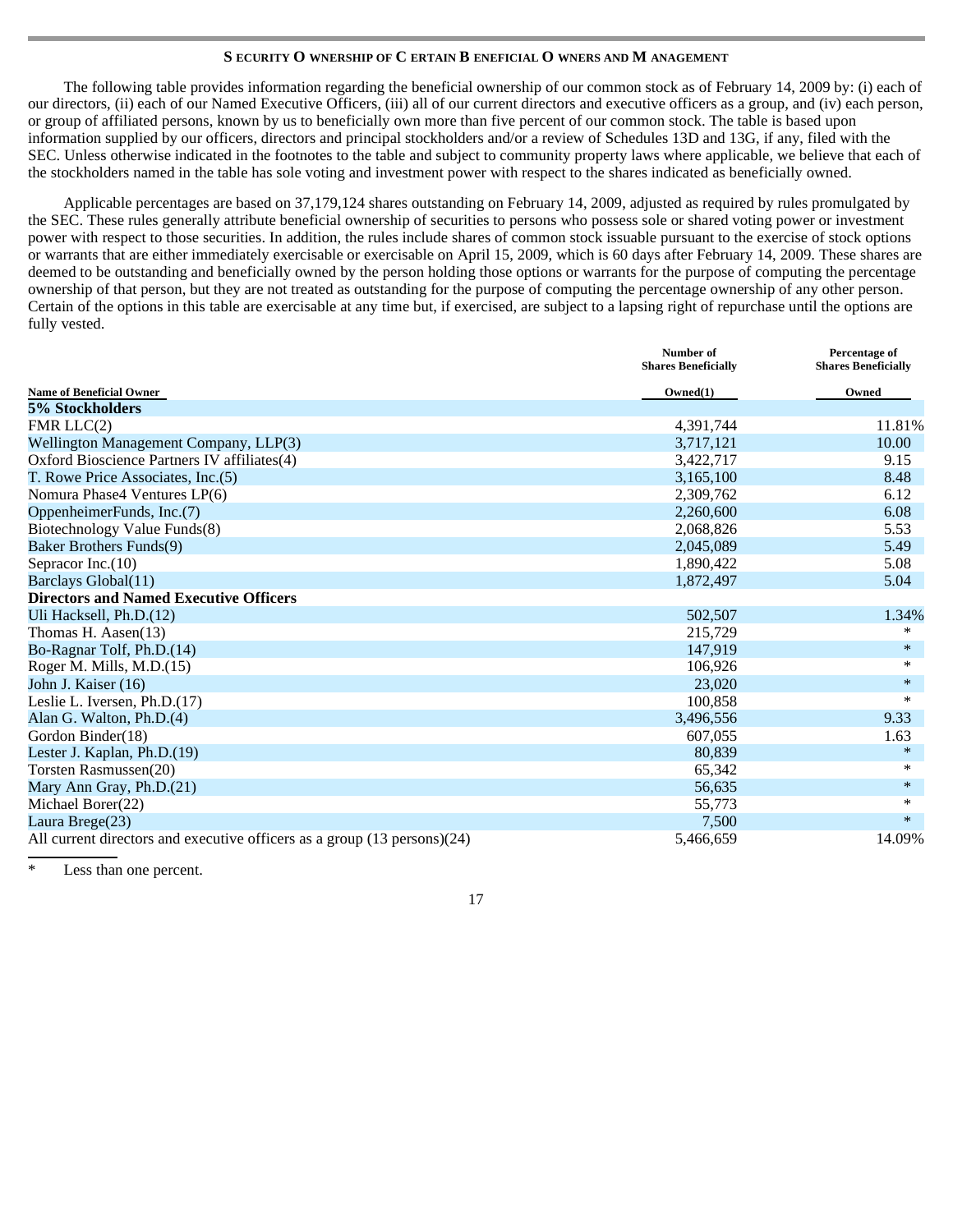# **S ECURITY O WNERSHIP OF C ERTAIN B ENEFICIAL O WNERS AND M ANAGEMENT**

The following table provides information regarding the beneficial ownership of our common stock as of February 14, 2009 by: (i) each of our directors, (ii) each of our Named Executive Officers, (iii) all of our current directors and executive officers as a group, and (iv) each person, or group of affiliated persons, known by us to beneficially own more than five percent of our common stock. The table is based upon information supplied by our officers, directors and principal stockholders and/or a review of Schedules 13D and 13G, if any, filed with the SEC. Unless otherwise indicated in the footnotes to the table and subject to community property laws where applicable, we believe that each of the stockholders named in the table has sole voting and investment power with respect to the shares indicated as beneficially owned.

Applicable percentages are based on 37,179,124 shares outstanding on February 14, 2009, adjusted as required by rules promulgated by the SEC. These rules generally attribute beneficial ownership of securities to persons who possess sole or shared voting power or investment power with respect to those securities. In addition, the rules include shares of common stock issuable pursuant to the exercise of stock options or warrants that are either immediately exercisable or exercisable on April 15, 2009, which is 60 days after February 14, 2009. These shares are deemed to be outstanding and beneficially owned by the person holding those options or warrants for the purpose of computing the percentage ownership of that person, but they are not treated as outstanding for the purpose of computing the percentage ownership of any other person. Certain of the options in this table are exercisable at any time but, if exercised, are subject to a lapsing right of repurchase until the options are fully vested.

|                                                                          | Number of<br><b>Shares Beneficially</b> | Percentage of<br><b>Shares Beneficially</b> |
|--------------------------------------------------------------------------|-----------------------------------------|---------------------------------------------|
| <b>Name of Beneficial Owner</b>                                          | Owned(1)                                | Owned                                       |
| 5% Stockholders                                                          |                                         |                                             |
| FMR $LLC(2)$                                                             | 4,391,744                               | 11.81%                                      |
| Wellington Management Company, LLP(3)                                    | 3.717.121                               | 10.00                                       |
| Oxford Bioscience Partners IV affiliates(4)                              | 3,422,717                               | 9.15                                        |
| T. Rowe Price Associates, Inc.(5)                                        | 3,165,100                               | 8.48                                        |
| Nomura Phase4 Ventures LP(6)                                             | 2,309,762                               | 6.12                                        |
| OppenheimerFunds, Inc.(7)                                                | 2,260,600                               | 6.08                                        |
| Biotechnology Value Funds(8)                                             | 2,068,826                               | 5.53                                        |
| <b>Baker Brothers Funds(9)</b>                                           | 2,045,089                               | 5.49                                        |
| Sepracor Inc. $(10)$                                                     | 1,890,422                               | 5.08                                        |
| Barclays Global(11)                                                      | 1,872,497                               | 5.04                                        |
| <b>Directors and Named Executive Officers</b>                            |                                         |                                             |
| Uli Hacksell, Ph.D.(12)                                                  | 502,507                                 | 1.34%                                       |
| Thomas H. Aasen $(13)$                                                   | 215,729                                 | *                                           |
| Bo-Ragnar Tolf, Ph.D.(14)                                                | 147.919                                 | $\ast$                                      |
| Roger M. Mills, M.D.(15)                                                 | 106.926                                 | *                                           |
| John J. Kaiser (16)                                                      | 23,020                                  | $\ast$                                      |
| Leslie L. Iversen, Ph.D.(17)                                             | 100,858                                 | $\ast$                                      |
| Alan G. Walton, Ph.D.(4)                                                 | 3,496,556                               | 9.33                                        |
| Gordon Binder(18)                                                        | 607,055                                 | 1.63                                        |
| Lester J. Kaplan, Ph.D.(19)                                              | 80.839                                  | $\ast$                                      |
| Torsten Rasmussen(20)                                                    | 65,342                                  | *                                           |
| Mary Ann Gray, Ph.D.(21)                                                 | 56,635                                  | $\ast$                                      |
| Michael Borer(22)                                                        | 55,773                                  | $\ast$                                      |
| Laura Brege(23)                                                          | 7,500                                   | $\ast$                                      |
| All current directors and executive officers as a group (13 persons)(24) | 5,466,659                               | 14.09%                                      |

Less than one percent.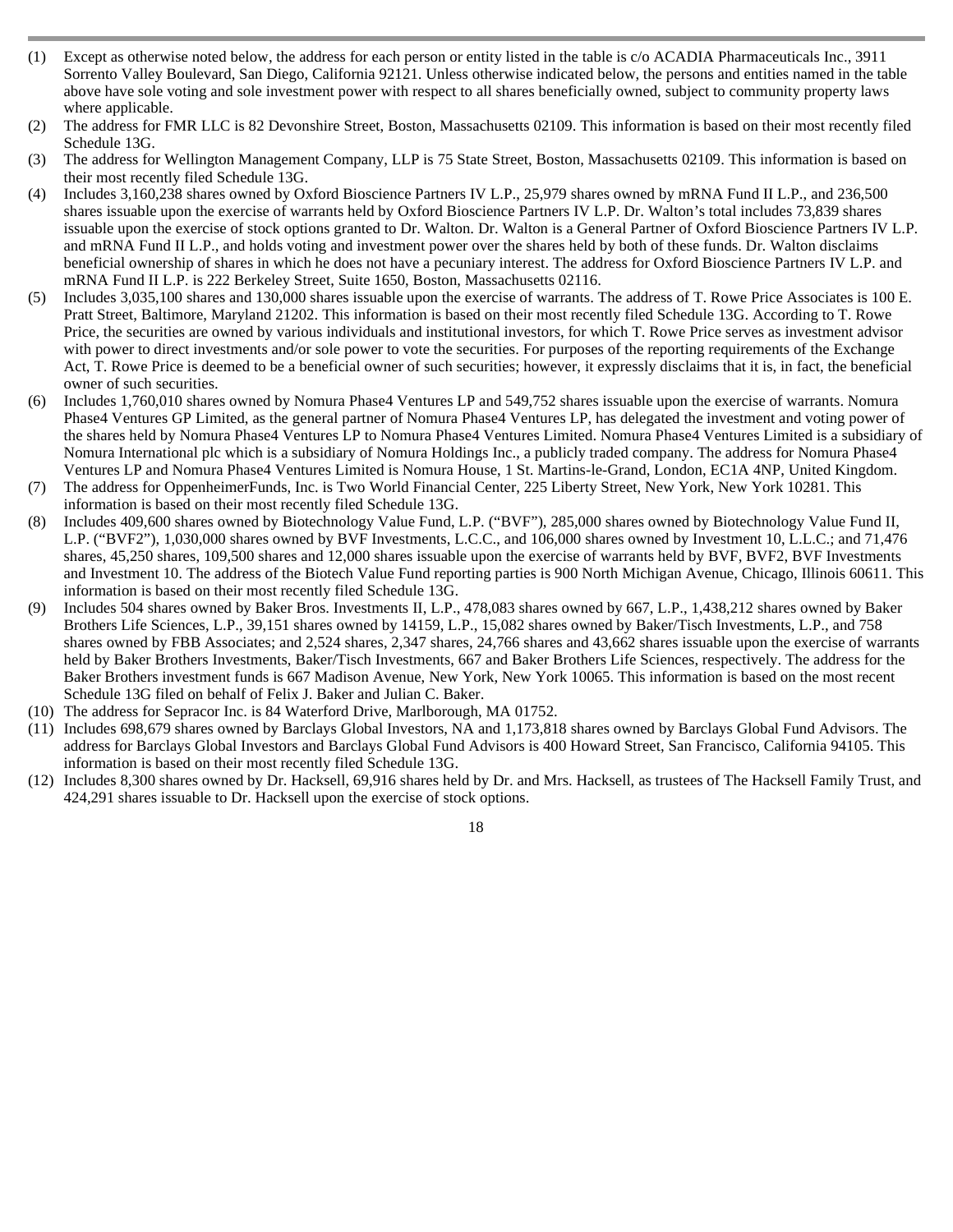- (1) Except as otherwise noted below, the address for each person or entity listed in the table is c/o ACADIA Pharmaceuticals Inc., 3911 Sorrento Valley Boulevard, San Diego, California 92121. Unless otherwise indicated below, the persons and entities named in the table above have sole voting and sole investment power with respect to all shares beneficially owned, subject to community property laws where applicable.
- (2) The address for FMR LLC is 82 Devonshire Street, Boston, Massachusetts 02109. This information is based on their most recently filed Schedule 13G.
- (3) The address for Wellington Management Company, LLP is 75 State Street, Boston, Massachusetts 02109. This information is based on their most recently filed Schedule 13G.
- (4) Includes 3,160,238 shares owned by Oxford Bioscience Partners IV L.P., 25,979 shares owned by mRNA Fund II L.P., and 236,500 shares issuable upon the exercise of warrants held by Oxford Bioscience Partners IV L.P. Dr. Walton's total includes 73,839 shares issuable upon the exercise of stock options granted to Dr. Walton. Dr. Walton is a General Partner of Oxford Bioscience Partners IV L.P. and mRNA Fund II L.P., and holds voting and investment power over the shares held by both of these funds. Dr. Walton disclaims beneficial ownership of shares in which he does not have a pecuniary interest. The address for Oxford Bioscience Partners IV L.P. and mRNA Fund II L.P. is 222 Berkeley Street, Suite 1650, Boston, Massachusetts 02116.
- (5) Includes 3,035,100 shares and 130,000 shares issuable upon the exercise of warrants. The address of T. Rowe Price Associates is 100 E. Pratt Street, Baltimore, Maryland 21202. This information is based on their most recently filed Schedule 13G. According to T. Rowe Price, the securities are owned by various individuals and institutional investors, for which T. Rowe Price serves as investment advisor with power to direct investments and/or sole power to vote the securities. For purposes of the reporting requirements of the Exchange Act, T. Rowe Price is deemed to be a beneficial owner of such securities; however, it expressly disclaims that it is, in fact, the beneficial owner of such securities.
- (6) Includes 1,760,010 shares owned by Nomura Phase4 Ventures LP and 549,752 shares issuable upon the exercise of warrants. Nomura Phase4 Ventures GP Limited, as the general partner of Nomura Phase4 Ventures LP, has delegated the investment and voting power of the shares held by Nomura Phase4 Ventures LP to Nomura Phase4 Ventures Limited. Nomura Phase4 Ventures Limited is a subsidiary of Nomura International plc which is a subsidiary of Nomura Holdings Inc., a publicly traded company. The address for Nomura Phase4 Ventures LP and Nomura Phase4 Ventures Limited is Nomura House, 1 St. Martins-le-Grand, London, EC1A 4NP, United Kingdom.
- (7) The address for OppenheimerFunds, Inc. is Two World Financial Center, 225 Liberty Street, New York, New York 10281. This information is based on their most recently filed Schedule 13G.
- (8) Includes 409,600 shares owned by Biotechnology Value Fund, L.P. ("BVF"), 285,000 shares owned by Biotechnology Value Fund II, L.P. ("BVF2"), 1,030,000 shares owned by BVF Investments, L.C.C., and 106,000 shares owned by Investment 10, L.L.C.; and 71,476 shares, 45,250 shares, 109,500 shares and 12,000 shares issuable upon the exercise of warrants held by BVF, BVF2, BVF Investments and Investment 10. The address of the Biotech Value Fund reporting parties is 900 North Michigan Avenue, Chicago, Illinois 60611. This information is based on their most recently filed Schedule 13G.
- (9) Includes 504 shares owned by Baker Bros. Investments II, L.P., 478,083 shares owned by 667, L.P., 1,438,212 shares owned by Baker Brothers Life Sciences, L.P., 39,151 shares owned by 14159, L.P., 15,082 shares owned by Baker/Tisch Investments, L.P., and 758 shares owned by FBB Associates; and 2,524 shares, 2,347 shares, 24,766 shares and 43,662 shares issuable upon the exercise of warrants held by Baker Brothers Investments, Baker/Tisch Investments, 667 and Baker Brothers Life Sciences, respectively. The address for the Baker Brothers investment funds is 667 Madison Avenue, New York, New York 10065. This information is based on the most recent Schedule 13G filed on behalf of Felix J. Baker and Julian C. Baker.
- (10) The address for Sepracor Inc. is 84 Waterford Drive, Marlborough, MA 01752.
- (11) Includes 698,679 shares owned by Barclays Global Investors, NA and 1,173,818 shares owned by Barclays Global Fund Advisors. The address for Barclays Global Investors and Barclays Global Fund Advisors is 400 Howard Street, San Francisco, California 94105. This information is based on their most recently filed Schedule 13G.
- (12) Includes 8,300 shares owned by Dr. Hacksell, 69,916 shares held by Dr. and Mrs. Hacksell, as trustees of The Hacksell Family Trust, and 424,291 shares issuable to Dr. Hacksell upon the exercise of stock options.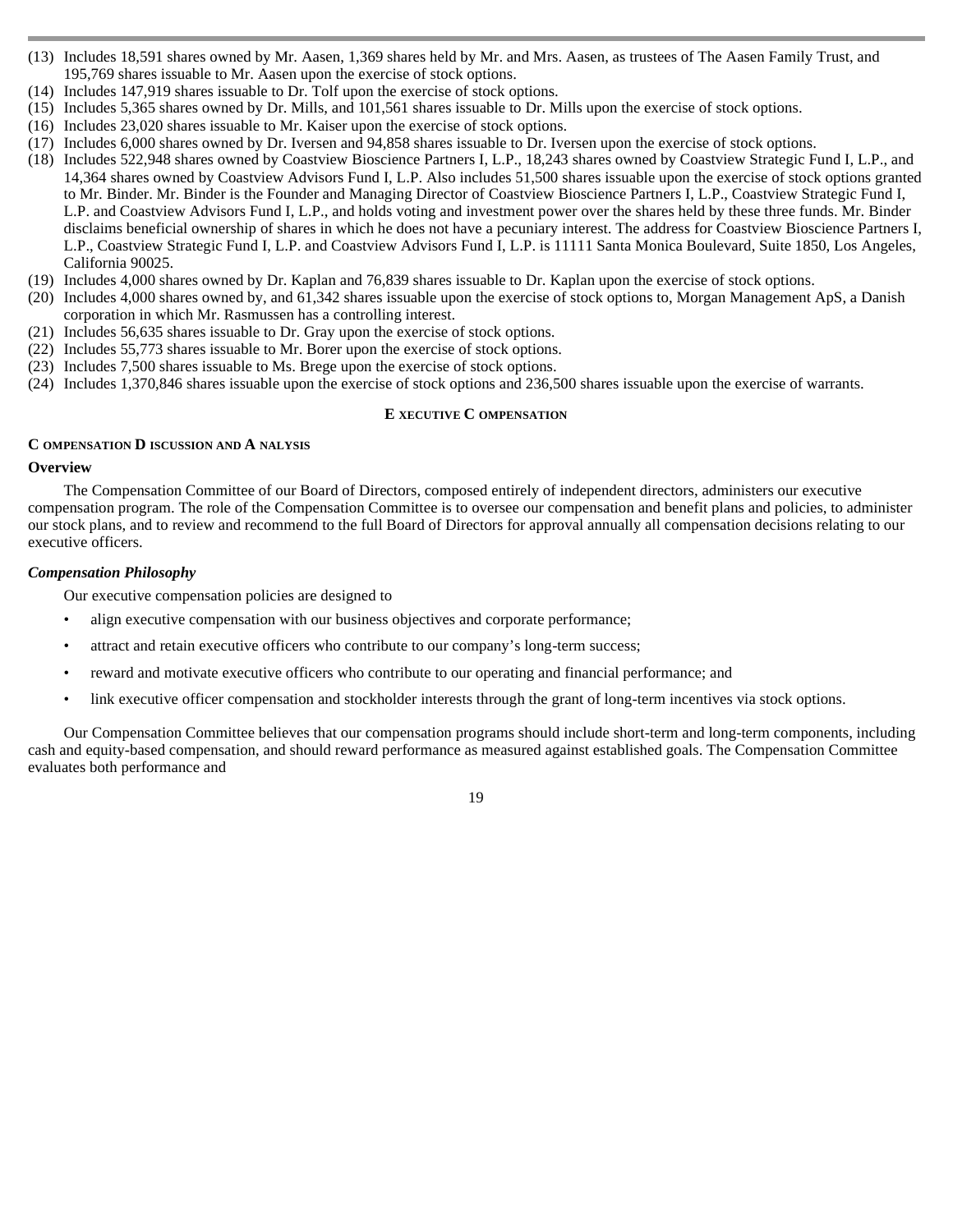- (13) Includes 18,591 shares owned by Mr. Aasen, 1,369 shares held by Mr. and Mrs. Aasen, as trustees of The Aasen Family Trust, and 195,769 shares issuable to Mr. Aasen upon the exercise of stock options.
- (14) Includes 147,919 shares issuable to Dr. Tolf upon the exercise of stock options.
- (15) Includes 5,365 shares owned by Dr. Mills, and 101,561 shares issuable to Dr. Mills upon the exercise of stock options.
- (16) Includes 23,020 shares issuable to Mr. Kaiser upon the exercise of stock options.
- (17) Includes 6,000 shares owned by Dr. Iversen and 94,858 shares issuable to Dr. Iversen upon the exercise of stock options.
- (18) Includes 522,948 shares owned by Coastview Bioscience Partners I, L.P., 18,243 shares owned by Coastview Strategic Fund I, L.P., and 14,364 shares owned by Coastview Advisors Fund I, L.P. Also includes 51,500 shares issuable upon the exercise of stock options granted to Mr. Binder. Mr. Binder is the Founder and Managing Director of Coastview Bioscience Partners I, L.P., Coastview Strategic Fund I, L.P. and Coastview Advisors Fund I, L.P., and holds voting and investment power over the shares held by these three funds. Mr. Binder disclaims beneficial ownership of shares in which he does not have a pecuniary interest. The address for Coastview Bioscience Partners I, L.P., Coastview Strategic Fund I, L.P. and Coastview Advisors Fund I, L.P. is 11111 Santa Monica Boulevard, Suite 1850, Los Angeles, California 90025.
- (19) Includes 4,000 shares owned by Dr. Kaplan and 76,839 shares issuable to Dr. Kaplan upon the exercise of stock options.
- (20) Includes 4,000 shares owned by, and 61,342 shares issuable upon the exercise of stock options to, Morgan Management ApS, a Danish corporation in which Mr. Rasmussen has a controlling interest.
- (21) Includes 56,635 shares issuable to Dr. Gray upon the exercise of stock options.
- (22) Includes 55,773 shares issuable to Mr. Borer upon the exercise of stock options.
- (23) Includes 7,500 shares issuable to Ms. Brege upon the exercise of stock options.
- (24) Includes 1,370,846 shares issuable upon the exercise of stock options and 236,500 shares issuable upon the exercise of warrants.

## **E XECUTIVE C OMPENSATION**

### **C OMPENSATION D ISCUSSION AND A NALYSIS**

# **Overview**

 The Compensation Committee of our Board of Directors, composed entirely of independent directors, administers our executive compensation program. The role of the Compensation Committee is to oversee our compensation and benefit plans and policies, to administer our stock plans, and to review and recommend to the full Board of Directors for approval annually all compensation decisions relating to our executive officers.

# *Compensation Philosophy*

Our executive compensation policies are designed to

- align executive compensation with our business objectives and corporate performance;
- attract and retain executive officers who contribute to our company's long-term success;
- reward and motivate executive officers who contribute to our operating and financial performance; and
	- link executive officer compensation and stockholder interests through the grant of long-term incentives via stock options.

Our Compensation Committee believes that our compensation programs should include short-term and long-term components, including cash and equity-based compensation, and should reward performance as measured against established goals. The Compensation Committee evaluates both performance and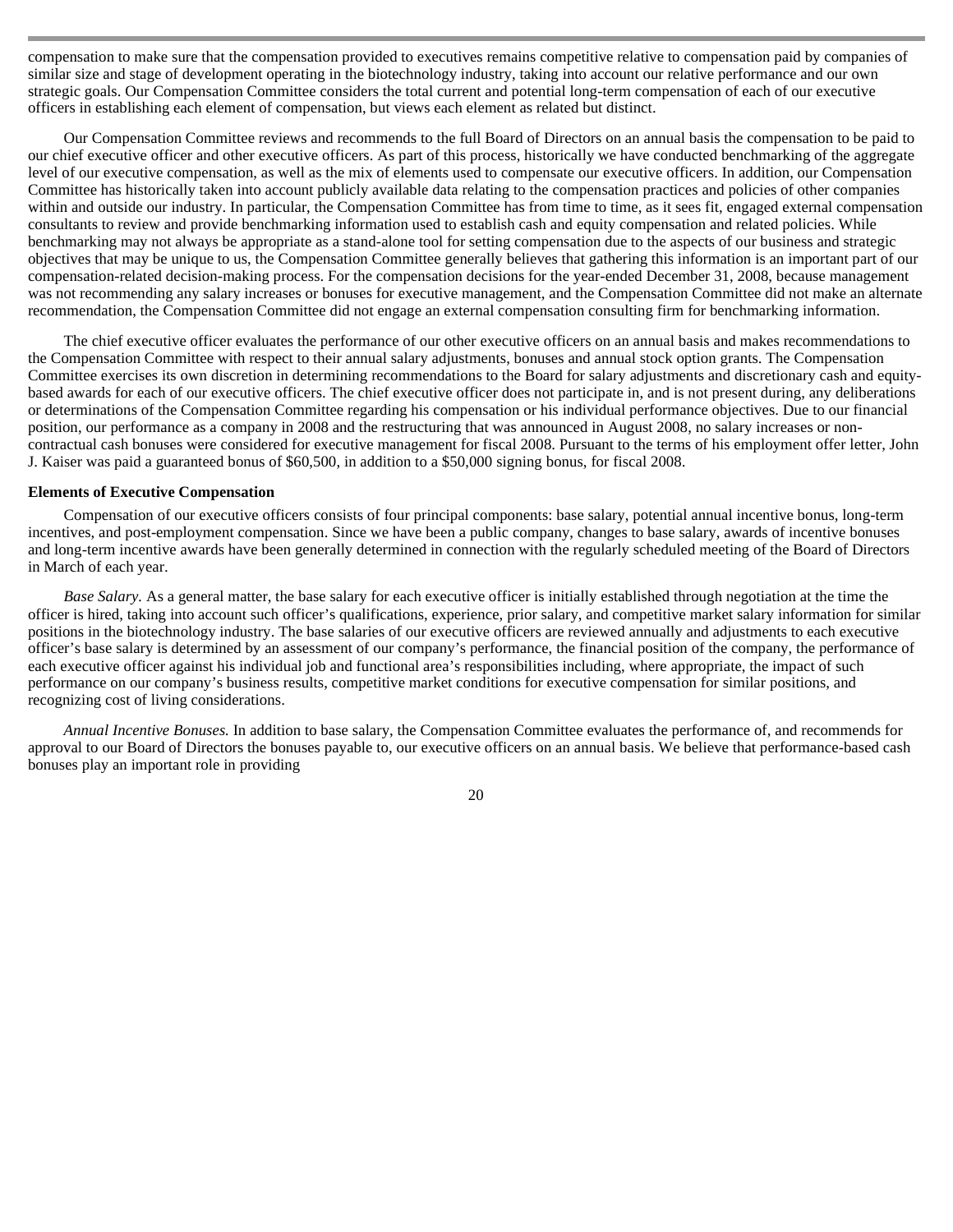compensation to make sure that the compensation provided to executives remains competitive relative to compensation paid by companies of similar size and stage of development operating in the biotechnology industry, taking into account our relative performance and our own strategic goals. Our Compensation Committee considers the total current and potential long-term compensation of each of our executive officers in establishing each element of compensation, but views each element as related but distinct.

Our Compensation Committee reviews and recommends to the full Board of Directors on an annual basis the compensation to be paid to our chief executive officer and other executive officers. As part of this process, historically we have conducted benchmarking of the aggregate level of our executive compensation, as well as the mix of elements used to compensate our executive officers. In addition, our Compensation Committee has historically taken into account publicly available data relating to the compensation practices and policies of other companies within and outside our industry. In particular, the Compensation Committee has from time to time, as it sees fit, engaged external compensation consultants to review and provide benchmarking information used to establish cash and equity compensation and related policies. While benchmarking may not always be appropriate as a stand-alone tool for setting compensation due to the aspects of our business and strategic objectives that may be unique to us, the Compensation Committee generally believes that gathering this information is an important part of our compensation-related decision-making process. For the compensation decisions for the year-ended December 31, 2008, because management was not recommending any salary increases or bonuses for executive management, and the Compensation Committee did not make an alternate recommendation, the Compensation Committee did not engage an external compensation consulting firm for benchmarking information.

The chief executive officer evaluates the performance of our other executive officers on an annual basis and makes recommendations to the Compensation Committee with respect to their annual salary adjustments, bonuses and annual stock option grants. The Compensation Committee exercises its own discretion in determining recommendations to the Board for salary adjustments and discretionary cash and equitybased awards for each of our executive officers. The chief executive officer does not participate in, and is not present during, any deliberations or determinations of the Compensation Committee regarding his compensation or his individual performance objectives. Due to our financial position, our performance as a company in 2008 and the restructuring that was announced in August 2008, no salary increases or noncontractual cash bonuses were considered for executive management for fiscal 2008. Pursuant to the terms of his employment offer letter, John J. Kaiser was paid a guaranteed bonus of \$60,500, in addition to a \$50,000 signing bonus, for fiscal 2008.

### **Elements of Executive Compensation**

 Compensation of our executive officers consists of four principal components: base salary, potential annual incentive bonus, long-term incentives, and post-employment compensation. Since we have been a public company, changes to base salary, awards of incentive bonuses and long-term incentive awards have been generally determined in connection with the regularly scheduled meeting of the Board of Directors in March of each year.

*Base Salary.* As a general matter, the base salary for each executive officer is initially established through negotiation at the time the officer is hired, taking into account such officer's qualifications, experience, prior salary, and competitive market salary information for similar positions in the biotechnology industry. The base salaries of our executive officers are reviewed annually and adjustments to each executive officer's base salary is determined by an assessment of our company's performance, the financial position of the company, the performance of each executive officer against his individual job and functional area's responsibilities including, where appropriate, the impact of such performance on our company's business results, competitive market conditions for executive compensation for similar positions, and recognizing cost of living considerations.

*Annual Incentive Bonuses.* In addition to base salary, the Compensation Committee evaluates the performance of, and recommends for approval to our Board of Directors the bonuses payable to, our executive officers on an annual basis. We believe that performance-based cash bonuses play an important role in providing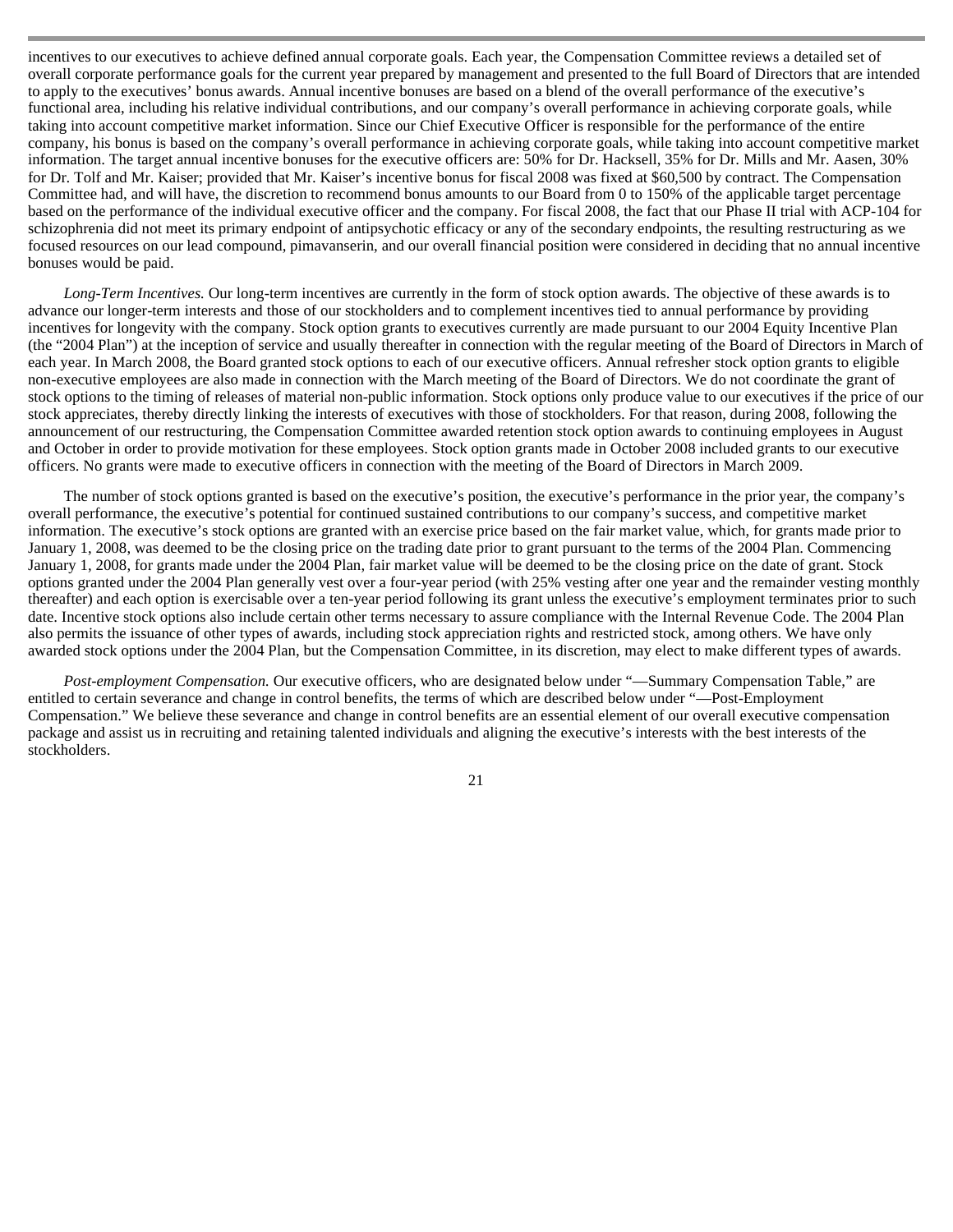incentives to our executives to achieve defined annual corporate goals. Each year, the Compensation Committee reviews a detailed set of overall corporate performance goals for the current year prepared by management and presented to the full Board of Directors that are intended to apply to the executives' bonus awards. Annual incentive bonuses are based on a blend of the overall performance of the executive's functional area, including his relative individual contributions, and our company's overall performance in achieving corporate goals, while taking into account competitive market information. Since our Chief Executive Officer is responsible for the performance of the entire company, his bonus is based on the company's overall performance in achieving corporate goals, while taking into account competitive market information. The target annual incentive bonuses for the executive officers are: 50% for Dr. Hacksell, 35% for Dr. Mills and Mr. Aasen, 30% for Dr. Tolf and Mr. Kaiser; provided that Mr. Kaiser's incentive bonus for fiscal 2008 was fixed at \$60,500 by contract. The Compensation Committee had, and will have, the discretion to recommend bonus amounts to our Board from 0 to 150% of the applicable target percentage based on the performance of the individual executive officer and the company. For fiscal 2008, the fact that our Phase II trial with ACP-104 for schizophrenia did not meet its primary endpoint of antipsychotic efficacy or any of the secondary endpoints, the resulting restructuring as we focused resources on our lead compound, pimavanserin, and our overall financial position were considered in deciding that no annual incentive bonuses would be paid.

*Long-Term Incentives.* Our long-term incentives are currently in the form of stock option awards. The objective of these awards is to advance our longer-term interests and those of our stockholders and to complement incentives tied to annual performance by providing incentives for longevity with the company. Stock option grants to executives currently are made pursuant to our 2004 Equity Incentive Plan (the "2004 Plan") at the inception of service and usually thereafter in connection with the regular meeting of the Board of Directors in March of each year. In March 2008, the Board granted stock options to each of our executive officers. Annual refresher stock option grants to eligible non-executive employees are also made in connection with the March meeting of the Board of Directors. We do not coordinate the grant of stock options to the timing of releases of material non-public information. Stock options only produce value to our executives if the price of our stock appreciates, thereby directly linking the interests of executives with those of stockholders. For that reason, during 2008, following the announcement of our restructuring, the Compensation Committee awarded retention stock option awards to continuing employees in August and October in order to provide motivation for these employees. Stock option grants made in October 2008 included grants to our executive officers. No grants were made to executive officers in connection with the meeting of the Board of Directors in March 2009.

The number of stock options granted is based on the executive's position, the executive's performance in the prior year, the company's overall performance, the executive's potential for continued sustained contributions to our company's success, and competitive market information. The executive's stock options are granted with an exercise price based on the fair market value, which, for grants made prior to January 1, 2008, was deemed to be the closing price on the trading date prior to grant pursuant to the terms of the 2004 Plan. Commencing January 1, 2008, for grants made under the 2004 Plan, fair market value will be deemed to be the closing price on the date of grant. Stock options granted under the 2004 Plan generally vest over a four-year period (with 25% vesting after one year and the remainder vesting monthly thereafter) and each option is exercisable over a ten-year period following its grant unless the executive's employment terminates prior to such date. Incentive stock options also include certain other terms necessary to assure compliance with the Internal Revenue Code. The 2004 Plan also permits the issuance of other types of awards, including stock appreciation rights and restricted stock, among others. We have only awarded stock options under the 2004 Plan, but the Compensation Committee, in its discretion, may elect to make different types of awards.

*Post-employment Compensation.* Our executive officers, who are designated below under "—Summary Compensation Table," are entitled to certain severance and change in control benefits, the terms of which are described below under "—Post-Employment Compensation." We believe these severance and change in control benefits are an essential element of our overall executive compensation package and assist us in recruiting and retaining talented individuals and aligning the executive's interests with the best interests of the stockholders.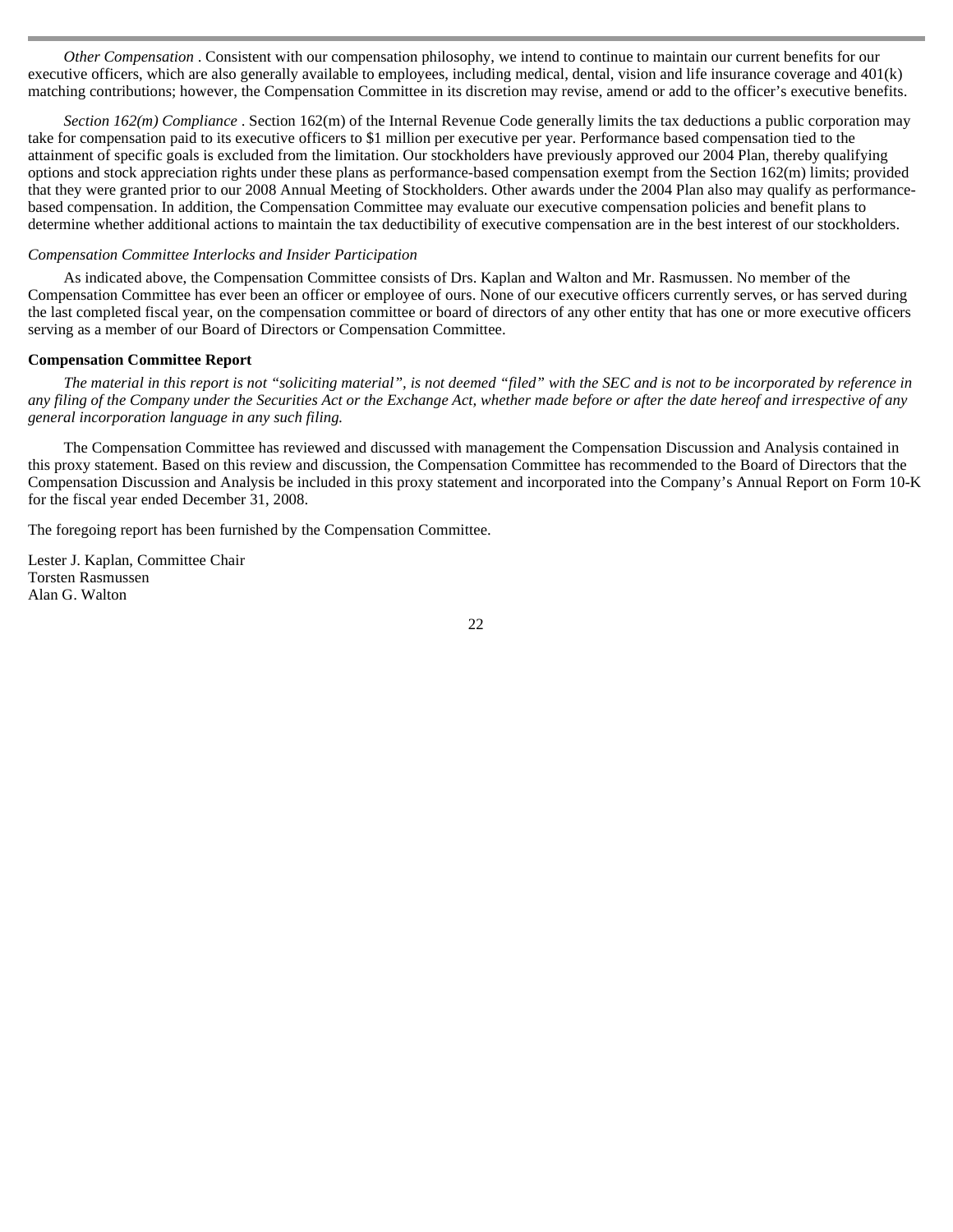*Other Compensation* . Consistent with our compensation philosophy, we intend to continue to maintain our current benefits for our executive officers, which are also generally available to employees, including medical, dental, vision and life insurance coverage and 401(k) matching contributions; however, the Compensation Committee in its discretion may revise, amend or add to the officer's executive benefits.

*Section 162(m) Compliance* . Section 162(m) of the Internal Revenue Code generally limits the tax deductions a public corporation may take for compensation paid to its executive officers to \$1 million per executive per year. Performance based compensation tied to the attainment of specific goals is excluded from the limitation. Our stockholders have previously approved our 2004 Plan, thereby qualifying options and stock appreciation rights under these plans as performance-based compensation exempt from the Section 162(m) limits; provided that they were granted prior to our 2008 Annual Meeting of Stockholders. Other awards under the 2004 Plan also may qualify as performancebased compensation. In addition, the Compensation Committee may evaluate our executive compensation policies and benefit plans to determine whether additional actions to maintain the tax deductibility of executive compensation are in the best interest of our stockholders.

# *Compensation Committee Interlocks and Insider Participation*

 As indicated above, the Compensation Committee consists of Drs. Kaplan and Walton and Mr. Rasmussen. No member of the Compensation Committee has ever been an officer or employee of ours. None of our executive officers currently serves, or has served during the last completed fiscal year, on the compensation committee or board of directors of any other entity that has one or more executive officers serving as a member of our Board of Directors or Compensation Committee.

#### **Compensation Committee Report**

 *The material in this report is not "soliciting material", is not deemed "filed" with the SEC and is not to be incorporated by reference in any filing of the Company under the Securities Act or the Exchange Act, whether made before or after the date hereof and irrespective of any general incorporation language in any such filing.* 

The Compensation Committee has reviewed and discussed with management the Compensation Discussion and Analysis contained in this proxy statement. Based on this review and discussion, the Compensation Committee has recommended to the Board of Directors that the Compensation Discussion and Analysis be included in this proxy statement and incorporated into the Company's Annual Report on Form 10-K for the fiscal year ended December 31, 2008.

The foregoing report has been furnished by the Compensation Committee.

Lester J. Kaplan, Committee Chair Torsten Rasmussen Alan G. Walton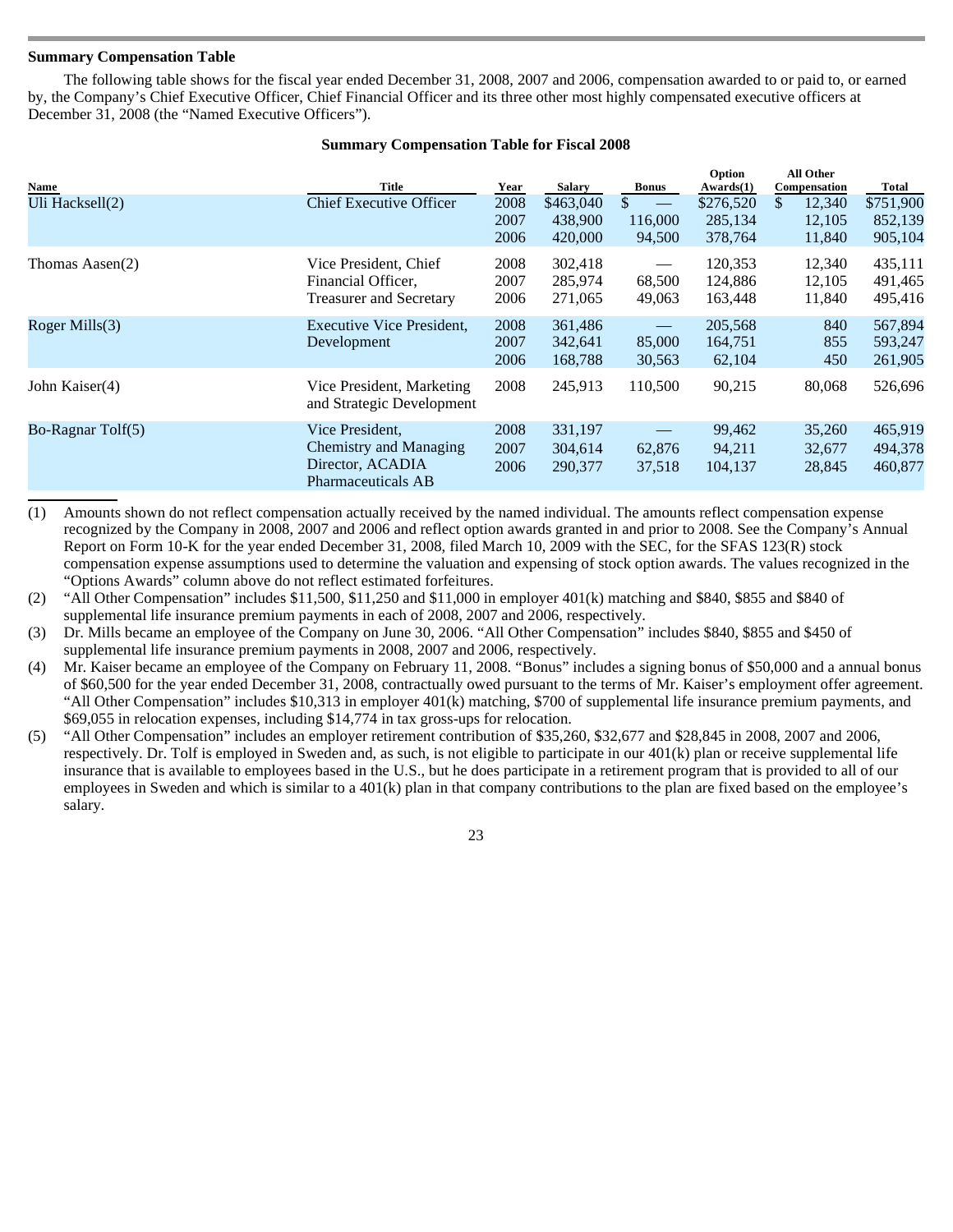# **Summary Compensation Table**

 The following table shows for the fiscal year ended December 31, 2008, 2007 and 2006, compensation awarded to or paid to, or earned by, the Company's Chief Executive Officer, Chief Financial Officer and its three other most highly compensated executive officers at December 31, 2008 (the "Named Executive Officers").

| Name                       | Title                                                                                      | Year                 | <b>Salary</b>                   | <b>Bonus</b>            | Option<br>Awards(1)             | All Other<br>Compensation         | Total                           |
|----------------------------|--------------------------------------------------------------------------------------------|----------------------|---------------------------------|-------------------------|---------------------------------|-----------------------------------|---------------------------------|
| Uli Hacksell(2)            | <b>Chief Executive Officer</b>                                                             | 2008<br>2007<br>2006 | \$463,040<br>438,900<br>420,000 | \$<br>116,000<br>94,500 | \$276,520<br>285.134<br>378,764 | \$.<br>12,340<br>12,105<br>11,840 | \$751,900<br>852,139<br>905,104 |
| Thomas Aasen(2)            | Vice President, Chief<br>Financial Officer,<br><b>Treasurer and Secretary</b>              | 2008<br>2007<br>2006 | 302,418<br>285,974<br>271,065   | 68,500<br>49,063        | 120,353<br>124,886<br>163,448   | 12,340<br>12,105<br>11,840        | 435,111<br>491,465<br>495,416   |
| Roger Mills $(3)$          | Executive Vice President,<br>Development                                                   | 2008<br>2007<br>2006 | 361,486<br>342,641<br>168,788   | 85,000<br>30,563        | 205,568<br>164,751<br>62,104    | 840<br>855<br>450                 | 567,894<br>593,247<br>261,905   |
| John Kaiser(4)             | Vice President, Marketing<br>and Strategic Development                                     | 2008                 | 245,913                         | 110,500                 | 90,215                          | 80,068                            | 526,696                         |
| Bo-Ragnar $T\text{olf}(5)$ | Vice President,<br>Chemistry and Managing<br>Director, ACADIA<br><b>Pharmaceuticals AB</b> | 2008<br>2007<br>2006 | 331,197<br>304,614<br>290,377   | 62,876<br>37,518        | 99,462<br>94,211<br>104,137     | 35,260<br>32,677<br>28,845        | 465,919<br>494,378<br>460,877   |

# **Summary Compensation Table for Fiscal 2008**

(1) Amounts shown do not reflect compensation actually received by the named individual. The amounts reflect compensation expense recognized by the Company in 2008, 2007 and 2006 and reflect option awards granted in and prior to 2008. See the Company's Annual Report on Form 10-K for the year ended December 31, 2008, filed March 10, 2009 with the SEC, for the SFAS 123(R) stock compensation expense assumptions used to determine the valuation and expensing of stock option awards. The values recognized in the "Options Awards" column above do not reflect estimated forfeitures.

(2) "All Other Compensation" includes \$11,500, \$11,250 and \$11,000 in employer 401(k) matching and \$840, \$855 and \$840 of supplemental life insurance premium payments in each of 2008, 2007 and 2006, respectively.

(3) Dr. Mills became an employee of the Company on June 30, 2006. "All Other Compensation" includes \$840, \$855 and \$450 of supplemental life insurance premium payments in 2008, 2007 and 2006, respectively.

- (4) Mr. Kaiser became an employee of the Company on February 11, 2008. "Bonus" includes a signing bonus of \$50,000 and a annual bonus of \$60,500 for the year ended December 31, 2008, contractually owed pursuant to the terms of Mr. Kaiser's employment offer agreement. "All Other Compensation" includes \$10,313 in employer 401(k) matching, \$700 of supplemental life insurance premium payments, and \$69,055 in relocation expenses, including \$14,774 in tax gross-ups for relocation.
- (5) "All Other Compensation" includes an employer retirement contribution of \$35,260, \$32,677 and \$28,845 in 2008, 2007 and 2006, respectively. Dr. Tolf is employed in Sweden and, as such, is not eligible to participate in our 401(k) plan or receive supplemental life insurance that is available to employees based in the U.S., but he does participate in a retirement program that is provided to all of our employees in Sweden and which is similar to a 401(k) plan in that company contributions to the plan are fixed based on the employee's salary.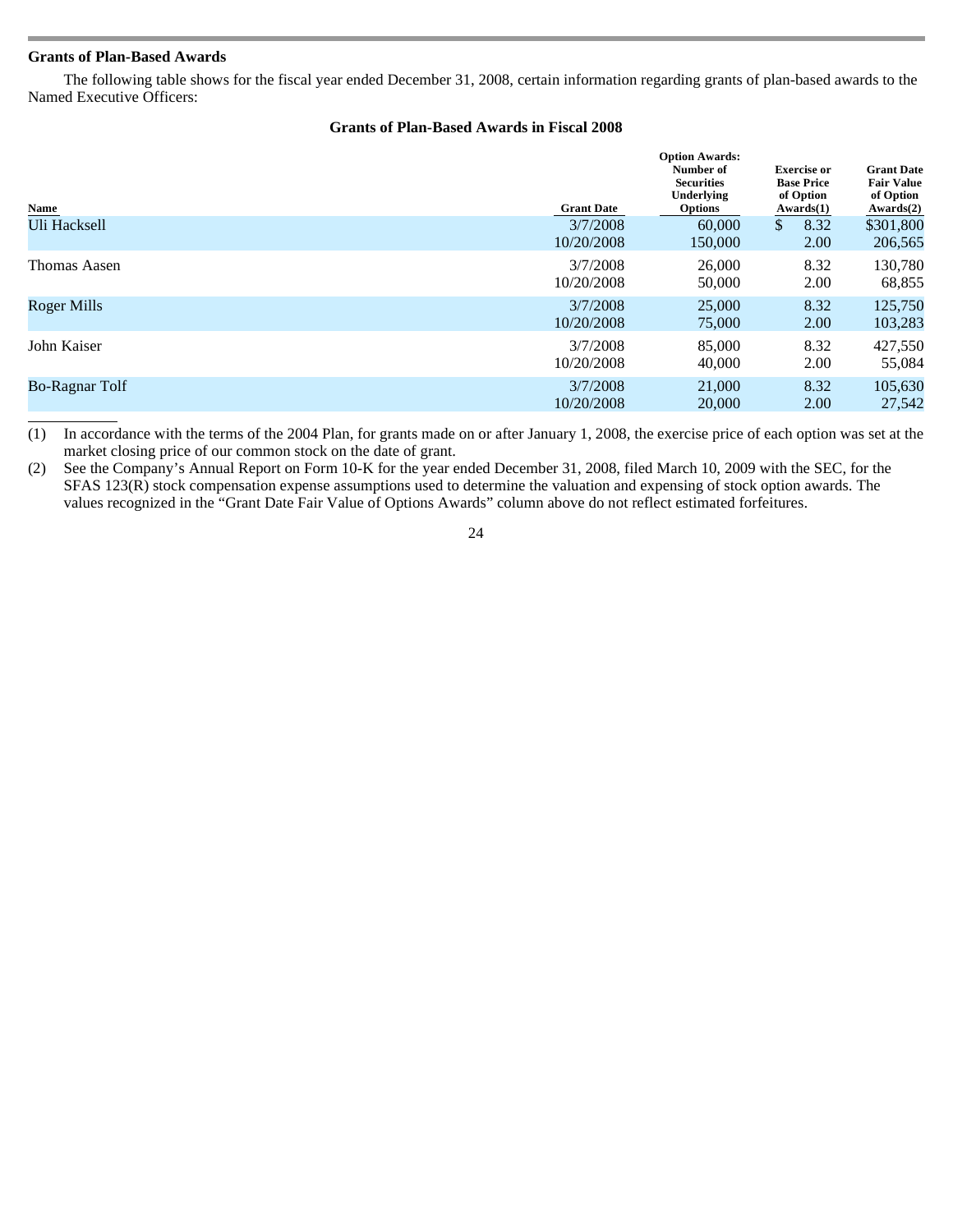# **Grants of Plan-Based Awards**

 The following table shows for the fiscal year ended December 31, 2008, certain information regarding grants of plan-based awards to the Named Executive Officers:

# **Grants of Plan-Based Awards in Fiscal 2008**

| Name                  | <b>Grant Date</b>      | <b>Option Awards:</b><br>Number of<br><b>Securities</b><br>Underlying<br><b>Options</b> | <b>Exercise</b> or<br><b>Base Price</b><br>of Option<br>Awards(1) | <b>Grant Date</b><br><b>Fair Value</b><br>of Option<br>Awards(2) |
|-----------------------|------------------------|-----------------------------------------------------------------------------------------|-------------------------------------------------------------------|------------------------------------------------------------------|
| Uli Hacksell          | 3/7/2008<br>10/20/2008 | 60,000<br>150,000                                                                       | \$<br>8.32<br>2.00                                                | \$301,800<br>206,565                                             |
| Thomas Aasen          | 3/7/2008               | 26,000                                                                                  | 8.32                                                              | 130,780                                                          |
|                       | 10/20/2008             | 50,000                                                                                  | 2.00                                                              | 68,855                                                           |
| <b>Roger Mills</b>    | 3/7/2008               | 25,000                                                                                  | 8.32                                                              | 125,750                                                          |
|                       | 10/20/2008             | 75,000                                                                                  | 2.00                                                              | 103,283                                                          |
| John Kaiser           | 3/7/2008               | 85,000                                                                                  | 8.32                                                              | 427,550                                                          |
|                       | 10/20/2008             | 40,000                                                                                  | 2.00                                                              | 55,084                                                           |
| <b>Bo-Ragnar Tolf</b> | 3/7/2008               | 21,000                                                                                  | 8.32                                                              | 105,630                                                          |
|                       | 10/20/2008             | 20,000                                                                                  | 2.00                                                              | 27,542                                                           |
|                       |                        |                                                                                         |                                                                   |                                                                  |

(1) In accordance with the terms of the 2004 Plan, for grants made on or after January 1, 2008, the exercise price of each option was set at the market closing price of our common stock on the date of grant.

(2) See the Company's Annual Report on Form 10-K for the year ended December 31, 2008, filed March 10, 2009 with the SEC, for the SFAS 123(R) stock compensation expense assumptions used to determine the valuation and expensing of stock option awards. The values recognized in the "Grant Date Fair Value of Options Awards" column above do not reflect estimated forfeitures.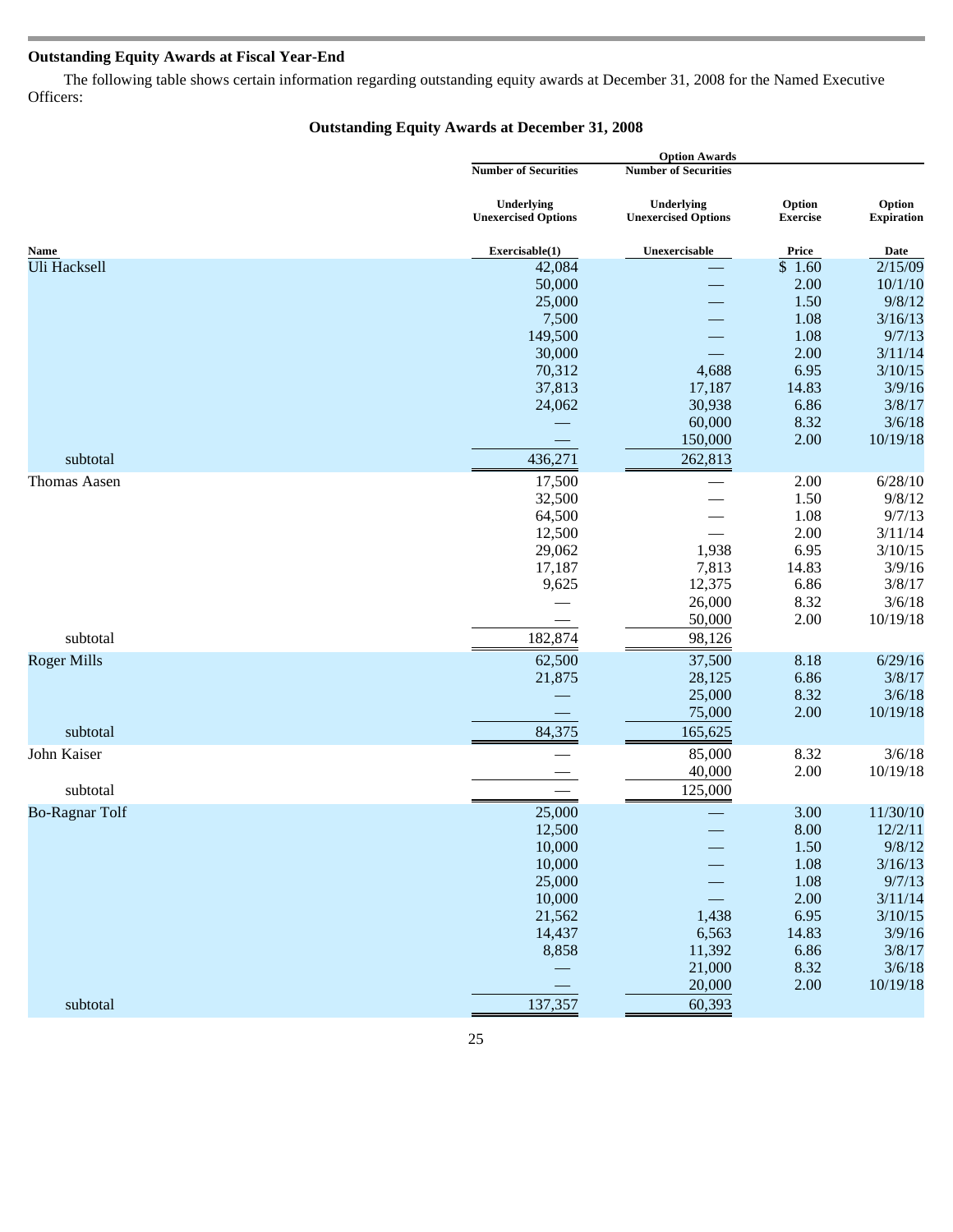# **Outstanding Equity Awards at Fiscal Year-End**

 The following table shows certain information regarding outstanding equity awards at December 31, 2008 for the Named Executive Officers:

# **Outstanding Equity Awards at December 31, 2008**

|                       |                                          | <b>Option Awards</b>                     |                           |                             |  |
|-----------------------|------------------------------------------|------------------------------------------|---------------------------|-----------------------------|--|
|                       | <b>Number of Securities</b>              | <b>Number of Securities</b>              |                           |                             |  |
|                       | Underlying<br><b>Unexercised Options</b> | Underlying<br><b>Unexercised Options</b> | Option<br><b>Exercise</b> | Option<br><b>Expiration</b> |  |
| Name                  | Exercisable(1)                           | Unexercisable                            | Price                     | Date                        |  |
| Uli Hacksell          | 42,084                                   |                                          | $\overline{\$}$ 1.60      | 2/15/09                     |  |
|                       | 50,000                                   |                                          | 2.00                      | 10/1/10                     |  |
|                       | 25,000                                   |                                          | 1.50                      | 9/8/12                      |  |
|                       | 7,500                                    |                                          | 1.08                      | 3/16/13                     |  |
|                       | 149,500                                  |                                          | 1.08                      | 9/7/13                      |  |
|                       | 30,000                                   |                                          | 2.00                      | 3/11/14                     |  |
|                       | 70,312                                   | 4,688                                    | 6.95                      | 3/10/15                     |  |
|                       | 37,813                                   | 17,187                                   | 14.83                     | 3/9/16                      |  |
|                       | 24,062                                   | 30,938                                   | 6.86                      | 3/8/17                      |  |
|                       |                                          | 60,000                                   | 8.32                      | 3/6/18                      |  |
|                       |                                          | 150,000                                  | 2.00                      | 10/19/18                    |  |
| subtotal              | 436,271                                  | 262,813                                  |                           |                             |  |
| Thomas Aasen          | 17,500                                   |                                          | 2.00                      | 6/28/10                     |  |
|                       | 32,500                                   |                                          | 1.50                      | 9/8/12                      |  |
|                       | 64,500                                   |                                          | 1.08                      | 9/7/13                      |  |
|                       | 12,500                                   |                                          | 2.00                      | 3/11/14                     |  |
|                       | 29,062                                   | 1,938                                    | 6.95                      | 3/10/15                     |  |
|                       | 17,187                                   | 7,813                                    | 14.83                     | 3/9/16                      |  |
|                       | 9,625                                    | 12,375                                   | 6.86                      | 3/8/17                      |  |
|                       |                                          | 26,000                                   | 8.32                      | 3/6/18                      |  |
|                       |                                          | 50,000                                   | 2.00                      | 10/19/18                    |  |
| subtotal              | 182,874                                  | 98,126                                   |                           |                             |  |
| <b>Roger Mills</b>    | 62,500                                   | 37,500                                   | 8.18                      | 6/29/16                     |  |
|                       | 21,875                                   | 28,125                                   | 6.86                      | 3/8/17                      |  |
|                       |                                          | 25,000                                   | 8.32                      | 3/6/18                      |  |
|                       |                                          | 75,000                                   | 2.00                      | 10/19/18                    |  |
| subtotal              | 84,375                                   | 165,625                                  |                           |                             |  |
| John Kaiser           |                                          | 85,000                                   | 8.32                      | 3/6/18                      |  |
|                       |                                          | 40,000                                   | 2.00                      | 10/19/18                    |  |
| subtotal              |                                          | 125,000                                  |                           |                             |  |
| <b>Bo-Ragnar Tolf</b> | 25,000                                   |                                          | 3.00                      | 11/30/10                    |  |
|                       | 12,500                                   |                                          | 8.00                      | 12/2/11                     |  |
|                       | 10,000                                   |                                          | $1.50\,$                  | 9/8/12                      |  |
|                       | 10,000                                   |                                          | 1.08                      | 3/16/13                     |  |
|                       | 25,000                                   |                                          | 1.08                      | 9/7/13                      |  |
|                       | 10,000                                   |                                          | 2.00                      | 3/11/14                     |  |
|                       | 21,562                                   | 1,438                                    | 6.95                      | 3/10/15                     |  |
|                       | 14,437                                   | 6,563                                    | 14.83                     | 3/9/16                      |  |
|                       | 8,858                                    | 11,392                                   | 6.86                      | 3/8/17                      |  |
|                       |                                          | 21,000                                   | 8.32                      | 3/6/18                      |  |
|                       |                                          | 20,000                                   | 2.00                      | 10/19/18                    |  |
| subtotal              | 137,357                                  | 60,393                                   |                           |                             |  |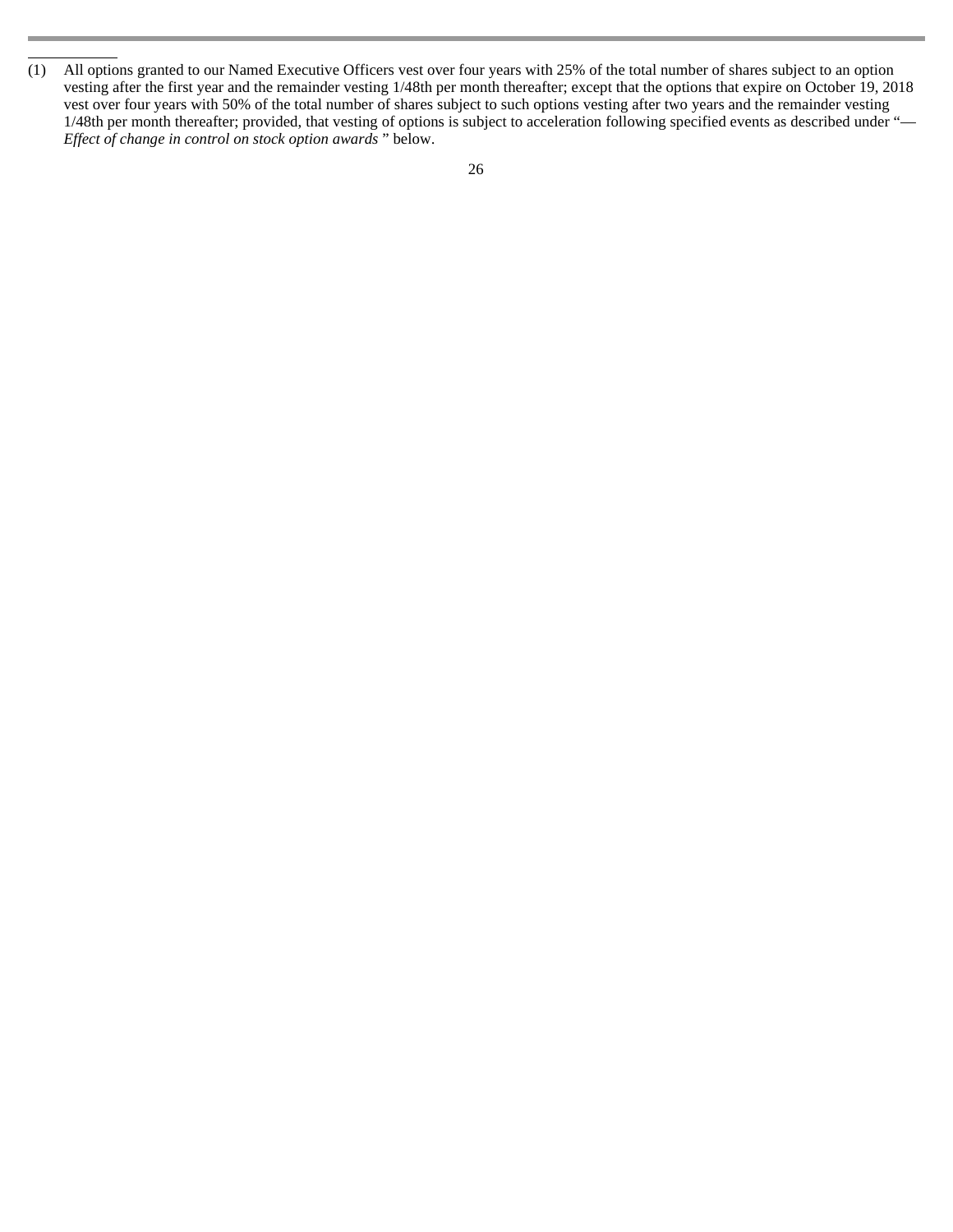L

<sup>(1)</sup> All options granted to our Named Executive Officers vest over four years with 25% of the total number of shares subject to an option vesting after the first year and the remainder vesting 1/48th per month thereafter; except that the options that expire on October 19, 2018 vest over four years with 50% of the total number of shares subject to such options vesting after two years and the remainder vesting 1/48th per month thereafter; provided, that vesting of options is subject to acceleration following specified events as described under "— *Effect of change in control on stock option awards* " below.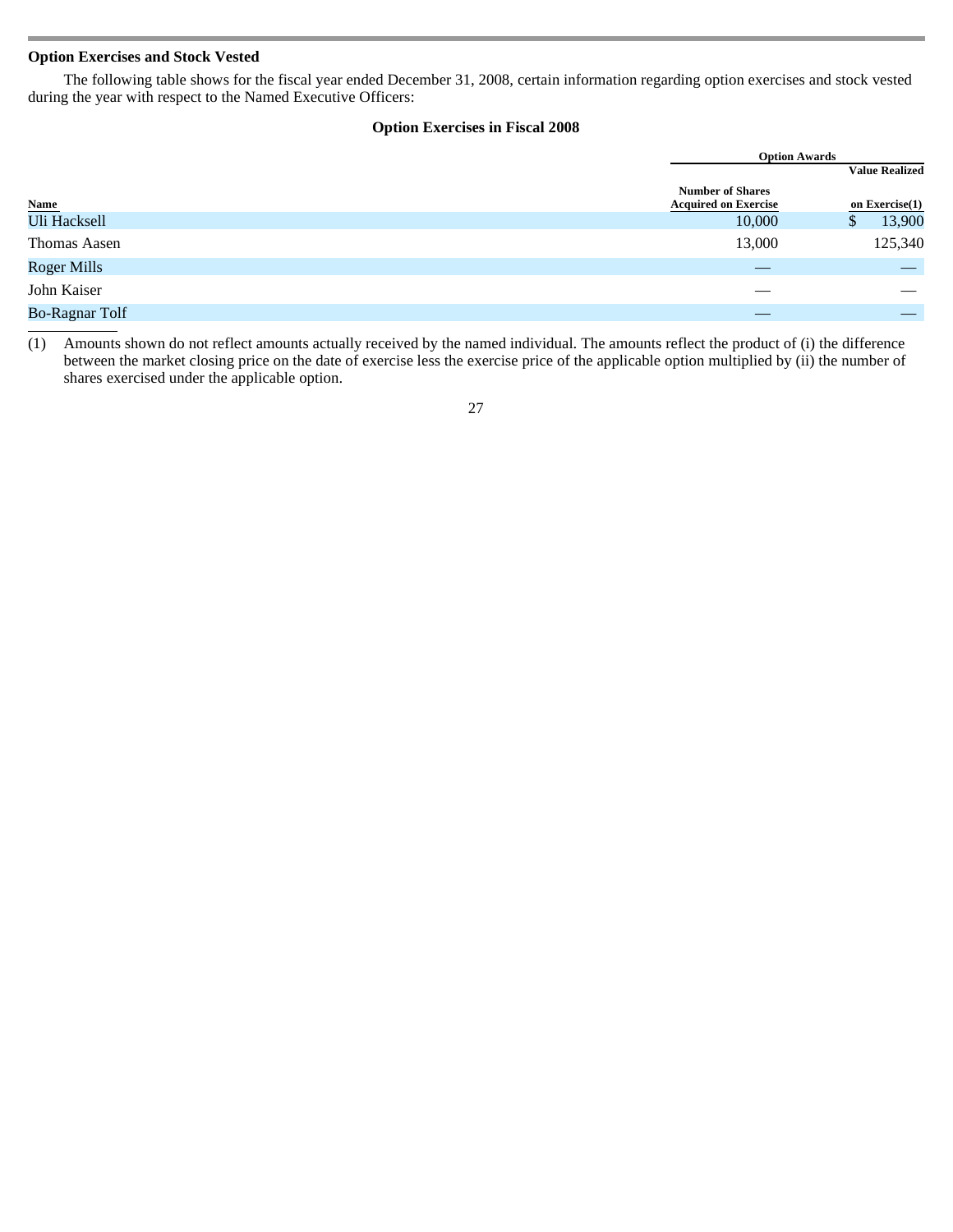# **Option Exercises and Stock Vested**

 The following table shows for the fiscal year ended December 31, 2008, certain information regarding option exercises and stock vested during the year with respect to the Named Executive Officers:

# **Option Exercises in Fiscal 2008**

|                       |                                                        | <b>Option Awards</b>  |
|-----------------------|--------------------------------------------------------|-----------------------|
|                       |                                                        | <b>Value Realized</b> |
| Name<br>Uli Hacksell  | <b>Number of Shares</b><br><b>Acquired on Exercise</b> | on $Exercise(1)$      |
|                       | 10,000                                                 | 13,900<br>Φ           |
| <b>Thomas Aasen</b>   | 13,000                                                 | 125,340               |
| <b>Roger Mills</b>    |                                                        |                       |
| John Kaiser           |                                                        |                       |
| <b>Bo-Ragnar Tolf</b> |                                                        |                       |
|                       |                                                        |                       |

(1) Amounts shown do not reflect amounts actually received by the named individual. The amounts reflect the product of (i) the difference between the market closing price on the date of exercise less the exercise price of the applicable option multiplied by (ii) the number of shares exercised under the applicable option.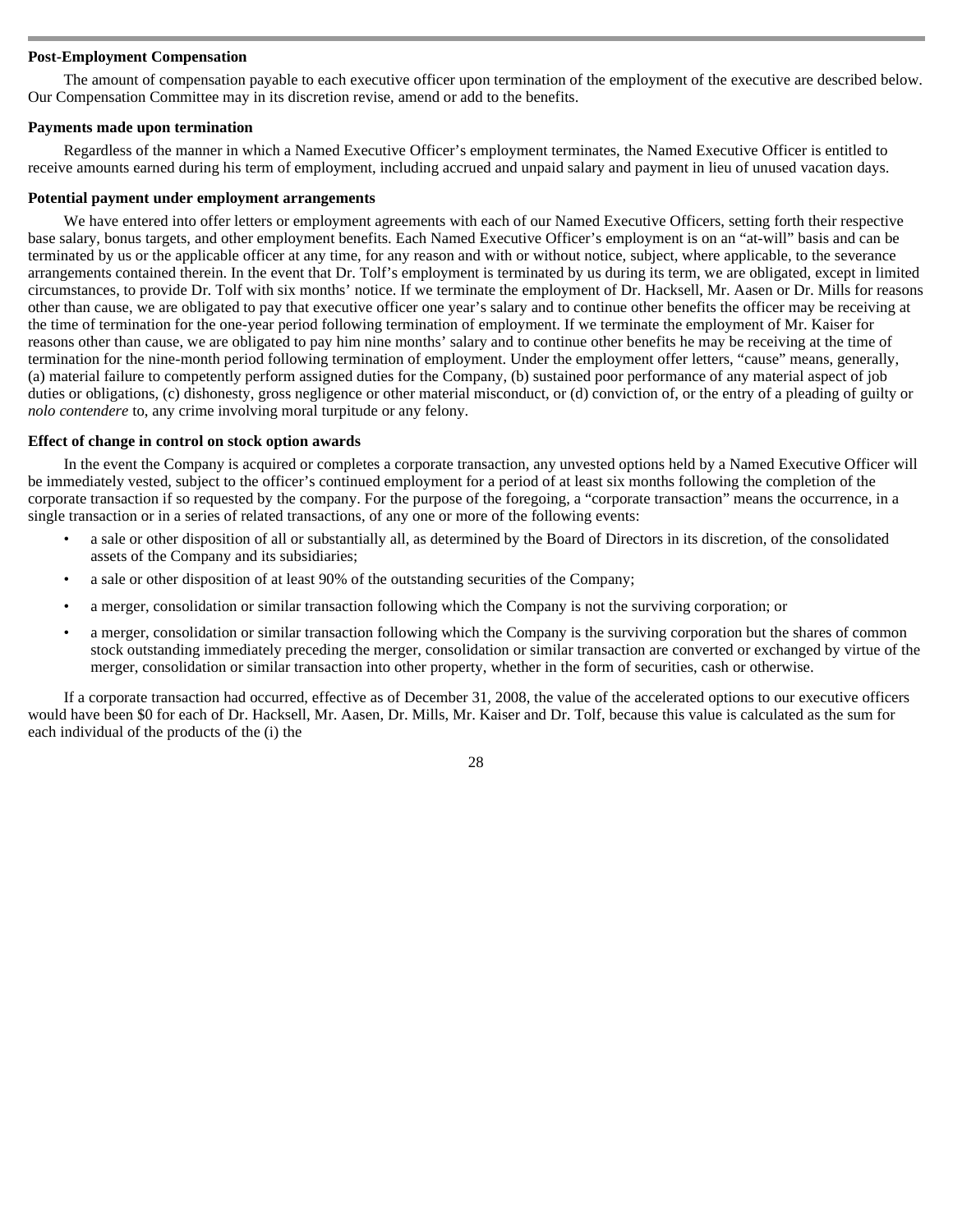# **Post-Employment Compensation**

 The amount of compensation payable to each executive officer upon termination of the employment of the executive are described below. Our Compensation Committee may in its discretion revise, amend or add to the benefits.

#### **Payments made upon termination**

 Regardless of the manner in which a Named Executive Officer's employment terminates, the Named Executive Officer is entitled to receive amounts earned during his term of employment, including accrued and unpaid salary and payment in lieu of unused vacation days.

## **Potential payment under employment arrangements**

 We have entered into offer letters or employment agreements with each of our Named Executive Officers, setting forth their respective base salary, bonus targets, and other employment benefits. Each Named Executive Officer's employment is on an "at-will" basis and can be terminated by us or the applicable officer at any time, for any reason and with or without notice, subject, where applicable, to the severance arrangements contained therein. In the event that Dr. Tolf's employment is terminated by us during its term, we are obligated, except in limited circumstances, to provide Dr. Tolf with six months' notice. If we terminate the employment of Dr. Hacksell, Mr. Aasen or Dr. Mills for reasons other than cause, we are obligated to pay that executive officer one year's salary and to continue other benefits the officer may be receiving at the time of termination for the one-year period following termination of employment. If we terminate the employment of Mr. Kaiser for reasons other than cause, we are obligated to pay him nine months' salary and to continue other benefits he may be receiving at the time of termination for the nine-month period following termination of employment. Under the employment offer letters, "cause" means, generally, (a) material failure to competently perform assigned duties for the Company, (b) sustained poor performance of any material aspect of job duties or obligations, (c) dishonesty, gross negligence or other material misconduct, or (d) conviction of, or the entry of a pleading of guilty or *nolo contendere* to, any crime involving moral turpitude or any felony.

## **Effect of change in control on stock option awards**

 In the event the Company is acquired or completes a corporate transaction, any unvested options held by a Named Executive Officer will be immediately vested, subject to the officer's continued employment for a period of at least six months following the completion of the corporate transaction if so requested by the company. For the purpose of the foregoing, a "corporate transaction" means the occurrence, in a single transaction or in a series of related transactions, of any one or more of the following events:

- a sale or other disposition of all or substantially all, as determined by the Board of Directors in its discretion, of the consolidated assets of the Company and its subsidiaries;
- a sale or other disposition of at least 90% of the outstanding securities of the Company;
- a merger, consolidation or similar transaction following which the Company is not the surviving corporation; or
- a merger, consolidation or similar transaction following which the Company is the surviving corporation but the shares of common stock outstanding immediately preceding the merger, consolidation or similar transaction are converted or exchanged by virtue of the merger, consolidation or similar transaction into other property, whether in the form of securities, cash or otherwise.

If a corporate transaction had occurred, effective as of December 31, 2008, the value of the accelerated options to our executive officers would have been \$0 for each of Dr. Hacksell, Mr. Aasen, Dr. Mills, Mr. Kaiser and Dr. Tolf, because this value is calculated as the sum for each individual of the products of the (i) the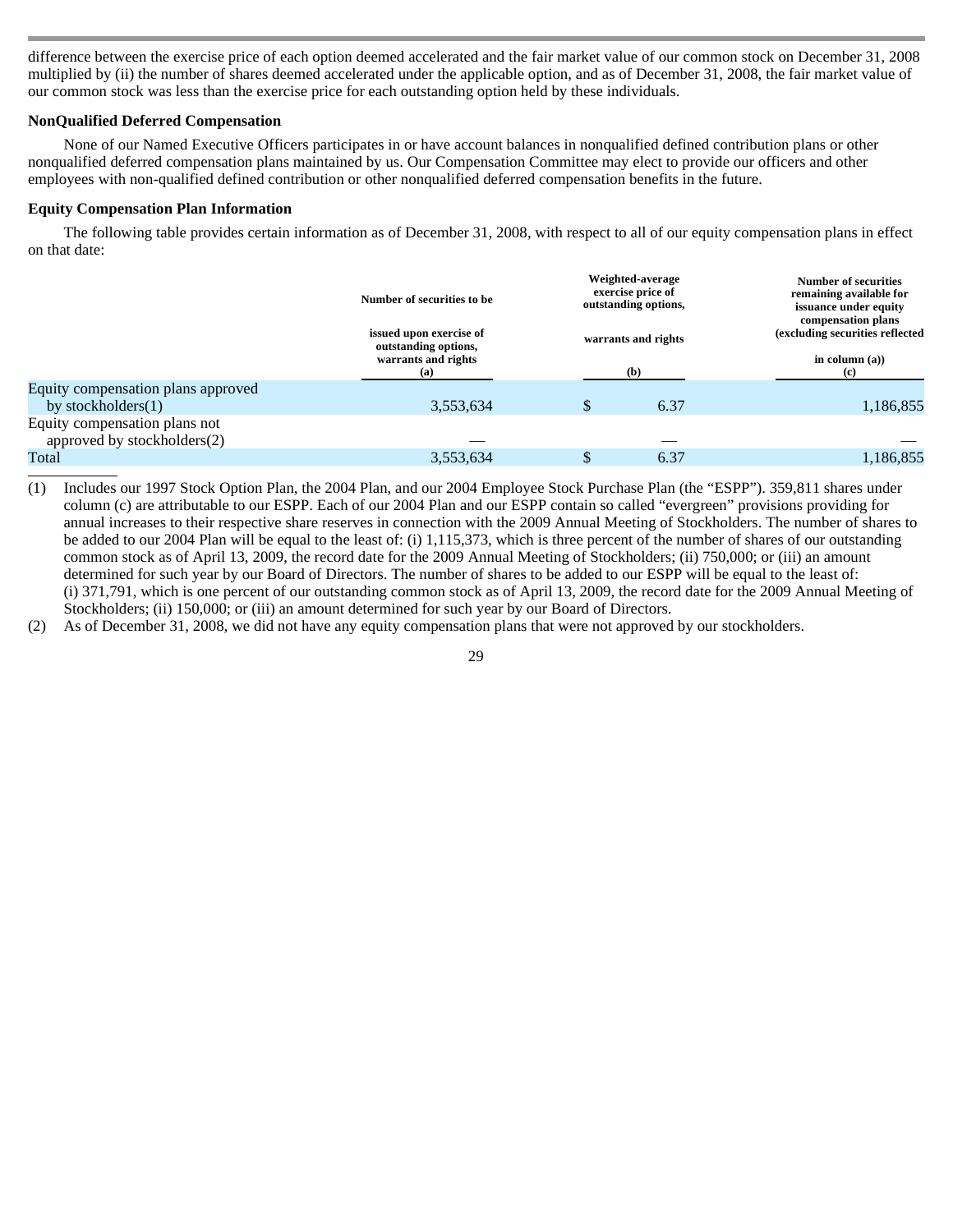difference between the exercise price of each option deemed accelerated and the fair market value of our common stock on December 31, 2008 multiplied by (ii) the number of shares deemed accelerated under the applicable option, and as of December 31, 2008, the fair market value of our common stock was less than the exercise price for each outstanding option held by these individuals.

# **NonQualified Deferred Compensation**

 None of our Named Executive Officers participates in or have account balances in nonqualified defined contribution plans or other nonqualified deferred compensation plans maintained by us. Our Compensation Committee may elect to provide our officers and other employees with non-qualified defined contribution or other nonqualified deferred compensation benefits in the future.

# **Equity Compensation Plan Information**

 The following table provides certain information as of December 31, 2008, with respect to all of our equity compensation plans in effect on that date:

|                                                              | Number of securities to be<br>issued upon exercise of<br>outstanding options, | Weighted-average<br>exercise price of<br>outstanding options,<br>warrants and rights |      | Number of securities<br>remaining available for<br>issuance under equity<br>compensation plans<br>(excluding securities reflected |
|--------------------------------------------------------------|-------------------------------------------------------------------------------|--------------------------------------------------------------------------------------|------|-----------------------------------------------------------------------------------------------------------------------------------|
|                                                              | warrants and rights<br>(a)                                                    |                                                                                      | (b)  | in column $(a)$ )<br>(c)                                                                                                          |
| Equity compensation plans approved                           |                                                                               |                                                                                      |      |                                                                                                                                   |
| by stockholders $(1)$                                        | 3,553,634                                                                     | \$                                                                                   | 6.37 | 1,186,855                                                                                                                         |
| Equity compensation plans not<br>approved by stockholders(2) |                                                                               |                                                                                      |      |                                                                                                                                   |
| Total                                                        | 3,553,634                                                                     | \$                                                                                   | 6.37 | 1,186,855                                                                                                                         |
|                                                              |                                                                               |                                                                                      |      |                                                                                                                                   |

- (1) Includes our 1997 Stock Option Plan, the 2004 Plan, and our 2004 Employee Stock Purchase Plan (the "ESPP"). 359,811 shares under column (c) are attributable to our ESPP. Each of our 2004 Plan and our ESPP contain so called "evergreen" provisions providing for annual increases to their respective share reserves in connection with the 2009 Annual Meeting of Stockholders. The number of shares to be added to our 2004 Plan will be equal to the least of: (i) 1,115,373, which is three percent of the number of shares of our outstanding common stock as of April 13, 2009, the record date for the 2009 Annual Meeting of Stockholders; (ii) 750,000; or (iii) an amount determined for such year by our Board of Directors. The number of shares to be added to our ESPP will be equal to the least of: (i) 371,791, which is one percent of our outstanding common stock as of April 13, 2009, the record date for the 2009 Annual Meeting of Stockholders; (ii) 150,000; or (iii) an amount determined for such year by our Board of Directors.
- (2) As of December 31, 2008, we did not have any equity compensation plans that were not approved by our stockholders.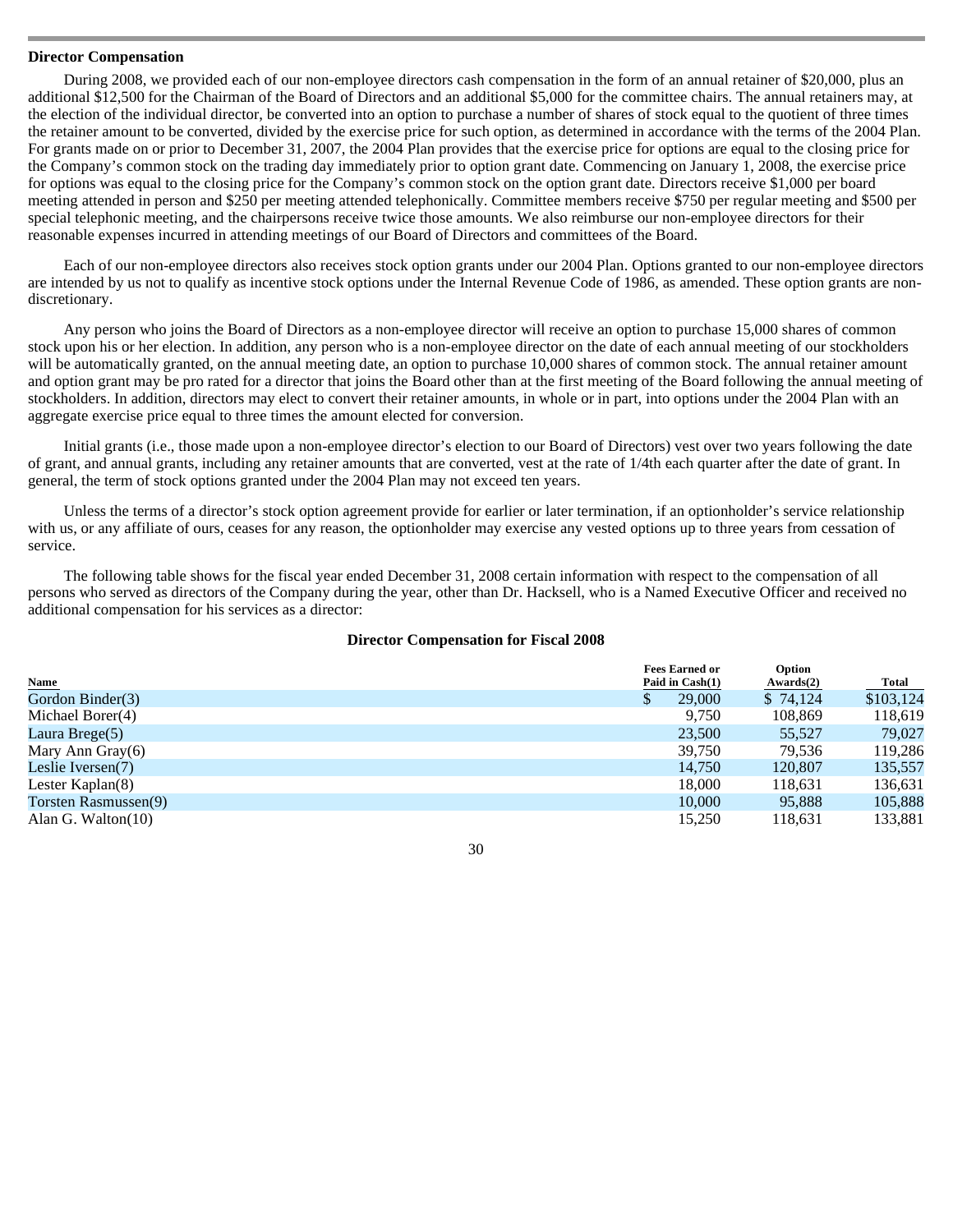## **Director Compensation**

 During 2008, we provided each of our non-employee directors cash compensation in the form of an annual retainer of \$20,000, plus an additional \$12,500 for the Chairman of the Board of Directors and an additional \$5,000 for the committee chairs. The annual retainers may, at the election of the individual director, be converted into an option to purchase a number of shares of stock equal to the quotient of three times the retainer amount to be converted, divided by the exercise price for such option, as determined in accordance with the terms of the 2004 Plan. For grants made on or prior to December 31, 2007, the 2004 Plan provides that the exercise price for options are equal to the closing price for the Company's common stock on the trading day immediately prior to option grant date. Commencing on January 1, 2008, the exercise price for options was equal to the closing price for the Company's common stock on the option grant date. Directors receive \$1,000 per board meeting attended in person and \$250 per meeting attended telephonically. Committee members receive \$750 per regular meeting and \$500 per special telephonic meeting, and the chairpersons receive twice those amounts. We also reimburse our non-employee directors for their reasonable expenses incurred in attending meetings of our Board of Directors and committees of the Board.

Each of our non-employee directors also receives stock option grants under our 2004 Plan. Options granted to our non-employee directors are intended by us not to qualify as incentive stock options under the Internal Revenue Code of 1986, as amended. These option grants are nondiscretionary.

Any person who joins the Board of Directors as a non-employee director will receive an option to purchase 15,000 shares of common stock upon his or her election. In addition, any person who is a non-employee director on the date of each annual meeting of our stockholders will be automatically granted, on the annual meeting date, an option to purchase 10,000 shares of common stock. The annual retainer amount and option grant may be pro rated for a director that joins the Board other than at the first meeting of the Board following the annual meeting of stockholders. In addition, directors may elect to convert their retainer amounts, in whole or in part, into options under the 2004 Plan with an aggregate exercise price equal to three times the amount elected for conversion.

Initial grants (i.e., those made upon a non-employee director's election to our Board of Directors) vest over two years following the date of grant, and annual grants, including any retainer amounts that are converted, vest at the rate of 1/4th each quarter after the date of grant. In general, the term of stock options granted under the 2004 Plan may not exceed ten years.

Unless the terms of a director's stock option agreement provide for earlier or later termination, if an optionholder's service relationship with us, or any affiliate of ours, ceases for any reason, the optionholder may exercise any vested options up to three years from cessation of service.

The following table shows for the fiscal year ended December 31, 2008 certain information with respect to the compensation of all persons who served as directors of the Company during the year, other than Dr. Hacksell, who is a Named Executive Officer and received no additional compensation for his services as a director:

# **Director Compensation for Fiscal 2008**

| <b>Name</b>           | <b>Fees Earned or</b><br>Paid in Cash(1) | Option<br>Awards(2) | <b>Total</b> |
|-----------------------|------------------------------------------|---------------------|--------------|
| Gordon Binder(3)      | 29,000                                   | \$74,124            | \$103,124    |
| Michael Borer(4)      | 9.750                                    | 108.869             | 118,619      |
| Laura Brege $(5)$     | 23,500                                   | 55.527              | 79,027       |
| Mary Ann Gray(6)      | 39.750                                   | 79.536              | 119,286      |
| Leslie Iversen(7)     | 14,750                                   | 120,807             | 135,557      |
| Lester Kaplan $(8)$   | 18,000                                   | 118.631             | 136,631      |
| Torsten Rasmussen(9)  | 10,000                                   | 95,888              | 105,888      |
| Alan G. Walton $(10)$ | 15,250                                   | 118.631             | 133,881      |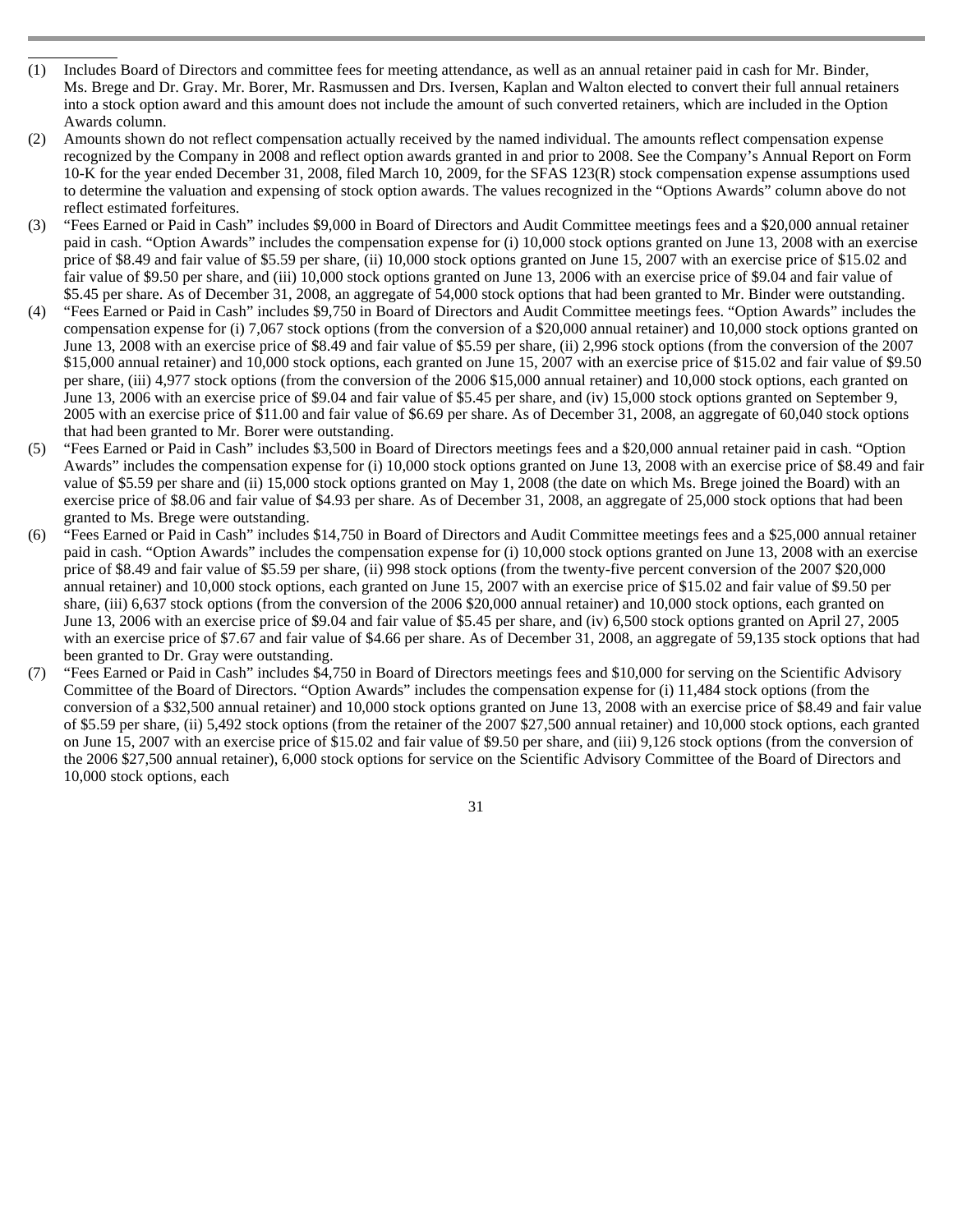- L Includes Board of Directors and committee fees for meeting attendance, as well as an annual retainer paid in cash for Mr. Binder, Ms. Brege and Dr. Gray. Mr. Borer, Mr. Rasmussen and Drs. Iversen, Kaplan and Walton elected to convert their full annual retainers into a stock option award and this amount does not include the amount of such converted retainers, which are included in the Option Awards column.
- (2) Amounts shown do not reflect compensation actually received by the named individual. The amounts reflect compensation expense recognized by the Company in 2008 and reflect option awards granted in and prior to 2008. See the Company's Annual Report on Form 10-K for the year ended December 31, 2008, filed March 10, 2009, for the SFAS 123(R) stock compensation expense assumptions used to determine the valuation and expensing of stock option awards. The values recognized in the "Options Awards" column above do not reflect estimated forfeitures.
- (3) "Fees Earned or Paid in Cash" includes \$9,000 in Board of Directors and Audit Committee meetings fees and a \$20,000 annual retainer paid in cash. "Option Awards" includes the compensation expense for (i) 10,000 stock options granted on June 13, 2008 with an exercise price of \$8.49 and fair value of \$5.59 per share, (ii) 10,000 stock options granted on June 15, 2007 with an exercise price of \$15.02 and fair value of \$9.50 per share, and (iii) 10,000 stock options granted on June 13, 2006 with an exercise price of \$9.04 and fair value of \$5.45 per share. As of December 31, 2008, an aggregate of 54,000 stock options that had been granted to Mr. Binder were outstanding.
- (4) "Fees Earned or Paid in Cash" includes \$9,750 in Board of Directors and Audit Committee meetings fees. "Option Awards" includes the compensation expense for (i) 7,067 stock options (from the conversion of a \$20,000 annual retainer) and 10,000 stock options granted on June 13, 2008 with an exercise price of \$8.49 and fair value of \$5.59 per share, (ii) 2,996 stock options (from the conversion of the 2007 \$15,000 annual retainer) and 10,000 stock options, each granted on June 15, 2007 with an exercise price of \$15.02 and fair value of \$9.50 per share, (iii) 4,977 stock options (from the conversion of the 2006 \$15,000 annual retainer) and 10,000 stock options, each granted on June 13, 2006 with an exercise price of \$9.04 and fair value of \$5.45 per share, and (iv) 15,000 stock options granted on September 9, 2005 with an exercise price of \$11.00 and fair value of \$6.69 per share. As of December 31, 2008, an aggregate of 60,040 stock options that had been granted to Mr. Borer were outstanding.
- (5) "Fees Earned or Paid in Cash" includes \$3,500 in Board of Directors meetings fees and a \$20,000 annual retainer paid in cash. "Option Awards" includes the compensation expense for (i) 10,000 stock options granted on June 13, 2008 with an exercise price of \$8.49 and fair value of \$5.59 per share and (ii) 15,000 stock options granted on May 1, 2008 (the date on which Ms. Brege joined the Board) with an exercise price of \$8.06 and fair value of \$4.93 per share. As of December 31, 2008, an aggregate of 25,000 stock options that had been granted to Ms. Brege were outstanding.
- (6) "Fees Earned or Paid in Cash" includes \$14,750 in Board of Directors and Audit Committee meetings fees and a \$25,000 annual retainer paid in cash. "Option Awards" includes the compensation expense for (i) 10,000 stock options granted on June 13, 2008 with an exercise price of \$8.49 and fair value of \$5.59 per share, (ii) 998 stock options (from the twenty-five percent conversion of the 2007 \$20,000 annual retainer) and 10,000 stock options, each granted on June 15, 2007 with an exercise price of \$15.02 and fair value of \$9.50 per share, (iii) 6,637 stock options (from the conversion of the 2006 \$20,000 annual retainer) and 10,000 stock options, each granted on June 13, 2006 with an exercise price of \$9.04 and fair value of \$5.45 per share, and (iv) 6,500 stock options granted on April 27, 2005 with an exercise price of \$7.67 and fair value of \$4.66 per share. As of December 31, 2008, an aggregate of 59,135 stock options that had been granted to Dr. Gray were outstanding.
- (7) "Fees Earned or Paid in Cash" includes \$4,750 in Board of Directors meetings fees and \$10,000 for serving on the Scientific Advisory Committee of the Board of Directors. "Option Awards" includes the compensation expense for (i) 11,484 stock options (from the conversion of a \$32,500 annual retainer) and 10,000 stock options granted on June 13, 2008 with an exercise price of \$8.49 and fair value of \$5.59 per share, (ii) 5,492 stock options (from the retainer of the 2007 \$27,500 annual retainer) and 10,000 stock options, each granted on June 15, 2007 with an exercise price of \$15.02 and fair value of \$9.50 per share, and (iii) 9,126 stock options (from the conversion of the 2006 \$27,500 annual retainer), 6,000 stock options for service on the Scientific Advisory Committee of the Board of Directors and 10,000 stock options, each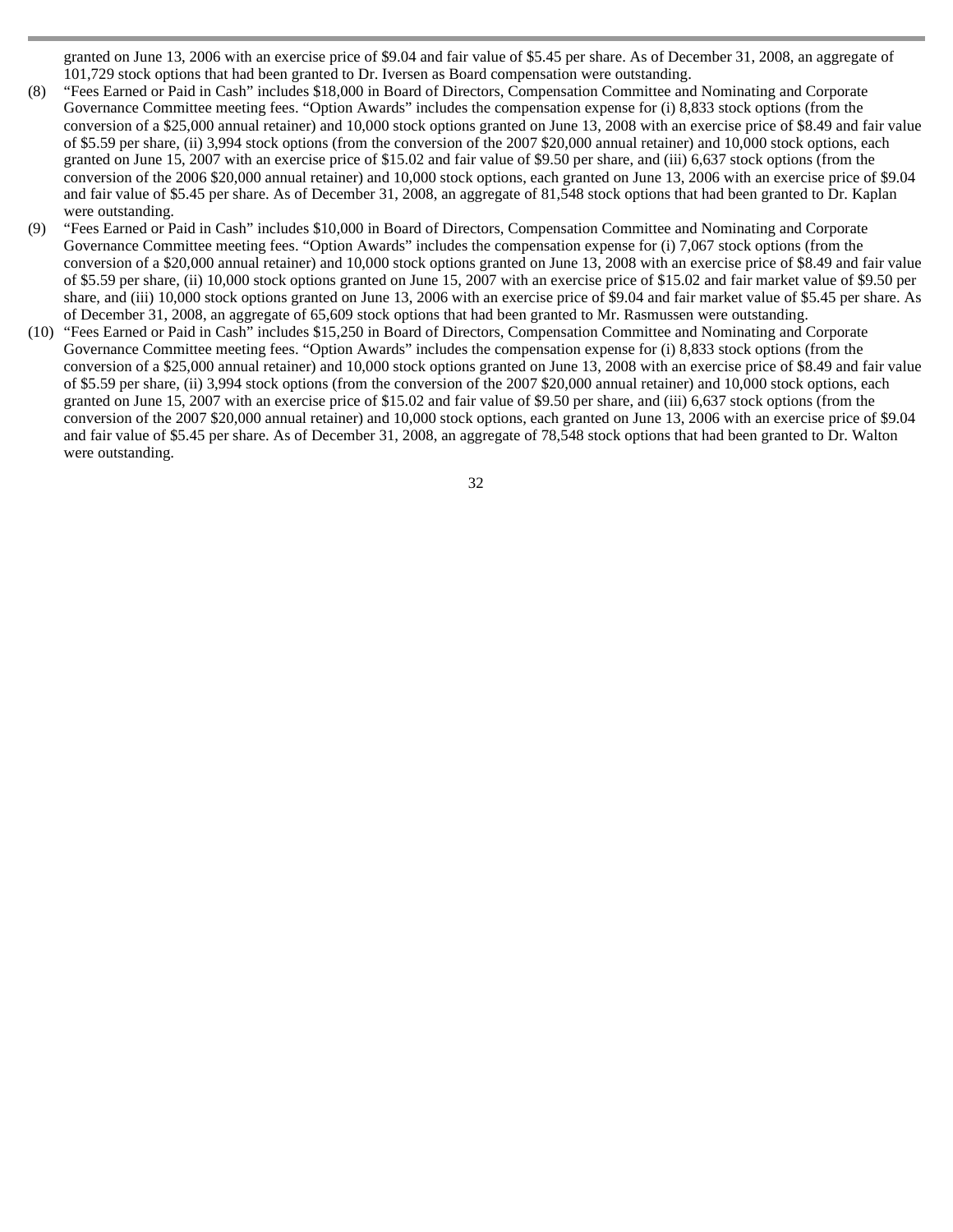granted on June 13, 2006 with an exercise price of \$9.04 and fair value of \$5.45 per share. As of December 31, 2008, an aggregate of 101,729 stock options that had been granted to Dr. Iversen as Board compensation were outstanding.

- (8) "Fees Earned or Paid in Cash" includes \$18,000 in Board of Directors, Compensation Committee and Nominating and Corporate Governance Committee meeting fees. "Option Awards" includes the compensation expense for (i) 8,833 stock options (from the conversion of a \$25,000 annual retainer) and 10,000 stock options granted on June 13, 2008 with an exercise price of \$8.49 and fair value of \$5.59 per share, (ii) 3,994 stock options (from the conversion of the 2007 \$20,000 annual retainer) and 10,000 stock options, each granted on June 15, 2007 with an exercise price of \$15.02 and fair value of \$9.50 per share, and (iii) 6,637 stock options (from the conversion of the 2006 \$20,000 annual retainer) and 10,000 stock options, each granted on June 13, 2006 with an exercise price of \$9.04 and fair value of \$5.45 per share. As of December 31, 2008, an aggregate of 81,548 stock options that had been granted to Dr. Kaplan were outstanding.
- (9) "Fees Earned or Paid in Cash" includes \$10,000 in Board of Directors, Compensation Committee and Nominating and Corporate Governance Committee meeting fees. "Option Awards" includes the compensation expense for (i) 7,067 stock options (from the conversion of a \$20,000 annual retainer) and 10,000 stock options granted on June 13, 2008 with an exercise price of \$8.49 and fair value of \$5.59 per share, (ii) 10,000 stock options granted on June 15, 2007 with an exercise price of \$15.02 and fair market value of \$9.50 per share, and (iii) 10,000 stock options granted on June 13, 2006 with an exercise price of \$9.04 and fair market value of \$5.45 per share. As of December 31, 2008, an aggregate of 65,609 stock options that had been granted to Mr. Rasmussen were outstanding.
- (10) "Fees Earned or Paid in Cash" includes \$15,250 in Board of Directors, Compensation Committee and Nominating and Corporate Governance Committee meeting fees. "Option Awards" includes the compensation expense for (i) 8,833 stock options (from the conversion of a \$25,000 annual retainer) and 10,000 stock options granted on June 13, 2008 with an exercise price of \$8.49 and fair value of \$5.59 per share, (ii) 3,994 stock options (from the conversion of the 2007 \$20,000 annual retainer) and 10,000 stock options, each granted on June 15, 2007 with an exercise price of \$15.02 and fair value of \$9.50 per share, and (iii) 6,637 stock options (from the conversion of the 2007 \$20,000 annual retainer) and 10,000 stock options, each granted on June 13, 2006 with an exercise price of \$9.04 and fair value of \$5.45 per share. As of December 31, 2008, an aggregate of 78,548 stock options that had been granted to Dr. Walton were outstanding.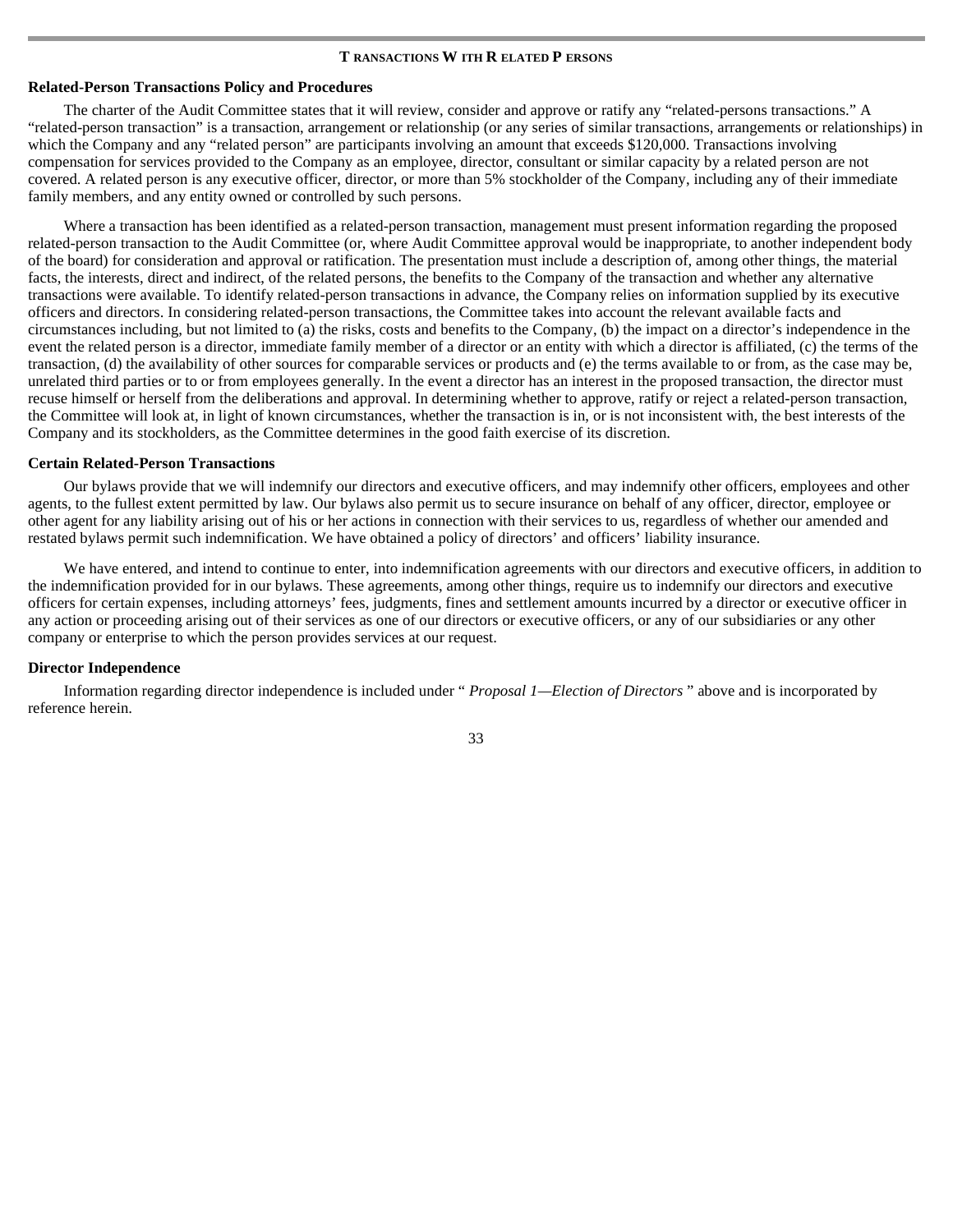#### **T RANSACTIONS W ITH R ELATED P ERSONS**

# **Related-Person Transactions Policy and Procedures**

 The charter of the Audit Committee states that it will review, consider and approve or ratify any "related-persons transactions." A "related-person transaction" is a transaction, arrangement or relationship (or any series of similar transactions, arrangements or relationships) in which the Company and any "related person" are participants involving an amount that exceeds \$120,000. Transactions involving compensation for services provided to the Company as an employee, director, consultant or similar capacity by a related person are not covered. A related person is any executive officer, director, or more than 5% stockholder of the Company, including any of their immediate family members, and any entity owned or controlled by such persons.

Where a transaction has been identified as a related-person transaction, management must present information regarding the proposed related-person transaction to the Audit Committee (or, where Audit Committee approval would be inappropriate, to another independent body of the board) for consideration and approval or ratification. The presentation must include a description of, among other things, the material facts, the interests, direct and indirect, of the related persons, the benefits to the Company of the transaction and whether any alternative transactions were available. To identify related-person transactions in advance, the Company relies on information supplied by its executive officers and directors. In considering related-person transactions, the Committee takes into account the relevant available facts and circumstances including, but not limited to (a) the risks, costs and benefits to the Company, (b) the impact on a director's independence in the event the related person is a director, immediate family member of a director or an entity with which a director is affiliated, (c) the terms of the transaction, (d) the availability of other sources for comparable services or products and (e) the terms available to or from, as the case may be, unrelated third parties or to or from employees generally. In the event a director has an interest in the proposed transaction, the director must recuse himself or herself from the deliberations and approval. In determining whether to approve, ratify or reject a related-person transaction, the Committee will look at, in light of known circumstances, whether the transaction is in, or is not inconsistent with, the best interests of the Company and its stockholders, as the Committee determines in the good faith exercise of its discretion.

#### **Certain Related-Person Transactions**

 Our bylaws provide that we will indemnify our directors and executive officers, and may indemnify other officers, employees and other agents, to the fullest extent permitted by law. Our bylaws also permit us to secure insurance on behalf of any officer, director, employee or other agent for any liability arising out of his or her actions in connection with their services to us, regardless of whether our amended and restated bylaws permit such indemnification. We have obtained a policy of directors' and officers' liability insurance.

We have entered, and intend to continue to enter, into indemnification agreements with our directors and executive officers, in addition to the indemnification provided for in our bylaws. These agreements, among other things, require us to indemnify our directors and executive officers for certain expenses, including attorneys' fees, judgments, fines and settlement amounts incurred by a director or executive officer in any action or proceeding arising out of their services as one of our directors or executive officers, or any of our subsidiaries or any other company or enterprise to which the person provides services at our request.

#### **Director Independence**

 Information regarding director independence is included under " *Proposal 1—Election of Directors* " above and is incorporated by reference herein.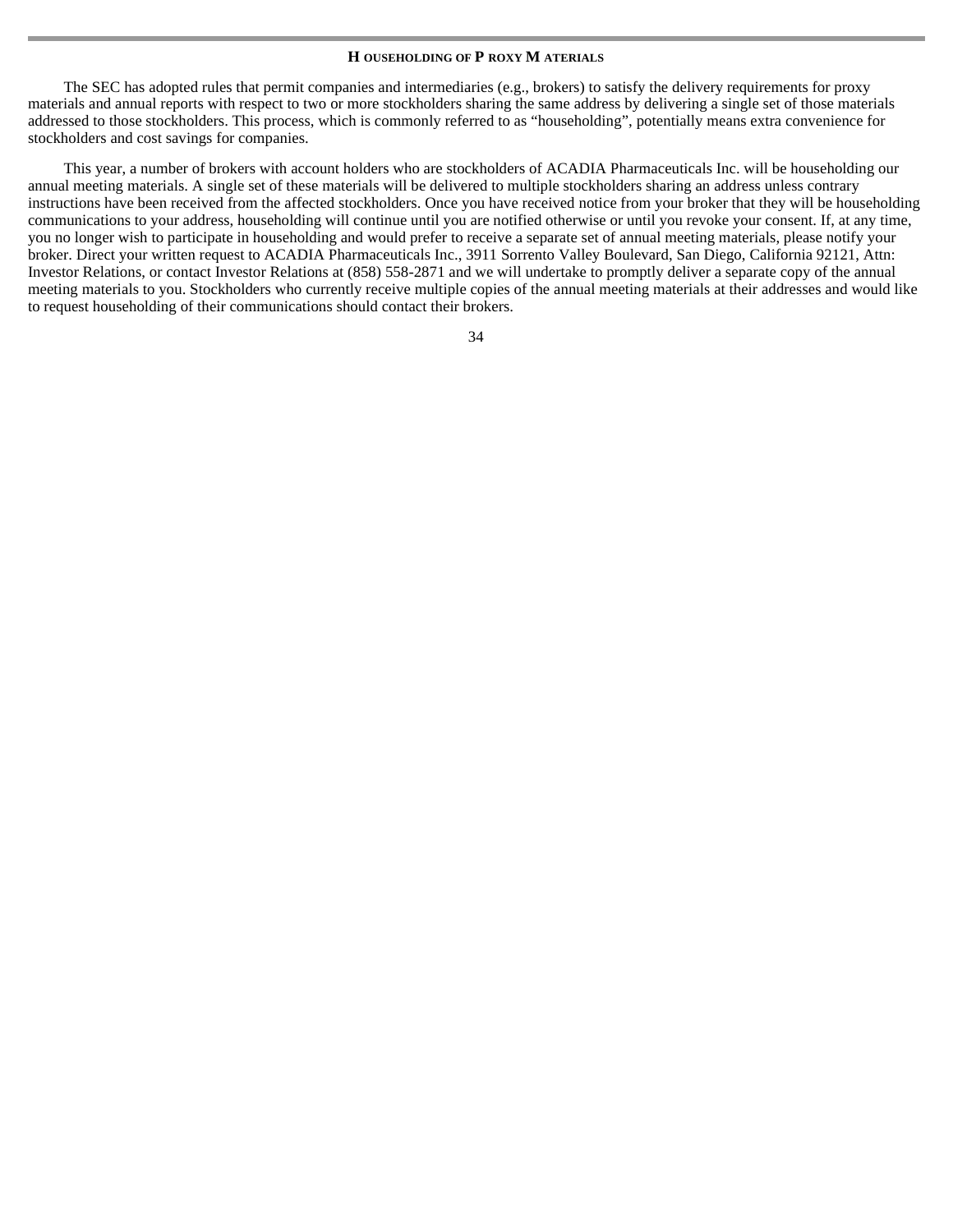#### **H OUSEHOLDING OF P ROXY M ATERIALS**

The SEC has adopted rules that permit companies and intermediaries (e.g., brokers) to satisfy the delivery requirements for proxy materials and annual reports with respect to two or more stockholders sharing the same address by delivering a single set of those materials addressed to those stockholders. This process, which is commonly referred to as "householding", potentially means extra convenience for stockholders and cost savings for companies.

This year, a number of brokers with account holders who are stockholders of ACADIA Pharmaceuticals Inc. will be householding our annual meeting materials. A single set of these materials will be delivered to multiple stockholders sharing an address unless contrary instructions have been received from the affected stockholders. Once you have received notice from your broker that they will be householding communications to your address, householding will continue until you are notified otherwise or until you revoke your consent. If, at any time, you no longer wish to participate in householding and would prefer to receive a separate set of annual meeting materials, please notify your broker. Direct your written request to ACADIA Pharmaceuticals Inc., 3911 Sorrento Valley Boulevard, San Diego, California 92121, Attn: Investor Relations, or contact Investor Relations at (858) 558-2871 and we will undertake to promptly deliver a separate copy of the annual meeting materials to you. Stockholders who currently receive multiple copies of the annual meeting materials at their addresses and would like to request householding of their communications should contact their brokers.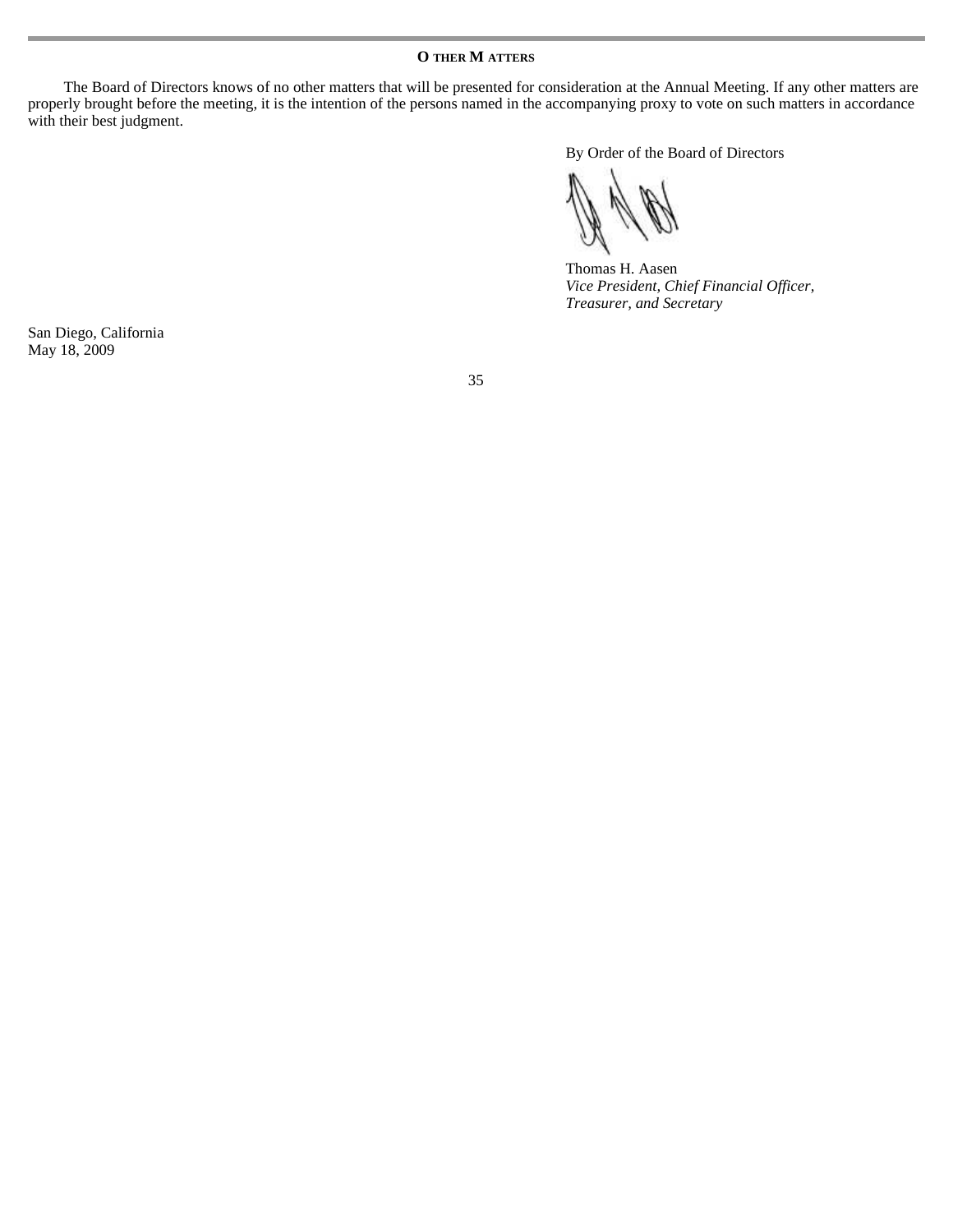The Board of Directors knows of no other matters that will be presented for consideration at the Annual Meeting. If any other matters are properly brought before the meeting, it is the intention of the persons named in the accompanying proxy to vote on such matters in accordance with their best judgment.

By Order of the Board of Directors

Thomas H. Aasen *Vice President, Chief Financial Officer, Treasurer, and Secretary* 

San Diego, California May 18, 2009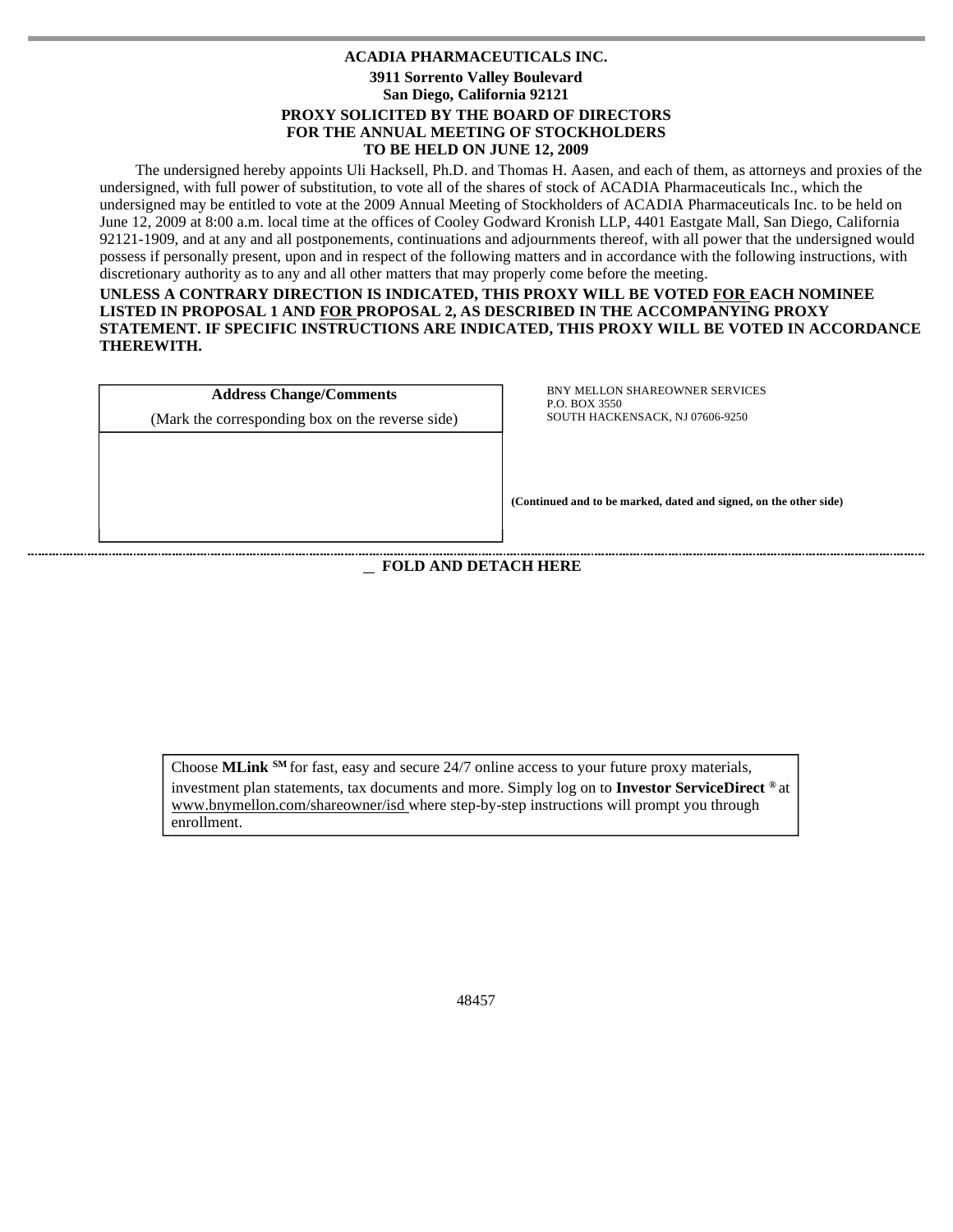# **ACADIA PHARMACEUTICALS INC. 3911 Sorrento Valley Boulevard San Diego, California 92121 PROXY SOLICITED BY THE BOARD OF DIRECTORS FOR THE ANNUAL MEETING OF STOCKHOLDERS TO BE HELD ON JUNE 12, 2009**

The undersigned hereby appoints Uli Hacksell, Ph.D. and Thomas H. Aasen, and each of them, as attorneys and proxies of the undersigned, with full power of substitution, to vote all of the shares of stock of ACADIA Pharmaceuticals Inc., which the undersigned may be entitled to vote at the 2009 Annual Meeting of Stockholders of ACADIA Pharmaceuticals Inc. to be held on June 12, 2009 at 8:00 a.m. local time at the offices of Cooley Godward Kronish LLP, 4401 Eastgate Mall, San Diego, California 92121-1909, and at any and all postponements, continuations and adjournments thereof, with all power that the undersigned would possess if personally present, upon and in respect of the following matters and in accordance with the following instructions, with discretionary authority as to any and all other matters that may properly come before the meeting.

**UNLESS A CONTRARY DIRECTION IS INDICATED, THIS PROXY WILL BE VOTED FOR EACH NOMINEE LISTED IN PROPOSAL 1 AND FOR PROPOSAL 2, AS DESCRIBED IN THE ACCOMPANYING PROXY STATEMENT. IF SPECIFIC INSTRUCTIONS ARE INDICATED, THIS PROXY WILL BE VOTED IN ACCORDANCE THEREWITH.** 

| <b>Address Change/Comments</b>                   |
|--------------------------------------------------|
| (Mark the corresponding box on the reverse side) |
|                                                  |
|                                                  |
|                                                  |

.

l  $\overline{\phantom{a}}$ 

 $\overline{\phantom{a}}$ 

 $\overline{\phantom{a}}$ 

 $\overline{\phantom{a}}$ 

BNY MELLON SHAREOWNER SERVICES P.O. BOX 3550 SOUTH HACKENSACK, NJ 07606-9250

**(Continued and to be marked, dated and signed, on the other side)** 

 **FOLD AND DETACH HERE** 

Choose **MLink SM** for fast, easy and secure 24/7 online access to your future proxy materials, investment plan statements, tax documents and more. Simply log on to **Investor ServiceDirect ®** at www.bnymellon.com/shareowner/isd where step-by-step instructions will prompt you through enrollment.